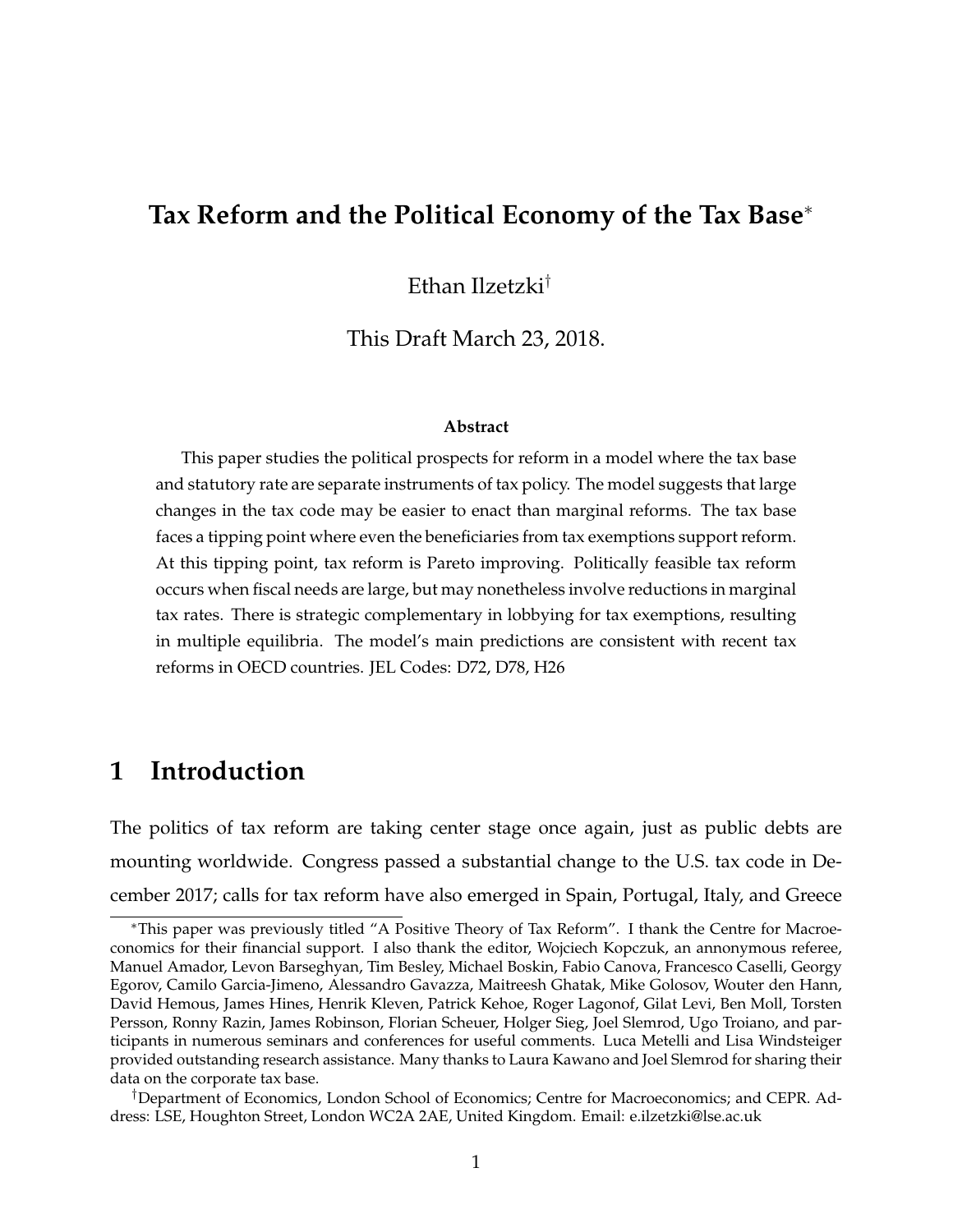## **Tax Reform and the Political Economy of the Tax Base**<sup>∗</sup>

Ethan Ilzetzki†

This Draft March 23, 2018.

#### **Abstract**

This paper studies the political prospects for reform in a model where the tax base and statutory rate are separate instruments of tax policy. The model suggests that large changes in the tax code may be easier to enact than marginal reforms. The tax base faces a tipping point where even the beneficiaries from tax exemptions support reform. At this tipping point, tax reform is Pareto improving. Politically feasible tax reform occurs when fiscal needs are large, but may nonetheless involve reductions in marginal tax rates. There is strategic complementary in lobbying for tax exemptions, resulting in multiple equilibria. The model's main predictions are consistent with recent tax reforms in OECD countries. JEL Codes: D72, D78, H26

# **1 Introduction**

The politics of tax reform are taking center stage once again, just as public debts are mounting worldwide. Congress passed a substantial change to the U.S. tax code in December 2017; calls for tax reform have also emerged in Spain, Portugal, Italy, and Greece

<sup>∗</sup>This paper was previously titled "A Positive Theory of Tax Reform". I thank the Centre for Macroeconomics for their financial support. I also thank the editor, Wojciech Kopczuk, an annonymous referee, Manuel Amador, Levon Barseghyan, Tim Besley, Michael Boskin, Fabio Canova, Francesco Caselli, Georgy Egorov, Camilo Garcia-Jimeno, Alessandro Gavazza, Maitreesh Ghatak, Mike Golosov, Wouter den Hann, David Hemous, James Hines, Henrik Kleven, Patrick Kehoe, Roger Lagonof, Gilat Levi, Ben Moll, Torsten Persson, Ronny Razin, James Robinson, Florian Scheuer, Holger Sieg, Joel Slemrod, Ugo Troiano, and participants in numerous seminars and conferences for useful comments. Luca Metelli and Lisa Windsteiger provided outstanding research assistance. Many thanks to Laura Kawano and Joel Slemrod for sharing their data on the corporate tax base.

<sup>†</sup>Department of Economics, London School of Economics; Centre for Macroeconomics; and CEPR. Address: LSE, Houghton Street, London WC2A 2AE, United Kingdom. Email: e.ilzetzki@lse.ac.uk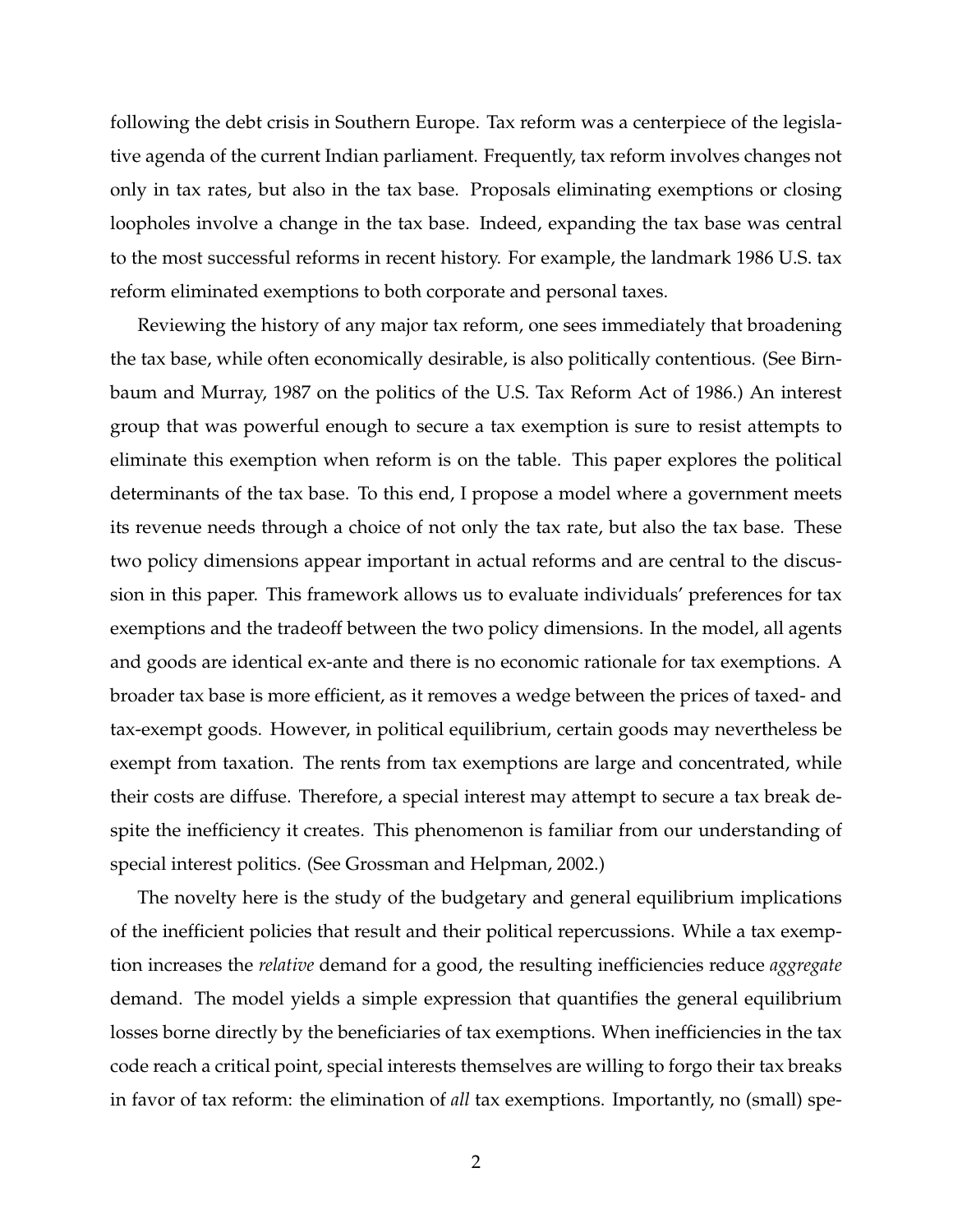following the debt crisis in Southern Europe. Tax reform was a centerpiece of the legislative agenda of the current Indian parliament. Frequently, tax reform involves changes not only in tax rates, but also in the tax base. Proposals eliminating exemptions or closing loopholes involve a change in the tax base. Indeed, expanding the tax base was central to the most successful reforms in recent history. For example, the landmark 1986 U.S. tax reform eliminated exemptions to both corporate and personal taxes.

Reviewing the history of any major tax reform, one sees immediately that broadening the tax base, while often economically desirable, is also politically contentious. (See Birnbaum and Murray, 1987 on the politics of the U.S. Tax Reform Act of 1986.) An interest group that was powerful enough to secure a tax exemption is sure to resist attempts to eliminate this exemption when reform is on the table. This paper explores the political determinants of the tax base. To this end, I propose a model where a government meets its revenue needs through a choice of not only the tax rate, but also the tax base. These two policy dimensions appear important in actual reforms and are central to the discussion in this paper. This framework allows us to evaluate individuals' preferences for tax exemptions and the tradeoff between the two policy dimensions. In the model, all agents and goods are identical ex-ante and there is no economic rationale for tax exemptions. A broader tax base is more efficient, as it removes a wedge between the prices of taxed- and tax-exempt goods. However, in political equilibrium, certain goods may nevertheless be exempt from taxation. The rents from tax exemptions are large and concentrated, while their costs are diffuse. Therefore, a special interest may attempt to secure a tax break despite the inefficiency it creates. This phenomenon is familiar from our understanding of special interest politics. (See Grossman and Helpman, 2002.)

The novelty here is the study of the budgetary and general equilibrium implications of the inefficient policies that result and their political repercussions. While a tax exemption increases the *relative* demand for a good, the resulting inefficiencies reduce *aggregate* demand. The model yields a simple expression that quantifies the general equilibrium losses borne directly by the beneficiaries of tax exemptions. When inefficiencies in the tax code reach a critical point, special interests themselves are willing to forgo their tax breaks in favor of tax reform: the elimination of *all* tax exemptions. Importantly, no (small) spe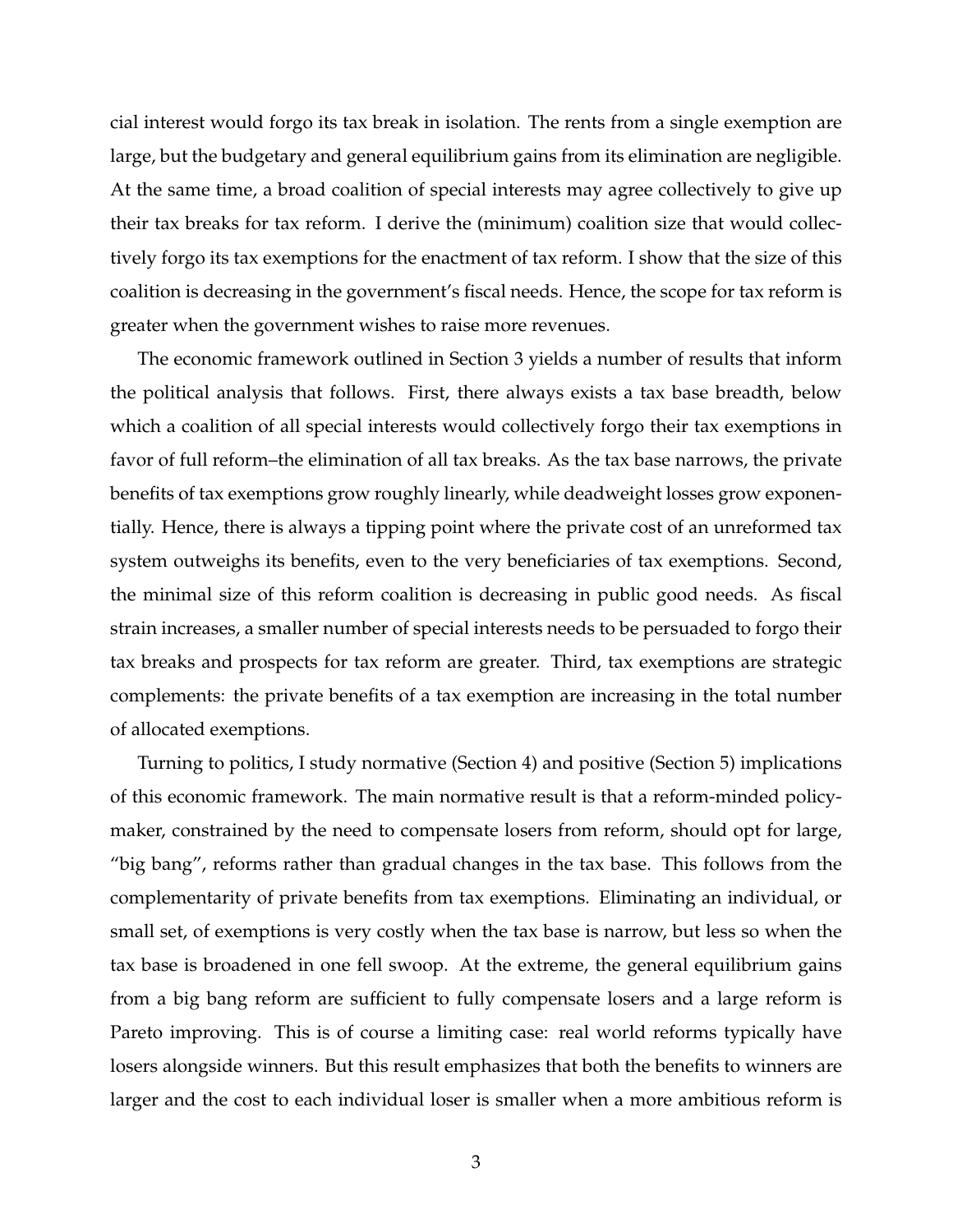cial interest would forgo its tax break in isolation. The rents from a single exemption are large, but the budgetary and general equilibrium gains from its elimination are negligible. At the same time, a broad coalition of special interests may agree collectively to give up their tax breaks for tax reform. I derive the (minimum) coalition size that would collectively forgo its tax exemptions for the enactment of tax reform. I show that the size of this coalition is decreasing in the government's fiscal needs. Hence, the scope for tax reform is greater when the government wishes to raise more revenues.

The economic framework outlined in Section 3 yields a number of results that inform the political analysis that follows. First, there always exists a tax base breadth, below which a coalition of all special interests would collectively forgo their tax exemptions in favor of full reform–the elimination of all tax breaks. As the tax base narrows, the private benefits of tax exemptions grow roughly linearly, while deadweight losses grow exponentially. Hence, there is always a tipping point where the private cost of an unreformed tax system outweighs its benefits, even to the very beneficiaries of tax exemptions. Second, the minimal size of this reform coalition is decreasing in public good needs. As fiscal strain increases, a smaller number of special interests needs to be persuaded to forgo their tax breaks and prospects for tax reform are greater. Third, tax exemptions are strategic complements: the private benefits of a tax exemption are increasing in the total number of allocated exemptions.

Turning to politics, I study normative (Section 4) and positive (Section 5) implications of this economic framework. The main normative result is that a reform-minded policymaker, constrained by the need to compensate losers from reform, should opt for large, "big bang", reforms rather than gradual changes in the tax base. This follows from the complementarity of private benefits from tax exemptions. Eliminating an individual, or small set, of exemptions is very costly when the tax base is narrow, but less so when the tax base is broadened in one fell swoop. At the extreme, the general equilibrium gains from a big bang reform are sufficient to fully compensate losers and a large reform is Pareto improving. This is of course a limiting case: real world reforms typically have losers alongside winners. But this result emphasizes that both the benefits to winners are larger and the cost to each individual loser is smaller when a more ambitious reform is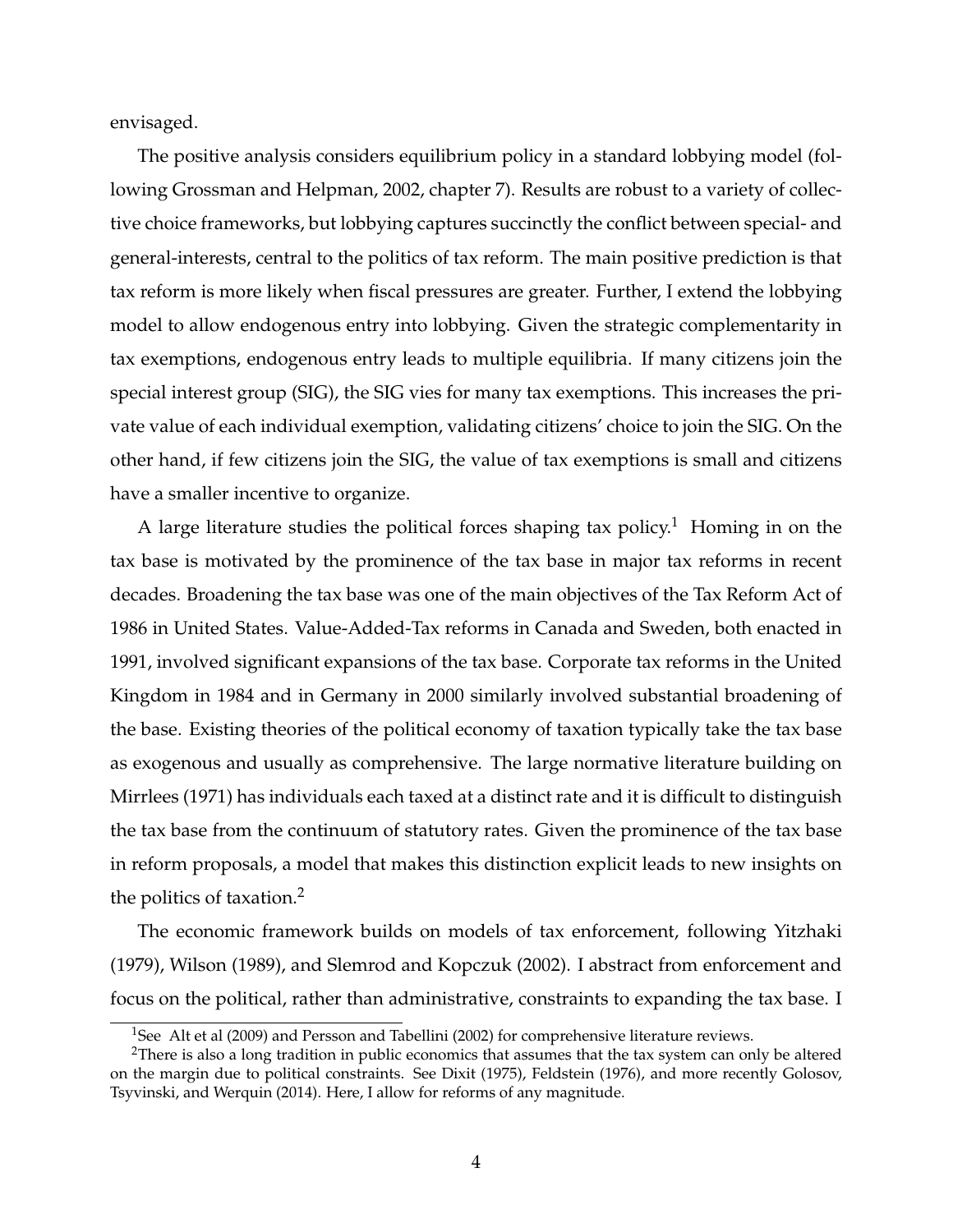envisaged.

The positive analysis considers equilibrium policy in a standard lobbying model (following Grossman and Helpman, 2002, chapter 7). Results are robust to a variety of collective choice frameworks, but lobbying captures succinctly the conflict between special- and general-interests, central to the politics of tax reform. The main positive prediction is that tax reform is more likely when fiscal pressures are greater. Further, I extend the lobbying model to allow endogenous entry into lobbying. Given the strategic complementarity in tax exemptions, endogenous entry leads to multiple equilibria. If many citizens join the special interest group (SIG), the SIG vies for many tax exemptions. This increases the private value of each individual exemption, validating citizens' choice to join the SIG. On the other hand, if few citizens join the SIG, the value of tax exemptions is small and citizens have a smaller incentive to organize.

A large literature studies the political forces shaping tax policy.<sup>1</sup> Homing in on the tax base is motivated by the prominence of the tax base in major tax reforms in recent decades. Broadening the tax base was one of the main objectives of the Tax Reform Act of 1986 in United States. Value-Added-Tax reforms in Canada and Sweden, both enacted in 1991, involved significant expansions of the tax base. Corporate tax reforms in the United Kingdom in 1984 and in Germany in 2000 similarly involved substantial broadening of the base. Existing theories of the political economy of taxation typically take the tax base as exogenous and usually as comprehensive. The large normative literature building on Mirrlees (1971) has individuals each taxed at a distinct rate and it is difficult to distinguish the tax base from the continuum of statutory rates. Given the prominence of the tax base in reform proposals, a model that makes this distinction explicit leads to new insights on the politics of taxation. $<sup>2</sup>$ </sup>

The economic framework builds on models of tax enforcement, following Yitzhaki (1979), Wilson (1989), and Slemrod and Kopczuk (2002). I abstract from enforcement and focus on the political, rather than administrative, constraints to expanding the tax base. I

<sup>&</sup>lt;sup>1</sup>See Alt et al (2009) and Persson and Tabellini (2002) for comprehensive literature reviews.

<sup>&</sup>lt;sup>2</sup>There is also a long tradition in public economics that assumes that the tax system can only be altered on the margin due to political constraints. See Dixit (1975), Feldstein (1976), and more recently Golosov, Tsyvinski, and Werquin (2014). Here, I allow for reforms of any magnitude.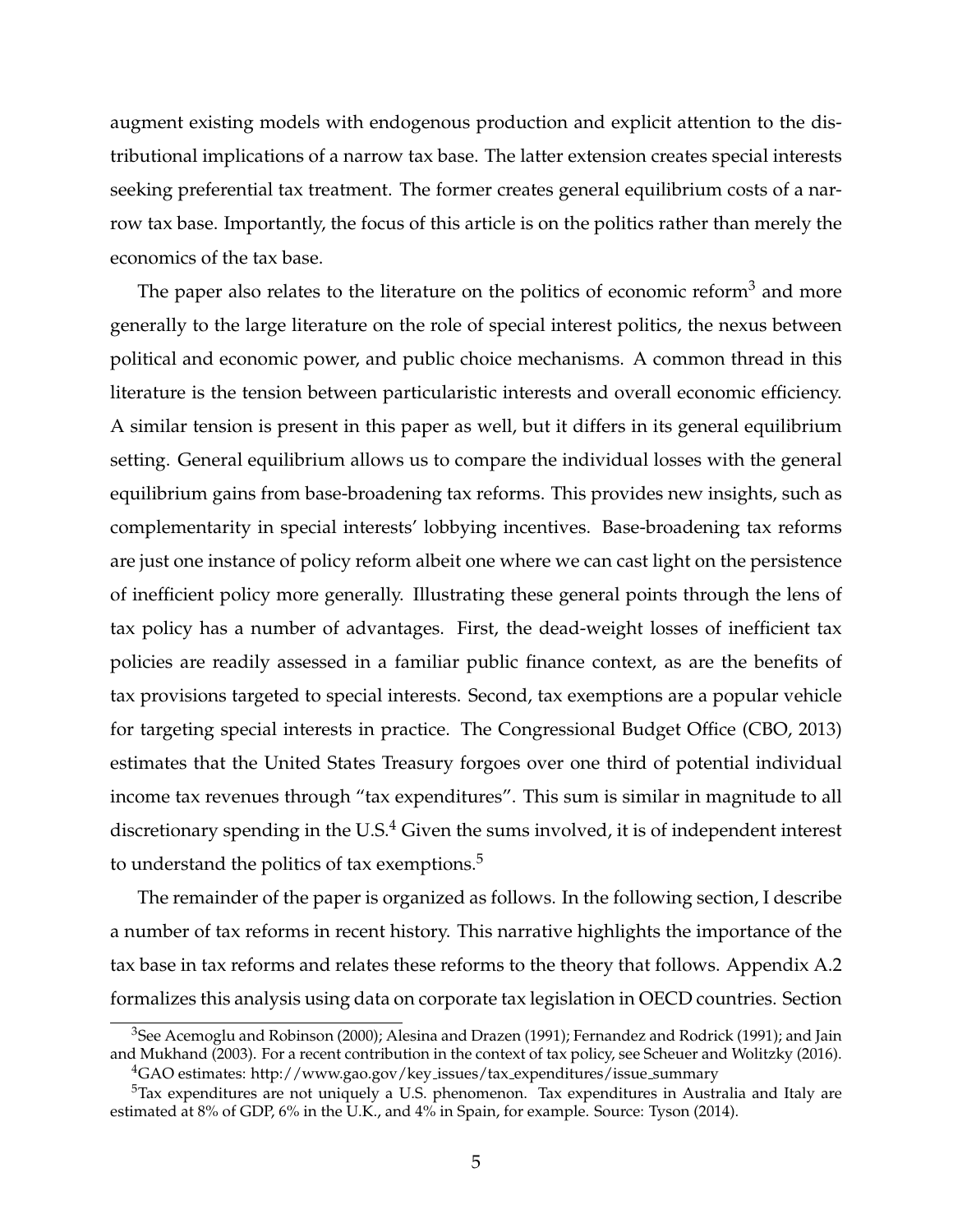augment existing models with endogenous production and explicit attention to the distributional implications of a narrow tax base. The latter extension creates special interests seeking preferential tax treatment. The former creates general equilibrium costs of a narrow tax base. Importantly, the focus of this article is on the politics rather than merely the economics of the tax base.

The paper also relates to the literature on the politics of economic reform<sup>3</sup> and more generally to the large literature on the role of special interest politics, the nexus between political and economic power, and public choice mechanisms. A common thread in this literature is the tension between particularistic interests and overall economic efficiency. A similar tension is present in this paper as well, but it differs in its general equilibrium setting. General equilibrium allows us to compare the individual losses with the general equilibrium gains from base-broadening tax reforms. This provides new insights, such as complementarity in special interests' lobbying incentives. Base-broadening tax reforms are just one instance of policy reform albeit one where we can cast light on the persistence of inefficient policy more generally. Illustrating these general points through the lens of tax policy has a number of advantages. First, the dead-weight losses of inefficient tax policies are readily assessed in a familiar public finance context, as are the benefits of tax provisions targeted to special interests. Second, tax exemptions are a popular vehicle for targeting special interests in practice. The Congressional Budget Office (CBO, 2013) estimates that the United States Treasury forgoes over one third of potential individual income tax revenues through "tax expenditures". This sum is similar in magnitude to all discretionary spending in the  $U.S.<sup>4</sup>$  Given the sums involved, it is of independent interest to understand the politics of tax exemptions.<sup>5</sup>

The remainder of the paper is organized as follows. In the following section, I describe a number of tax reforms in recent history. This narrative highlights the importance of the tax base in tax reforms and relates these reforms to the theory that follows. Appendix A.2 formalizes this analysis using data on corporate tax legislation in OECD countries. Section

<sup>&</sup>lt;sup>3</sup>See Acemoglu and Robinson (2000); Alesina and Drazen (1991); Fernandez and Rodrick (1991); and Jain and Mukhand (2003). For a recent contribution in the context of tax policy, see Scheuer and Wolitzky (2016).

<sup>4</sup>GAO estimates: http://www.gao.gov/key issues/tax expenditures/issue summary

<sup>&</sup>lt;sup>5</sup>Tax expenditures are not uniquely a U.S. phenomenon. Tax expenditures in Australia and Italy are estimated at 8% of GDP, 6% in the U.K., and 4% in Spain, for example. Source: Tyson (2014).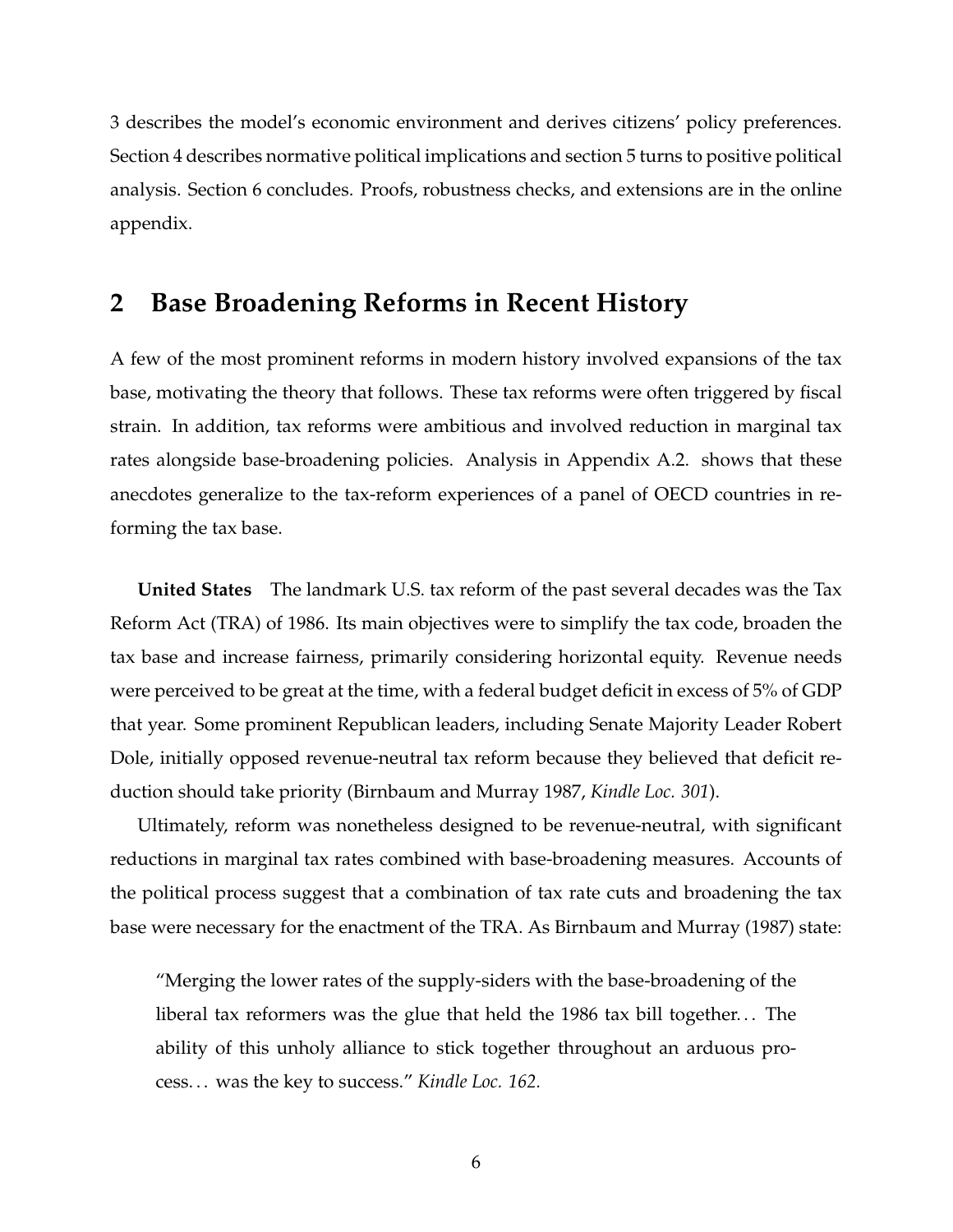3 describes the model's economic environment and derives citizens' policy preferences. Section 4 describes normative political implications and section 5 turns to positive political analysis. Section 6 concludes. Proofs, robustness checks, and extensions are in the online appendix.

# **2 Base Broadening Reforms in Recent History**

A few of the most prominent reforms in modern history involved expansions of the tax base, motivating the theory that follows. These tax reforms were often triggered by fiscal strain. In addition, tax reforms were ambitious and involved reduction in marginal tax rates alongside base-broadening policies. Analysis in Appendix A.2. shows that these anecdotes generalize to the tax-reform experiences of a panel of OECD countries in reforming the tax base.

**United States** The landmark U.S. tax reform of the past several decades was the Tax Reform Act (TRA) of 1986. Its main objectives were to simplify the tax code, broaden the tax base and increase fairness, primarily considering horizontal equity. Revenue needs were perceived to be great at the time, with a federal budget deficit in excess of 5% of GDP that year. Some prominent Republican leaders, including Senate Majority Leader Robert Dole, initially opposed revenue-neutral tax reform because they believed that deficit reduction should take priority (Birnbaum and Murray 1987, *Kindle Loc. 301*).

Ultimately, reform was nonetheless designed to be revenue-neutral, with significant reductions in marginal tax rates combined with base-broadening measures. Accounts of the political process suggest that a combination of tax rate cuts and broadening the tax base were necessary for the enactment of the TRA. As Birnbaum and Murray (1987) state:

"Merging the lower rates of the supply-siders with the base-broadening of the liberal tax reformers was the glue that held the 1986 tax bill together. . . The ability of this unholy alliance to stick together throughout an arduous process. . . was the key to success." *Kindle Loc. 162.*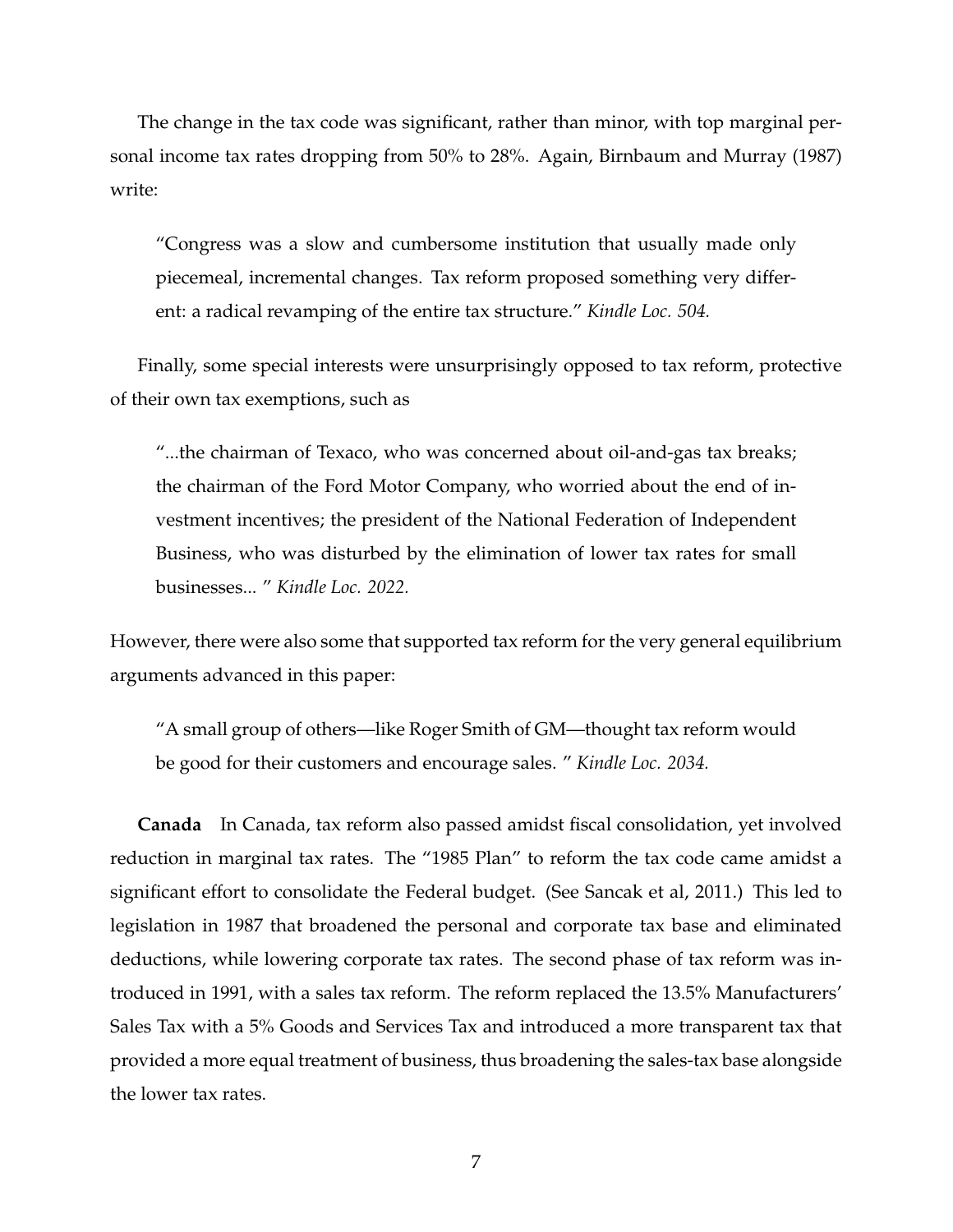The change in the tax code was significant, rather than minor, with top marginal personal income tax rates dropping from 50% to 28%. Again, Birnbaum and Murray (1987) write:

"Congress was a slow and cumbersome institution that usually made only piecemeal, incremental changes. Tax reform proposed something very different: a radical revamping of the entire tax structure." *Kindle Loc. 504.*

Finally, some special interests were unsurprisingly opposed to tax reform, protective of their own tax exemptions, such as

"...the chairman of Texaco, who was concerned about oil-and-gas tax breaks; the chairman of the Ford Motor Company, who worried about the end of investment incentives; the president of the National Federation of Independent Business, who was disturbed by the elimination of lower tax rates for small businesses... " *Kindle Loc. 2022.*

However, there were also some that supported tax reform for the very general equilibrium arguments advanced in this paper:

"A small group of others—like Roger Smith of GM—thought tax reform would be good for their customers and encourage sales. " *Kindle Loc. 2034.*

**Canada** In Canada, tax reform also passed amidst fiscal consolidation, yet involved reduction in marginal tax rates. The "1985 Plan" to reform the tax code came amidst a significant effort to consolidate the Federal budget. (See Sancak et al, 2011.) This led to legislation in 1987 that broadened the personal and corporate tax base and eliminated deductions, while lowering corporate tax rates. The second phase of tax reform was introduced in 1991, with a sales tax reform. The reform replaced the 13.5% Manufacturers' Sales Tax with a 5% Goods and Services Tax and introduced a more transparent tax that provided a more equal treatment of business, thus broadening the sales-tax base alongside the lower tax rates.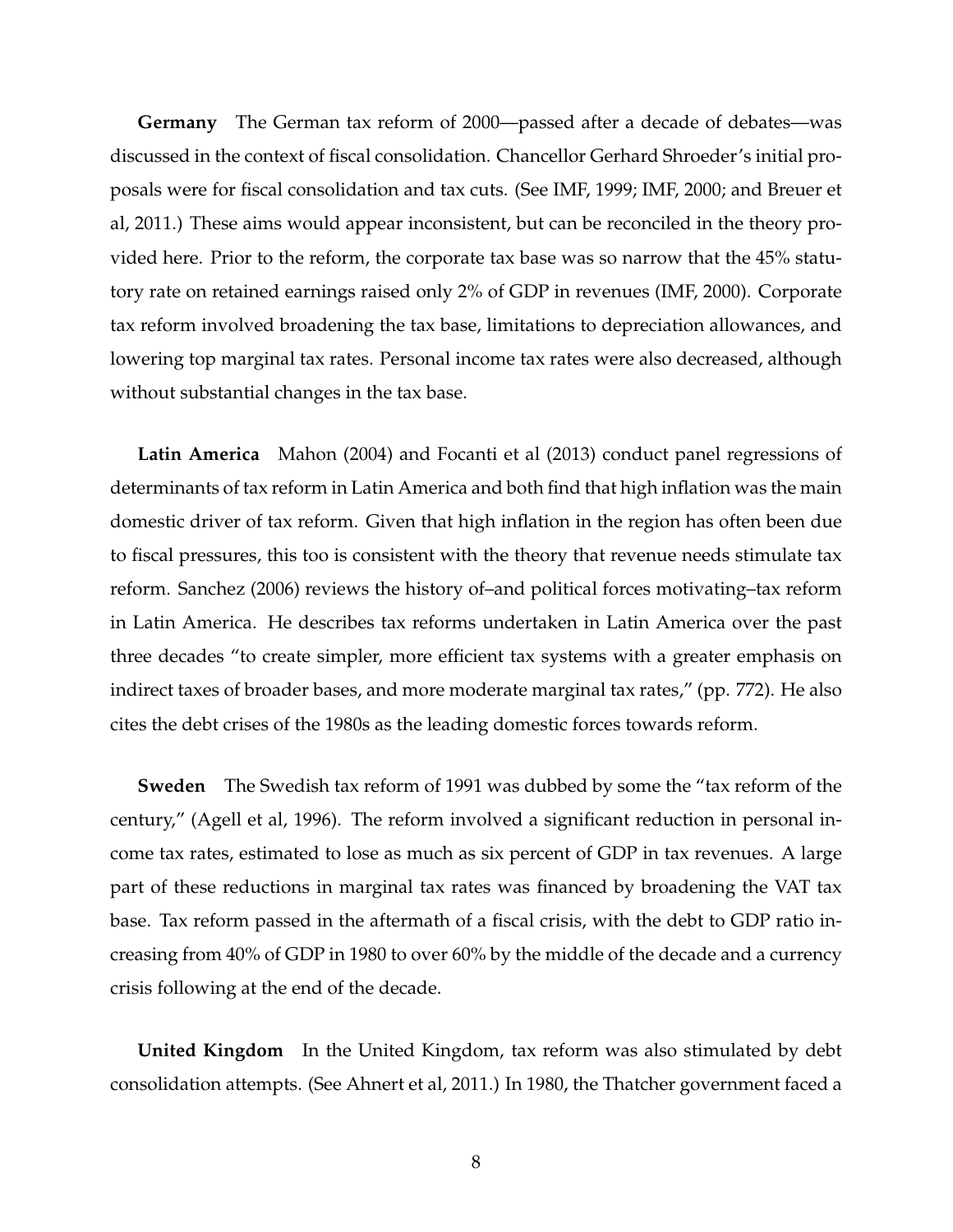**Germany** The German tax reform of 2000—passed after a decade of debates—was discussed in the context of fiscal consolidation. Chancellor Gerhard Shroeder's initial proposals were for fiscal consolidation and tax cuts. (See IMF, 1999; IMF, 2000; and Breuer et al, 2011.) These aims would appear inconsistent, but can be reconciled in the theory provided here. Prior to the reform, the corporate tax base was so narrow that the 45% statutory rate on retained earnings raised only 2% of GDP in revenues (IMF, 2000). Corporate tax reform involved broadening the tax base, limitations to depreciation allowances, and lowering top marginal tax rates. Personal income tax rates were also decreased, although without substantial changes in the tax base.

**Latin America** Mahon (2004) and Focanti et al (2013) conduct panel regressions of determinants of tax reform in Latin America and both find that high inflation was the main domestic driver of tax reform. Given that high inflation in the region has often been due to fiscal pressures, this too is consistent with the theory that revenue needs stimulate tax reform. Sanchez (2006) reviews the history of–and political forces motivating–tax reform in Latin America. He describes tax reforms undertaken in Latin America over the past three decades "to create simpler, more efficient tax systems with a greater emphasis on indirect taxes of broader bases, and more moderate marginal tax rates," (pp. 772). He also cites the debt crises of the 1980s as the leading domestic forces towards reform.

**Sweden** The Swedish tax reform of 1991 was dubbed by some the "tax reform of the century," (Agell et al, 1996). The reform involved a significant reduction in personal income tax rates, estimated to lose as much as six percent of GDP in tax revenues. A large part of these reductions in marginal tax rates was financed by broadening the VAT tax base. Tax reform passed in the aftermath of a fiscal crisis, with the debt to GDP ratio increasing from 40% of GDP in 1980 to over 60% by the middle of the decade and a currency crisis following at the end of the decade.

**United Kingdom** In the United Kingdom, tax reform was also stimulated by debt consolidation attempts. (See Ahnert et al, 2011.) In 1980, the Thatcher government faced a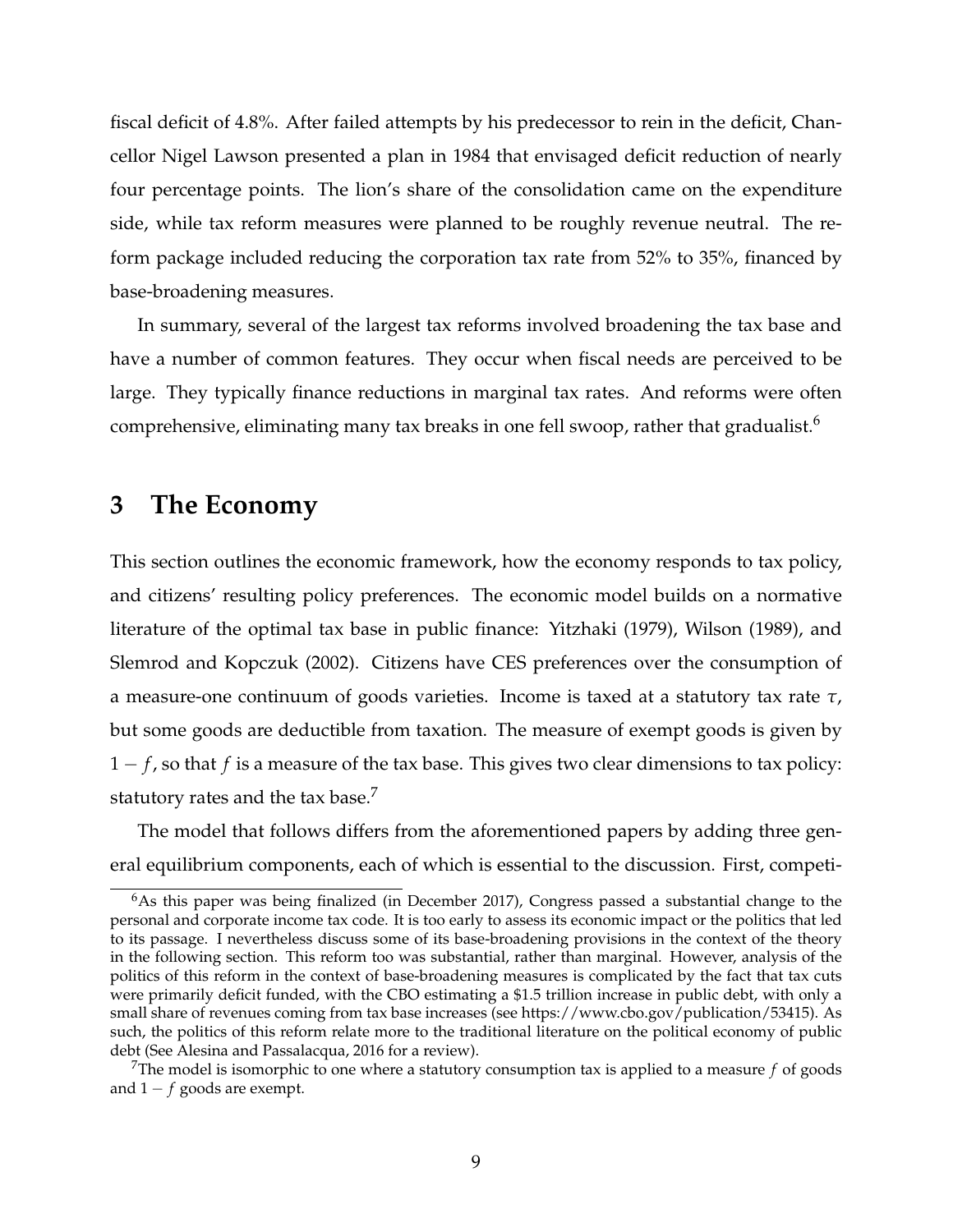fiscal deficit of 4.8%. After failed attempts by his predecessor to rein in the deficit, Chancellor Nigel Lawson presented a plan in 1984 that envisaged deficit reduction of nearly four percentage points. The lion's share of the consolidation came on the expenditure side, while tax reform measures were planned to be roughly revenue neutral. The reform package included reducing the corporation tax rate from 52% to 35%, financed by base-broadening measures.

In summary, several of the largest tax reforms involved broadening the tax base and have a number of common features. They occur when fiscal needs are perceived to be large. They typically finance reductions in marginal tax rates. And reforms were often comprehensive, eliminating many tax breaks in one fell swoop, rather that gradualist.<sup>6</sup>

### **3 The Economy**

This section outlines the economic framework, how the economy responds to tax policy, and citizens' resulting policy preferences. The economic model builds on a normative literature of the optimal tax base in public finance: Yitzhaki (1979), Wilson (1989), and Slemrod and Kopczuk (2002). Citizens have CES preferences over the consumption of a measure-one continuum of goods varieties. Income is taxed at a statutory tax rate *τ*, but some goods are deductible from taxation. The measure of exempt goods is given by 1 − *f* , so that *f* is a measure of the tax base. This gives two clear dimensions to tax policy: statutory rates and the tax base.<sup>7</sup>

The model that follows differs from the aforementioned papers by adding three general equilibrium components, each of which is essential to the discussion. First, competi-

 $6$ As this paper was being finalized (in December 2017), Congress passed a substantial change to the personal and corporate income tax code. It is too early to assess its economic impact or the politics that led to its passage. I nevertheless discuss some of its base-broadening provisions in the context of the theory in the following section. This reform too was substantial, rather than marginal. However, analysis of the politics of this reform in the context of base-broadening measures is complicated by the fact that tax cuts were primarily deficit funded, with the CBO estimating a \$1.5 trillion increase in public debt, with only a small share of revenues coming from tax base increases (see https://www.cbo.gov/publication/53415). As such, the politics of this reform relate more to the traditional literature on the political economy of public debt (See Alesina and Passalacqua, 2016 for a review).

<sup>&</sup>lt;sup>7</sup>The model is isomorphic to one where a statutory consumption tax is applied to a measure  $f$  of goods and  $1 - f$  goods are exempt.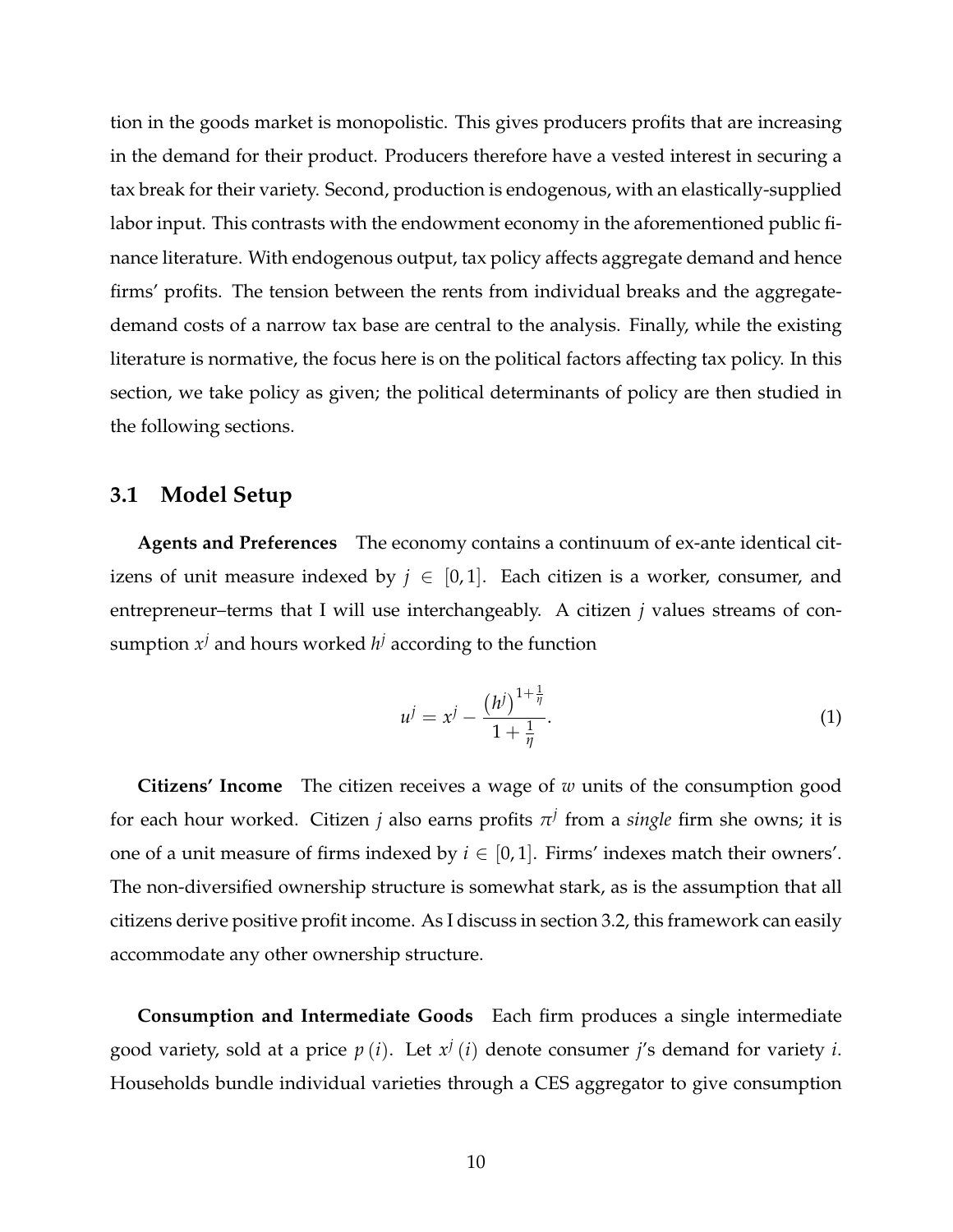tion in the goods market is monopolistic. This gives producers profits that are increasing in the demand for their product. Producers therefore have a vested interest in securing a tax break for their variety. Second, production is endogenous, with an elastically-supplied labor input. This contrasts with the endowment economy in the aforementioned public finance literature. With endogenous output, tax policy affects aggregate demand and hence firms' profits. The tension between the rents from individual breaks and the aggregatedemand costs of a narrow tax base are central to the analysis. Finally, while the existing literature is normative, the focus here is on the political factors affecting tax policy. In this section, we take policy as given; the political determinants of policy are then studied in the following sections.

#### **3.1 Model Setup**

**Agents and Preferences** The economy contains a continuum of ex-ante identical citizens of unit measure indexed by  $j \in [0, 1]$ . Each citizen is a worker, consumer, and entrepreneur–terms that I will use interchangeably. A citizen *j* values streams of consumption  $x^j$  and hours worked  $h^j$  according to the function

$$
u^{j} = x^{j} - \frac{(h^{j})^{1 + \frac{1}{\eta}}}{1 + \frac{1}{\eta}}.
$$
\n(1)

**Citizens' Income** The citizen receives a wage of *w* units of the consumption good for each hour worked. Citizen  $j$  also earns profits  $\pi^j$  from a *single* firm she owns; it is one of a unit measure of firms indexed by  $i \in [0,1]$ . Firms' indexes match their owners'. The non-diversified ownership structure is somewhat stark, as is the assumption that all citizens derive positive profit income. As I discuss in section 3.2, this framework can easily accommodate any other ownership structure.

**Consumption and Intermediate Goods** Each firm produces a single intermediate good variety, sold at a price  $p(i)$ . Let  $x^j(i)$  denote consumer *j's* demand for variety *i*. Households bundle individual varieties through a CES aggregator to give consumption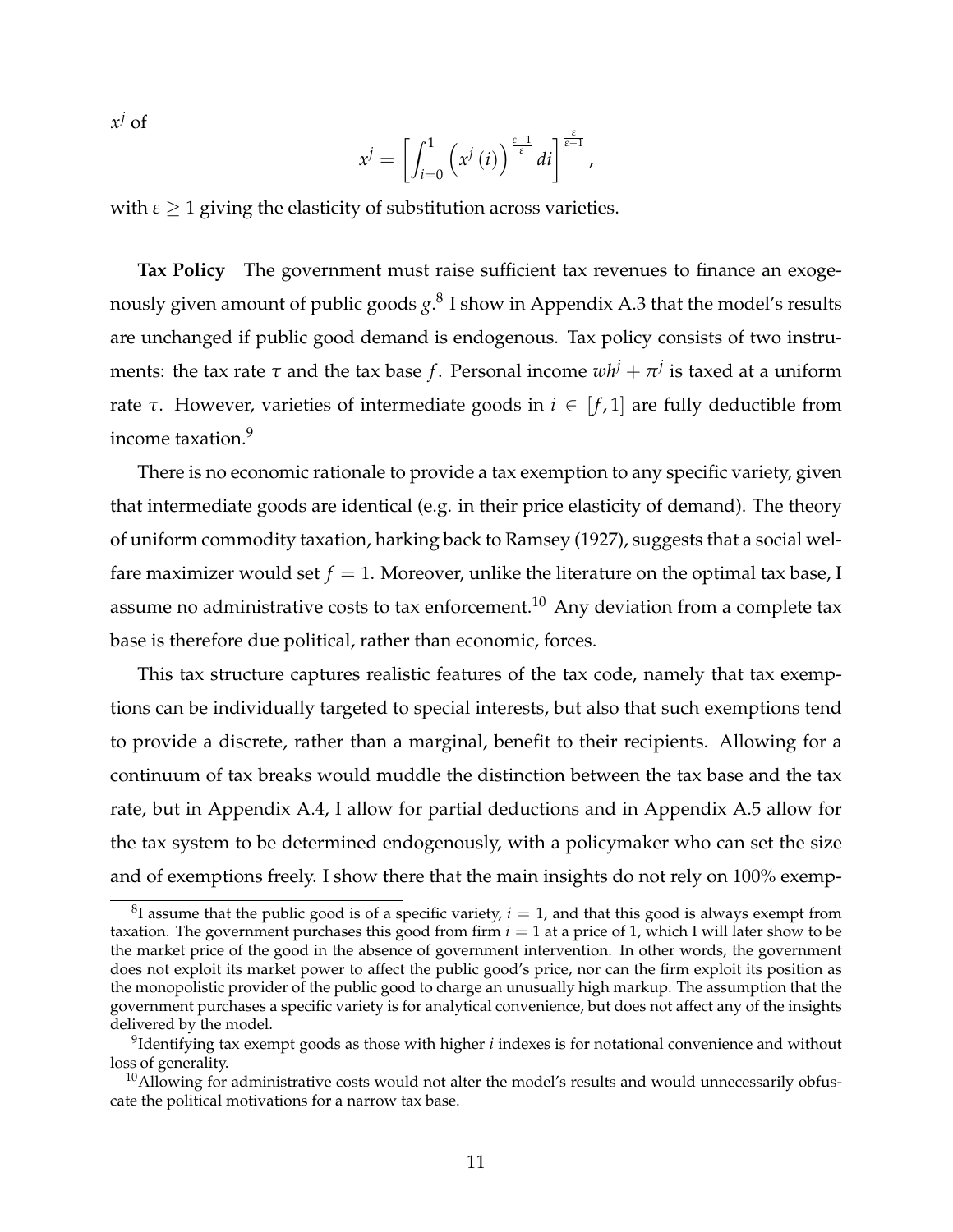$x^j$  of

$$
x^{j} = \left[\int_{i=0}^{1} \left(x^{j}\left(i\right)\right)^{\frac{\varepsilon-1}{\varepsilon}} di\right]^{\frac{\varepsilon}{\varepsilon-1}},
$$

with  $\varepsilon \geq 1$  giving the elasticity of substitution across varieties.

**Tax Policy** The government must raise sufficient tax revenues to finance an exogenously given amount of public goods *g*. 8 I show in Appendix A.3 that the model's results are unchanged if public good demand is endogenous. Tax policy consists of two instruments: the tax rate  $\tau$  and the tax base  $f$ . Personal income  $wh^j + \pi^j$  is taxed at a uniform rate *τ*. However, varieties of intermediate goods in  $i \in [f, 1]$  are fully deductible from income taxation.<sup>9</sup>

There is no economic rationale to provide a tax exemption to any specific variety, given that intermediate goods are identical (e.g. in their price elasticity of demand). The theory of uniform commodity taxation, harking back to Ramsey (1927), suggests that a social welfare maximizer would set  $f = 1$ . Moreover, unlike the literature on the optimal tax base, I assume no administrative costs to tax enforcement.<sup>10</sup> Any deviation from a complete tax base is therefore due political, rather than economic, forces.

This tax structure captures realistic features of the tax code, namely that tax exemptions can be individually targeted to special interests, but also that such exemptions tend to provide a discrete, rather than a marginal, benefit to their recipients. Allowing for a continuum of tax breaks would muddle the distinction between the tax base and the tax rate, but in Appendix A.4, I allow for partial deductions and in Appendix A.5 allow for the tax system to be determined endogenously, with a policymaker who can set the size and of exemptions freely. I show there that the main insights do not rely on 100% exemp-

 ${}^{8}$ I assume that the public good is of a specific variety,  $i = 1$ , and that this good is always exempt from taxation. The government purchases this good from firm  $i = 1$  at a price of 1, which I will later show to be the market price of the good in the absence of government intervention. In other words, the government does not exploit its market power to affect the public good's price, nor can the firm exploit its position as the monopolistic provider of the public good to charge an unusually high markup. The assumption that the government purchases a specific variety is for analytical convenience, but does not affect any of the insights delivered by the model.

<sup>9</sup> Identifying tax exempt goods as those with higher *i* indexes is for notational convenience and without loss of generality.

 $10$ Allowing for administrative costs would not alter the model's results and would unnecessarily obfuscate the political motivations for a narrow tax base.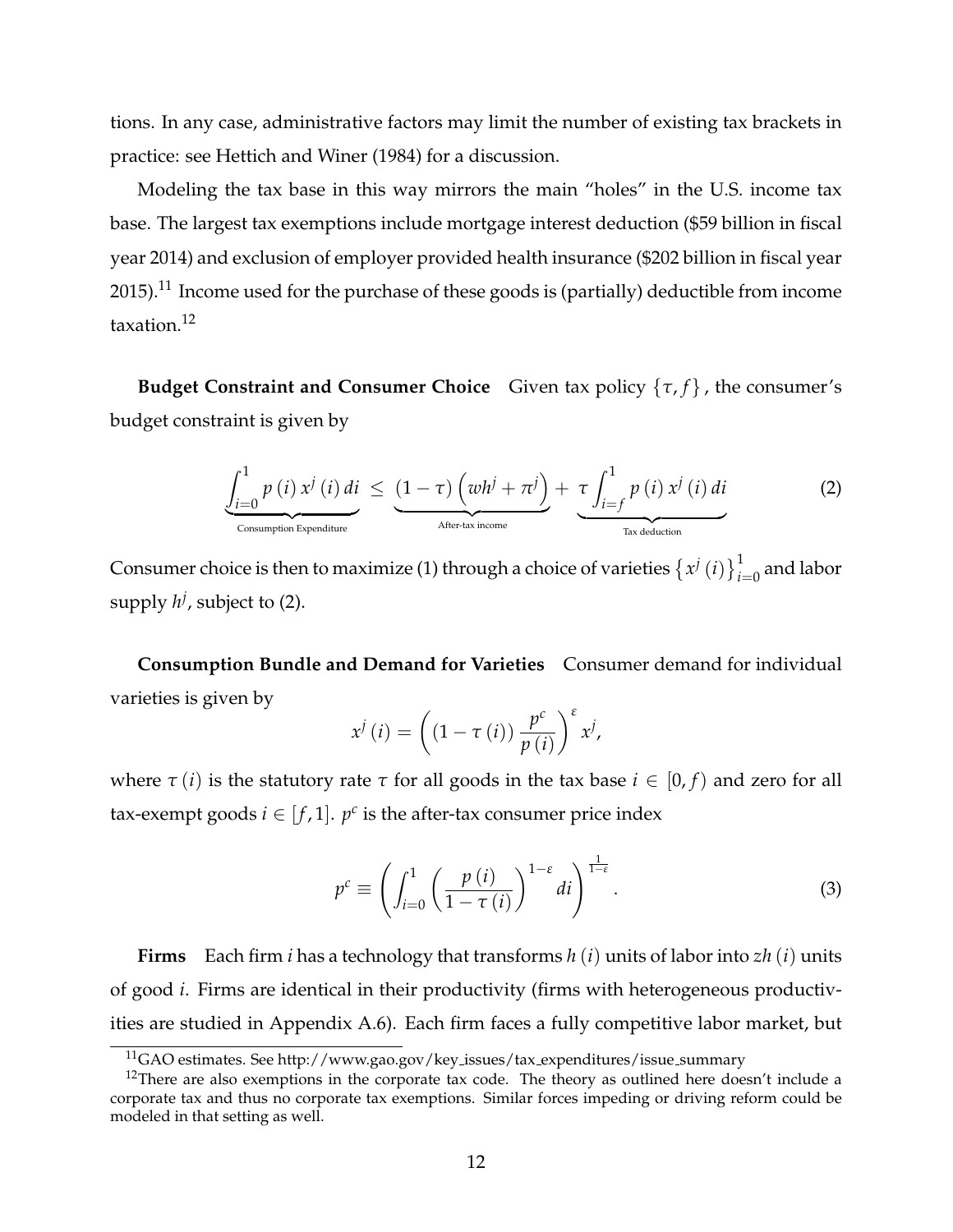tions. In any case, administrative factors may limit the number of existing tax brackets in practice: see Hettich and Winer (1984) for a discussion.

Modeling the tax base in this way mirrors the main "holes" in the U.S. income tax base. The largest tax exemptions include mortgage interest deduction (\$59 billion in fiscal year 2014) and exclusion of employer provided health insurance (\$202 billion in fiscal year 2015).<sup>11</sup> Income used for the purchase of these goods is (partially) deductible from income taxation.<sup>12</sup>

**Budget Constraint and Consumer Choice** Given tax policy  $\{\tau, f\}$ , the consumer's budget constraint is given by

$$
\underbrace{\int_{i=0}^{1} p(i) x^{j}(i) di}_{\text{Consumption Experiment}} \leq \underbrace{(1-\tau) \left(wh^{j} + \pi^{j}\right)}_{\text{After-tax income}} + \underbrace{\tau \int_{i=f}^{1} p(i) x^{j}(i) di}_{\text{Tax deduction}}
$$
 (2)

Consumer choice is then to maximize (1) through a choice of varieties  $\left\{x^j\left(i\right)\right\}_{i=0}^1$  and labor supply *h j* , subject to (2).

**Consumption Bundle and Demand for Varieties** Consumer demand for individual varieties is given by

$$
x^{j}(i) = \left( \left(1 - \tau(i)\right) \frac{p^{c}}{p(i)} \right)^{\varepsilon} x^{j},
$$

where  $\tau(i)$  is the statutory rate  $\tau$  for all goods in the tax base  $i \in [0, f)$  and zero for all tax-exempt goods  $i \in [f, 1]$ .  $p^c$  is the after-tax consumer price index

$$
p^{c} \equiv \left( \int_{i=0}^{1} \left( \frac{p(i)}{1-\tau(i)} \right)^{1-\epsilon} di \right)^{\frac{1}{1-\epsilon}}.
$$
 (3)

**Firms** Each firm *i* has a technology that transforms *h* (*i*) units of labor into *zh* (*i*) units of good *i*. Firms are identical in their productivity (firms with heterogeneous productivities are studied in Appendix A.6). Each firm faces a fully competitive labor market, but

<sup>&</sup>lt;sup>11</sup>GAO estimates. See http://www.gao.gov/key\_issues/tax\_expenditures/issue\_summary

<sup>&</sup>lt;sup>12</sup>There are also exemptions in the corporate tax code. The theory as outlined here doesn't include a corporate tax and thus no corporate tax exemptions. Similar forces impeding or driving reform could be modeled in that setting as well.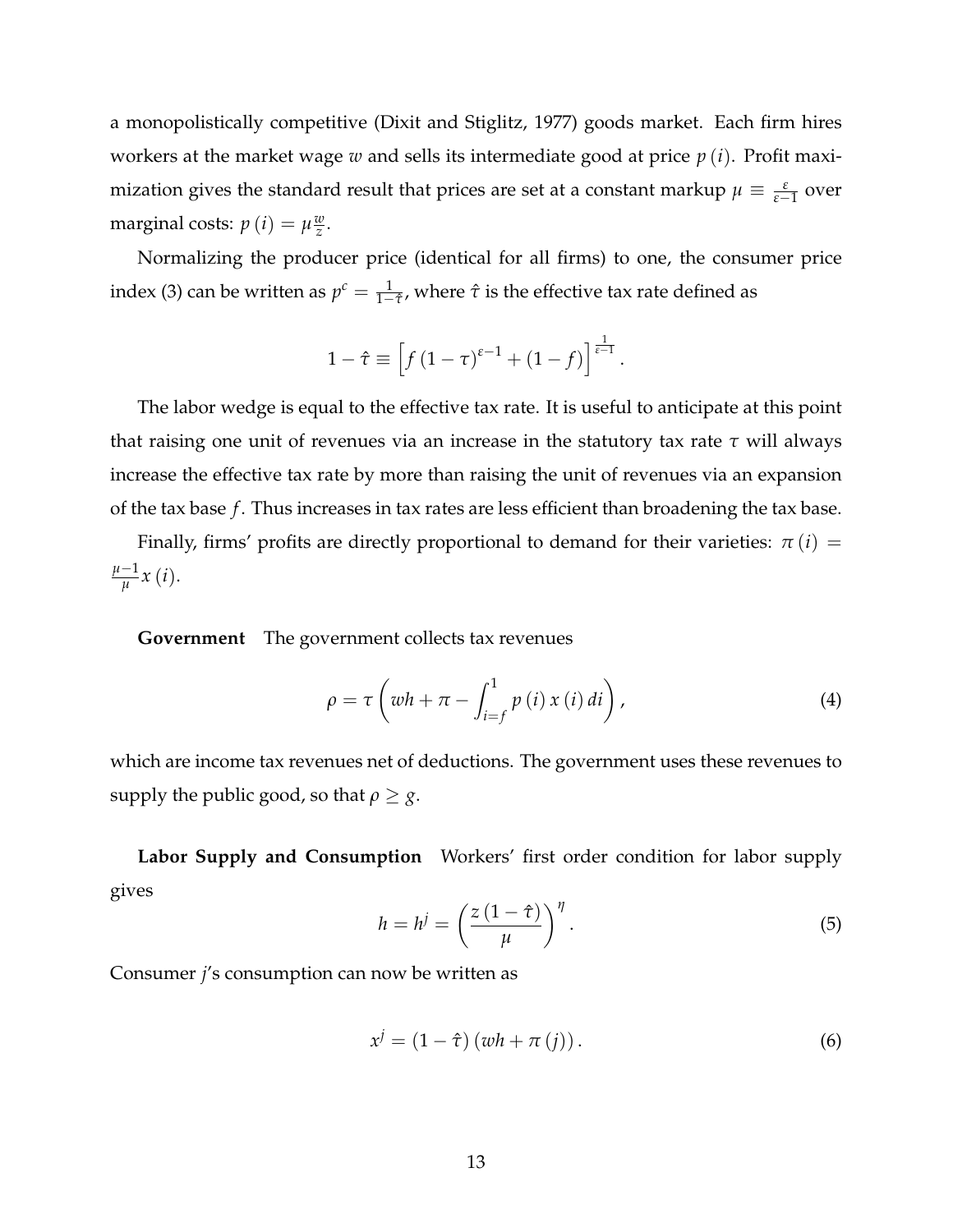a monopolistically competitive (Dixit and Stiglitz, 1977) goods market. Each firm hires workers at the market wage *w* and sells its intermediate good at price *p* (*i*). Profit maximization gives the standard result that prices are set at a constant markup  $\mu \equiv \frac{\varepsilon}{\varepsilon - 1}$  over marginal costs:  $p(i) = \mu \frac{w}{z}$  $\frac{w}{z}$ .

Normalizing the producer price (identical for all firms) to one, the consumer price index (3) can be written as  $p^c = \frac{1}{1-\hat{\tau}}$ , where  $\hat{\tau}$  is the effective tax rate defined as

$$
1 - \hat{\tau} \equiv \left[ f (1 - \tau)^{\varepsilon - 1} + (1 - f) \right]^{\frac{1}{\varepsilon - 1}}.
$$

The labor wedge is equal to the effective tax rate. It is useful to anticipate at this point that raising one unit of revenues via an increase in the statutory tax rate *τ* will always increase the effective tax rate by more than raising the unit of revenues via an expansion of the tax base *f* . Thus increases in tax rates are less efficient than broadening the tax base.

Finally, firms' profits are directly proportional to demand for their varieties:  $\pi(i)$  = *µ*−1  $\frac{-1}{\mu}$ *x* (*i*).

**Government** The government collects tax revenues

$$
\rho = \tau \left( w h + \pi - \int_{i=f}^{1} p(i) x(i) di \right), \tag{4}
$$

which are income tax revenues net of deductions. The government uses these revenues to supply the public good, so that  $\rho \geq g$ .

**Labor Supply and Consumption** Workers' first order condition for labor supply gives

$$
h = h^{j} = \left(\frac{z(1-\hat{\tau})}{\mu}\right)^{\eta}.
$$
\n(5)

Consumer *j*'s consumption can now be written as

$$
x^{j} = (1 - \hat{\tau}) \left( wh + \pi (j) \right). \tag{6}
$$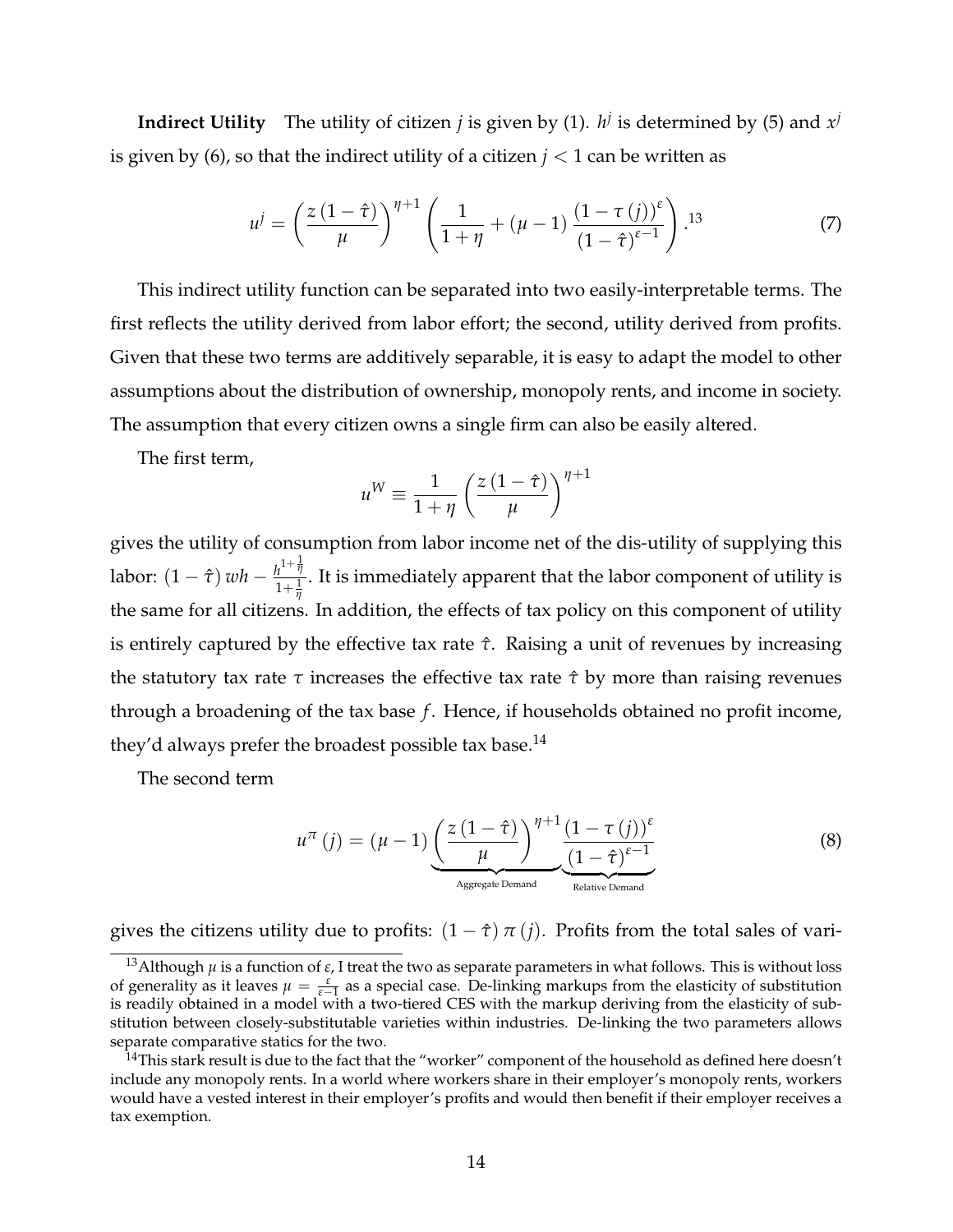**Indirect Utility** The utility of citizen *j* is given by (1).  $h^j$  is determined by (5) and  $x^j$ is given by (6), so that the indirect utility of a citizen  $j < 1$  can be written as

$$
u^{j} = \left(\frac{z(1-\hat{\tau})}{\mu}\right)^{\eta+1} \left(\frac{1}{1+\eta} + (\mu-1)\frac{(1-\tau(j))^{2}}{(1-\hat{\tau})^{2}}\right).^{13}
$$
(7)

This indirect utility function can be separated into two easily-interpretable terms. The first reflects the utility derived from labor effort; the second, utility derived from profits. Given that these two terms are additively separable, it is easy to adapt the model to other assumptions about the distribution of ownership, monopoly rents, and income in society. The assumption that every citizen owns a single firm can also be easily altered.

The first term,

$$
u^{W} \equiv \frac{1}{1+\eta} \left(\frac{z(1-\hat{\tau})}{\mu}\right)^{\eta+1}
$$

gives the utility of consumption from labor income net of the dis-utility of supplying this labor:  $(1 - \hat{\tau}) w h - \frac{h^{1 + \frac{1}{\eta}}}{1 + \hat{\tau}}$  $1+\frac{1}{\eta}$ . It is immediately apparent that the labor component of utility is the same for all citizens. In addition, the effects of tax policy on this component of utility is entirely captured by the effective tax rate *τ*ˆ. Raising a unit of revenues by increasing the statutory tax rate *τ* increases the effective tax rate *τ*ˆ by more than raising revenues through a broadening of the tax base *f* . Hence, if households obtained no profit income, they'd always prefer the broadest possible tax base.<sup>14</sup>

The second term

$$
u^{\pi}(j) = (\mu - 1) \underbrace{\left(\frac{z(1-\hat{\tau})}{\mu}\right)^{\eta+1} \underbrace{(1-\tau(j))^{\varepsilon}}_{\text{Aggregate Demand}}}{\underbrace{(1-\hat{\tau})^{\varepsilon-1}}_{\text{Relative Demand}}}
$$
(8)

gives the citizens utility due to profits:  $(1 - \hat{\tau}) \pi (i)$ . Profits from the total sales of vari-

<sup>&</sup>lt;sup>13</sup>Although  $\mu$  is a function of  $\varepsilon$ , I treat the two as separate parameters in what follows. This is without loss of generality as it leaves  $\mu = \frac{\varepsilon}{\varepsilon - 1}$  as a special case. De-linking markups from the elasticity of substitution is readily obtained in a model with a two-tiered CES with the markup deriving from the elasticity of substitution between closely-substitutable varieties within industries. De-linking the two parameters allows separate comparative statics for the two.

 $14$ This stark result is due to the fact that the "worker" component of the household as defined here doesn't include any monopoly rents. In a world where workers share in their employer's monopoly rents, workers would have a vested interest in their employer's profits and would then benefit if their employer receives a tax exemption.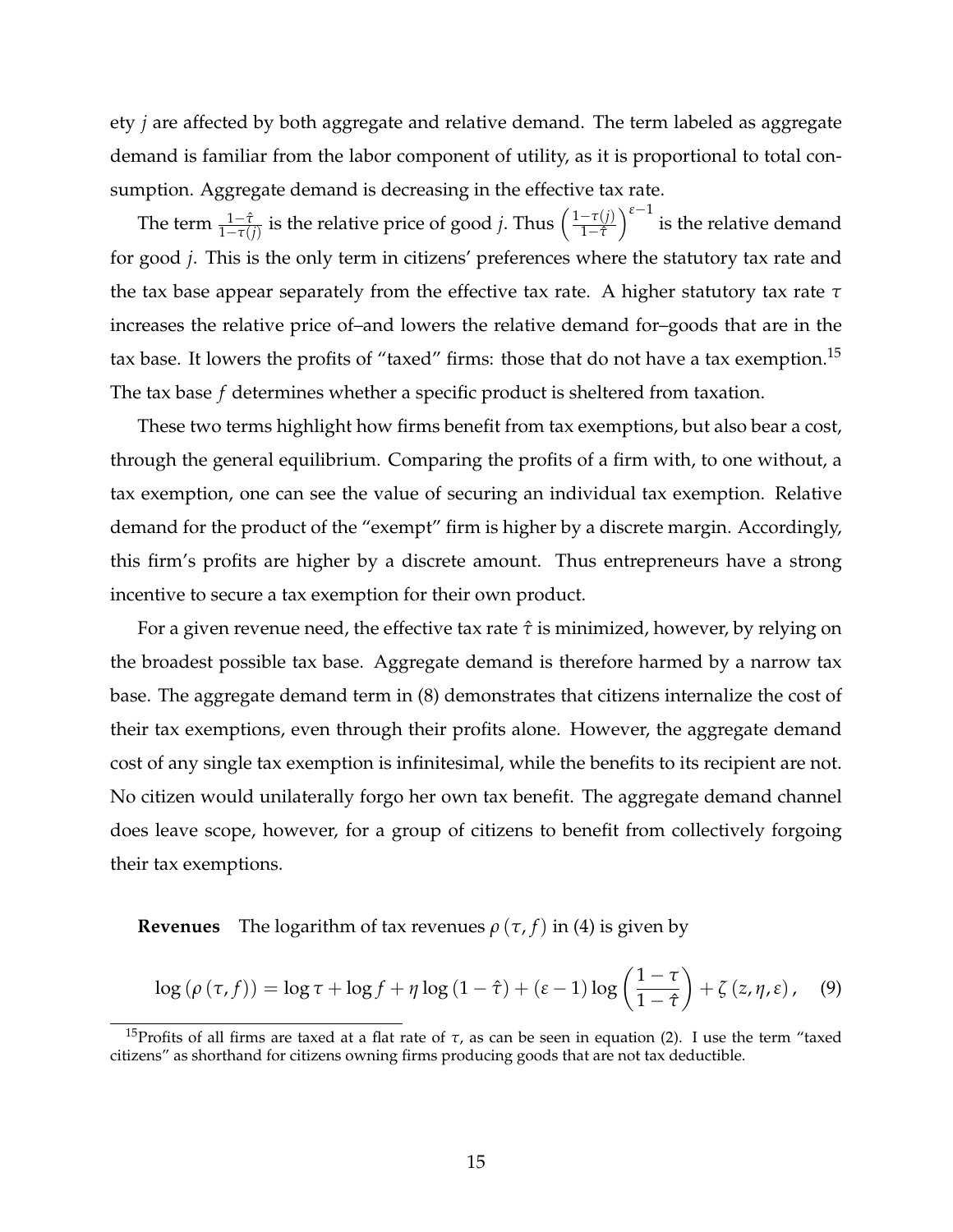ety *j* are affected by both aggregate and relative demand. The term labeled as aggregate demand is familiar from the labor component of utility, as it is proportional to total consumption. Aggregate demand is decreasing in the effective tax rate.

The term  $\frac{1-\hat{\tau}}{1-\tau(j)}$  is the relative price of good *j*. Thus  $\left(\frac{1-\tau(j)}{1-\hat{\tau}}\right)$ 1−*τ*ˆ  $\int_{0}^{2\epsilon-1}$  is the relative demand for good *j*. This is the only term in citizens' preferences where the statutory tax rate and the tax base appear separately from the effective tax rate. A higher statutory tax rate *τ* increases the relative price of–and lowers the relative demand for–goods that are in the tax base. It lowers the profits of "taxed" firms: those that do not have a tax exemption.<sup>15</sup> The tax base *f* determines whether a specific product is sheltered from taxation.

These two terms highlight how firms benefit from tax exemptions, but also bear a cost, through the general equilibrium. Comparing the profits of a firm with, to one without, a tax exemption, one can see the value of securing an individual tax exemption. Relative demand for the product of the "exempt" firm is higher by a discrete margin. Accordingly, this firm's profits are higher by a discrete amount. Thus entrepreneurs have a strong incentive to secure a tax exemption for their own product.

For a given revenue need, the effective tax rate *τ*ˆ is minimized, however, by relying on the broadest possible tax base. Aggregate demand is therefore harmed by a narrow tax base. The aggregate demand term in (8) demonstrates that citizens internalize the cost of their tax exemptions, even through their profits alone. However, the aggregate demand cost of any single tax exemption is infinitesimal, while the benefits to its recipient are not. No citizen would unilaterally forgo her own tax benefit. The aggregate demand channel does leave scope, however, for a group of citizens to benefit from collectively forgoing their tax exemptions.

#### **Revenues** The logarithm of tax revenues  $\rho(\tau, f)$  in (4) is given by

$$
\log (\rho (\tau, f)) = \log \tau + \log f + \eta \log (1 - \hat{\tau}) + (\varepsilon - 1) \log \left( \frac{1 - \tau}{1 - \hat{\tau}} \right) + \zeta (z, \eta, \varepsilon), \quad (9)
$$

<sup>&</sup>lt;sup>15</sup>Profits of all firms are taxed at a flat rate of  $τ$ , as can be seen in equation (2). I use the term "taxed citizens" as shorthand for citizens owning firms producing goods that are not tax deductible.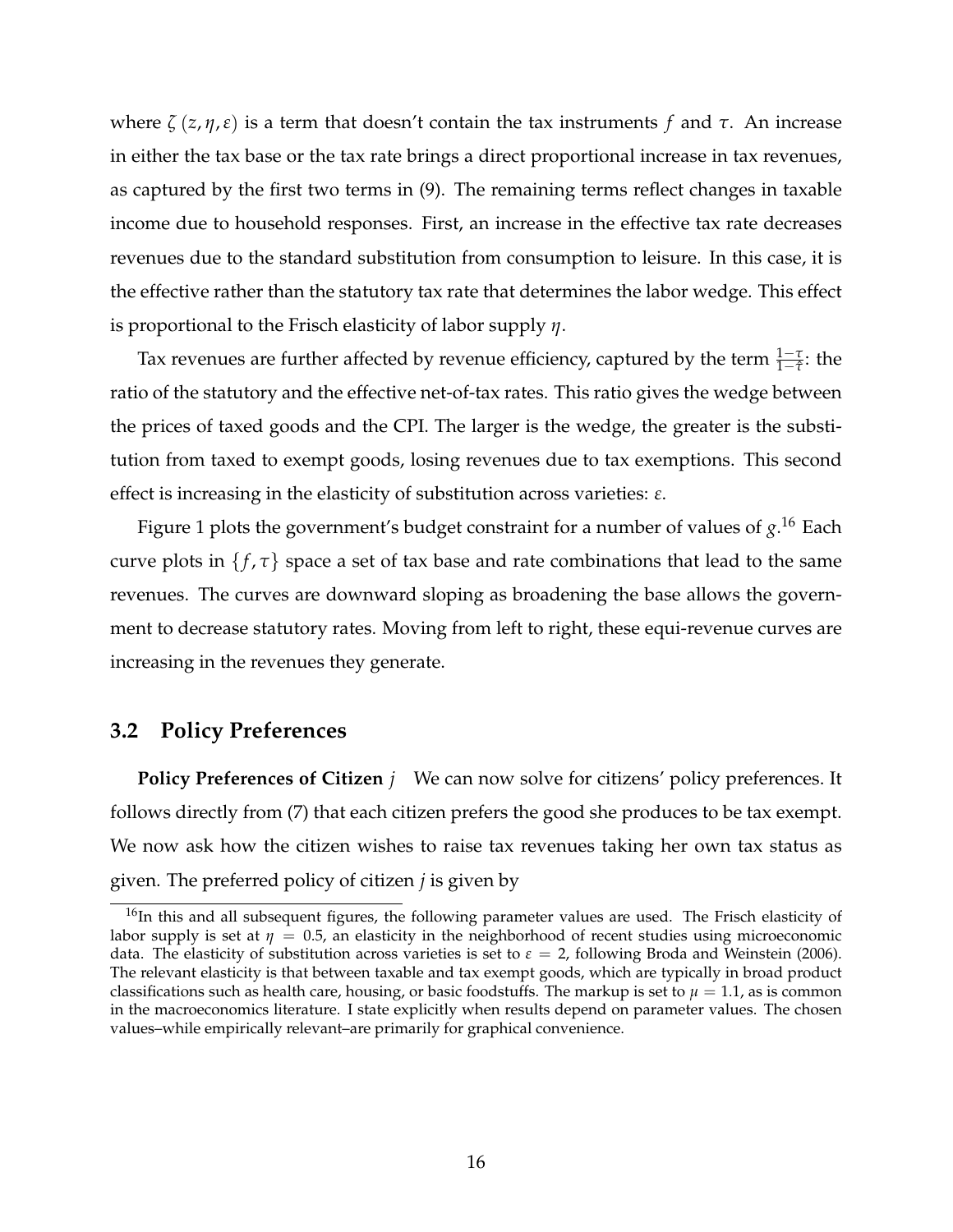where  $\zeta$  (*z*,  $\eta$ ,  $\varepsilon$ ) is a term that doesn't contain the tax instruments f and  $\tau$ . An increase in either the tax base or the tax rate brings a direct proportional increase in tax revenues, as captured by the first two terms in (9). The remaining terms reflect changes in taxable income due to household responses. First, an increase in the effective tax rate decreases revenues due to the standard substitution from consumption to leisure. In this case, it is the effective rather than the statutory tax rate that determines the labor wedge. This effect is proportional to the Frisch elasticity of labor supply *η*.

Tax revenues are further affected by revenue efficiency, captured by the term <sup>1</sup>−*<sup>τ</sup>* 1−*τ*ˆ : the ratio of the statutory and the effective net-of-tax rates. This ratio gives the wedge between the prices of taxed goods and the CPI. The larger is the wedge, the greater is the substitution from taxed to exempt goods, losing revenues due to tax exemptions. This second effect is increasing in the elasticity of substitution across varieties: *ε*.

Figure 1 plots the government's budget constraint for a number of values of *g*. <sup>16</sup> Each curve plots in  $\{f, \tau\}$  space a set of tax base and rate combinations that lead to the same revenues. The curves are downward sloping as broadening the base allows the government to decrease statutory rates. Moving from left to right, these equi-revenue curves are increasing in the revenues they generate.

#### **3.2 Policy Preferences**

**Policy Preferences of Citizen** *j* We can now solve for citizens' policy preferences. It follows directly from (7) that each citizen prefers the good she produces to be tax exempt. We now ask how the citizen wishes to raise tax revenues taking her own tax status as given. The preferred policy of citizen *j* is given by

<sup>&</sup>lt;sup>16</sup>In this and all subsequent figures, the following parameter values are used. The Frisch elasticity of labor supply is set at  $\eta = 0.5$ , an elasticity in the neighborhood of recent studies using microeconomic data. The elasticity of substitution across varieties is set to *ε* = 2, following Broda and Weinstein (2006). The relevant elasticity is that between taxable and tax exempt goods, which are typically in broad product classifications such as health care, housing, or basic foodstuffs. The markup is set to  $\mu = 1.1$ , as is common in the macroeconomics literature. I state explicitly when results depend on parameter values. The chosen values–while empirically relevant–are primarily for graphical convenience.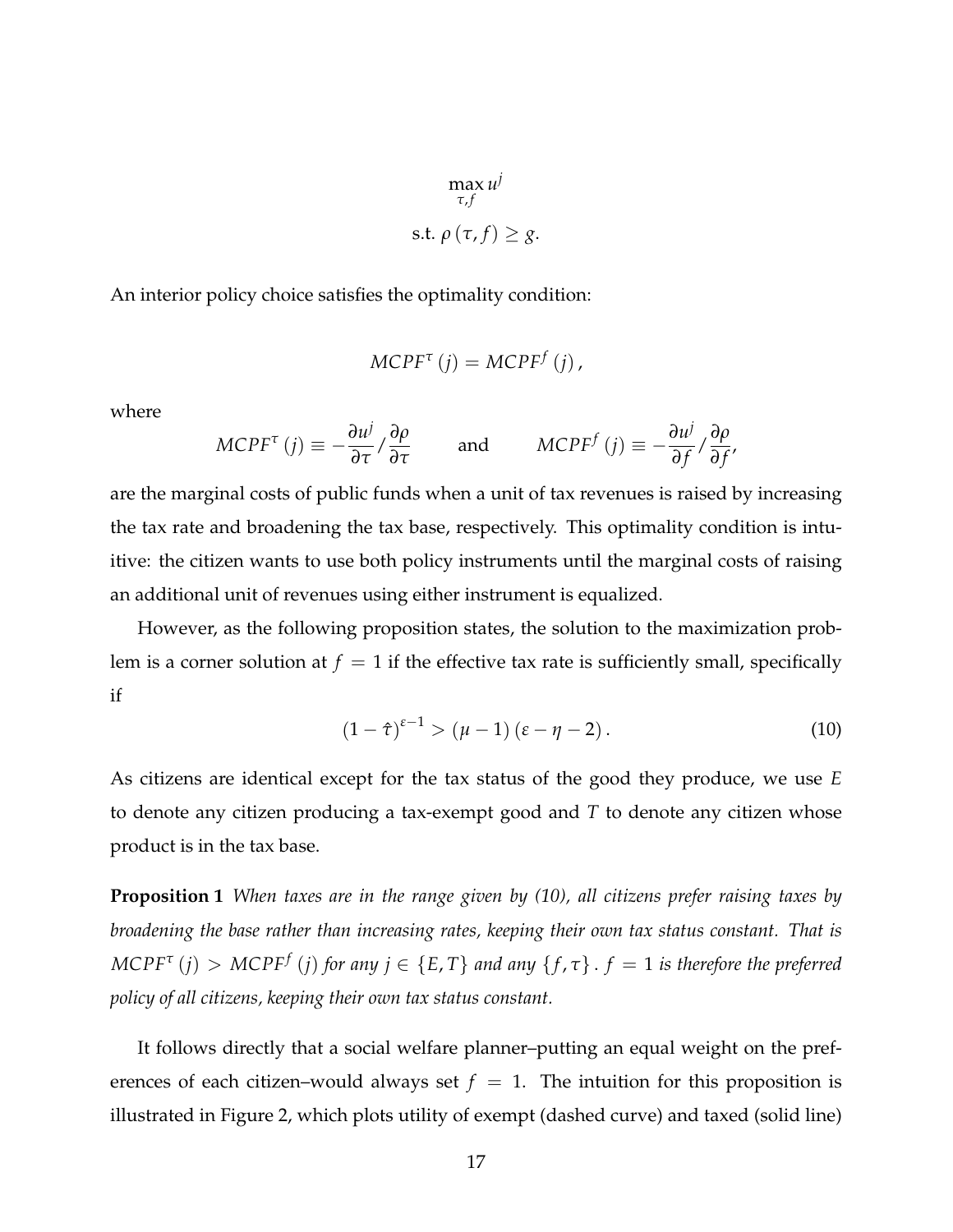$$
\max_{\tau, f} u^j
$$
  
s.t.  $\rho(\tau, f) \ge g$ .

An interior policy choice satisfies the optimality condition:

$$
MCPF^{\tau}(j) = MCPF^{f}(j),
$$

where

$$
MCPF^{\tau}(j) \equiv -\frac{\partial u^{j}}{\partial \tau} / \frac{\partial \rho}{\partial \tau} \quad \text{and} \quad MCPF^{f}(j) \equiv -\frac{\partial u^{j}}{\partial f} / \frac{\partial \rho}{\partial f'}
$$

are the marginal costs of public funds when a unit of tax revenues is raised by increasing the tax rate and broadening the tax base, respectively. This optimality condition is intuitive: the citizen wants to use both policy instruments until the marginal costs of raising an additional unit of revenues using either instrument is equalized.

However, as the following proposition states, the solution to the maximization problem is a corner solution at  $f = 1$  if the effective tax rate is sufficiently small, specifically if

$$
(1 - \hat{\tau})^{\varepsilon - 1} > (\mu - 1) (\varepsilon - \eta - 2).
$$
 (10)

As citizens are identical except for the tax status of the good they produce, we use *E* to denote any citizen producing a tax-exempt good and *T* to denote any citizen whose product is in the tax base.

**Proposition 1** *When taxes are in the range given by (10), all citizens prefer raising taxes by broadening the base rather than increasing rates, keeping their own tax status constant. That is*  $MCPF^{\tau}\left(j\right) > MCPF^{f}\left(j\right)$  for any  $j \in \{E,T\}$  and any  $\{f,\tau\}$  .  $f=1$  is therefore the preferred *policy of all citizens, keeping their own tax status constant.*

It follows directly that a social welfare planner–putting an equal weight on the preferences of each citizen–would always set  $f = 1$ . The intuition for this proposition is illustrated in Figure 2, which plots utility of exempt (dashed curve) and taxed (solid line)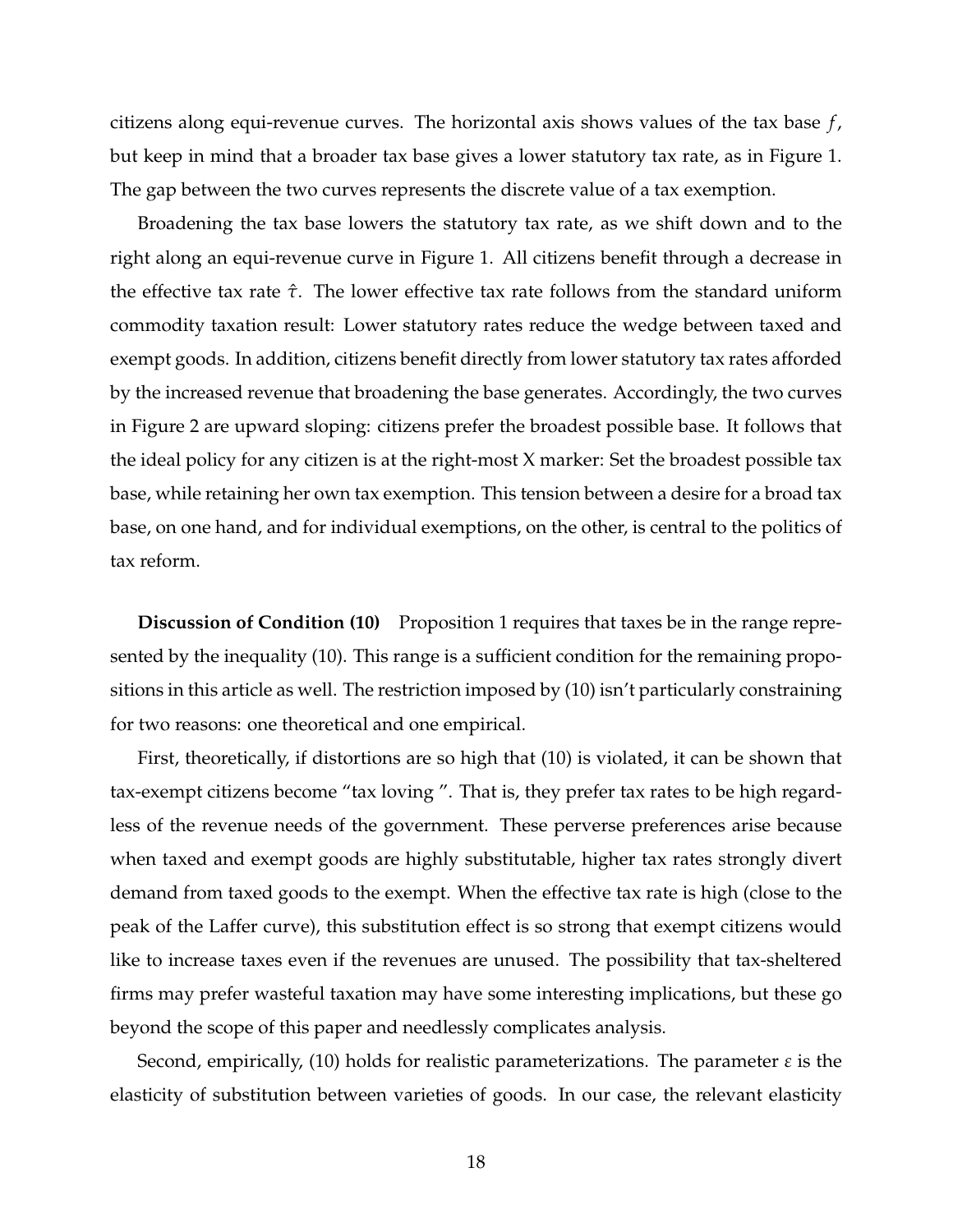citizens along equi-revenue curves. The horizontal axis shows values of the tax base *f* , but keep in mind that a broader tax base gives a lower statutory tax rate, as in Figure 1. The gap between the two curves represents the discrete value of a tax exemption.

Broadening the tax base lowers the statutory tax rate, as we shift down and to the right along an equi-revenue curve in Figure 1. All citizens benefit through a decrease in the effective tax rate *τ*ˆ. The lower effective tax rate follows from the standard uniform commodity taxation result: Lower statutory rates reduce the wedge between taxed and exempt goods. In addition, citizens benefit directly from lower statutory tax rates afforded by the increased revenue that broadening the base generates. Accordingly, the two curves in Figure 2 are upward sloping: citizens prefer the broadest possible base. It follows that the ideal policy for any citizen is at the right-most X marker: Set the broadest possible tax base, while retaining her own tax exemption. This tension between a desire for a broad tax base, on one hand, and for individual exemptions, on the other, is central to the politics of tax reform.

**Discussion of Condition (10)** Proposition 1 requires that taxes be in the range represented by the inequality (10). This range is a sufficient condition for the remaining propositions in this article as well. The restriction imposed by (10) isn't particularly constraining for two reasons: one theoretical and one empirical.

First, theoretically, if distortions are so high that (10) is violated, it can be shown that tax-exempt citizens become "tax loving ". That is, they prefer tax rates to be high regardless of the revenue needs of the government. These perverse preferences arise because when taxed and exempt goods are highly substitutable, higher tax rates strongly divert demand from taxed goods to the exempt. When the effective tax rate is high (close to the peak of the Laffer curve), this substitution effect is so strong that exempt citizens would like to increase taxes even if the revenues are unused. The possibility that tax-sheltered firms may prefer wasteful taxation may have some interesting implications, but these go beyond the scope of this paper and needlessly complicates analysis.

Second, empirically, (10) holds for realistic parameterizations. The parameter *ε* is the elasticity of substitution between varieties of goods. In our case, the relevant elasticity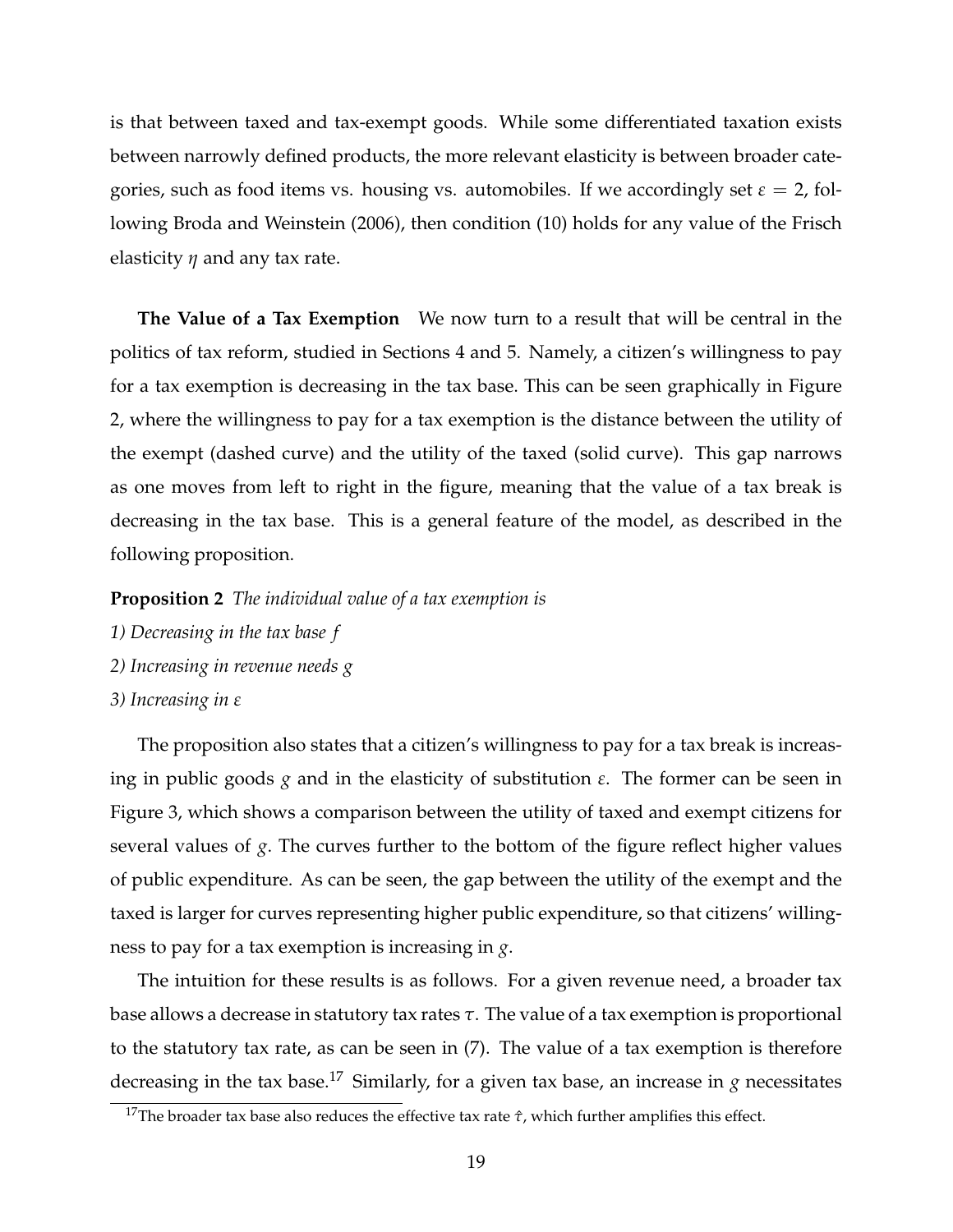is that between taxed and tax-exempt goods. While some differentiated taxation exists between narrowly defined products, the more relevant elasticity is between broader categories, such as food items vs. housing vs. automobiles. If we accordingly set  $\varepsilon = 2$ , following Broda and Weinstein (2006), then condition (10) holds for any value of the Frisch elasticity *η* and any tax rate.

**The Value of a Tax Exemption** We now turn to a result that will be central in the politics of tax reform, studied in Sections 4 and 5. Namely, a citizen's willingness to pay for a tax exemption is decreasing in the tax base. This can be seen graphically in Figure 2, where the willingness to pay for a tax exemption is the distance between the utility of the exempt (dashed curve) and the utility of the taxed (solid curve). This gap narrows as one moves from left to right in the figure, meaning that the value of a tax break is decreasing in the tax base. This is a general feature of the model, as described in the following proposition.

#### **Proposition 2** *The individual value of a tax exemption is*

- *1) Decreasing in the tax base f*
- *2) Increasing in revenue needs g*
- *3) Increasing in ε*

The proposition also states that a citizen's willingness to pay for a tax break is increasing in public goods *g* and in the elasticity of substitution *ε*. The former can be seen in Figure 3, which shows a comparison between the utility of taxed and exempt citizens for several values of *g*. The curves further to the bottom of the figure reflect higher values of public expenditure. As can be seen, the gap between the utility of the exempt and the taxed is larger for curves representing higher public expenditure, so that citizens' willingness to pay for a tax exemption is increasing in *g*.

The intuition for these results is as follows. For a given revenue need, a broader tax base allows a decrease in statutory tax rates *τ*. The value of a tax exemption is proportional to the statutory tax rate, as can be seen in (7). The value of a tax exemption is therefore decreasing in the tax base.<sup>17</sup> Similarly, for a given tax base, an increase in *g* necessitates

<sup>&</sup>lt;sup>17</sup>The broader tax base also reduces the effective tax rate  $\hat{\tau}$ , which further amplifies this effect.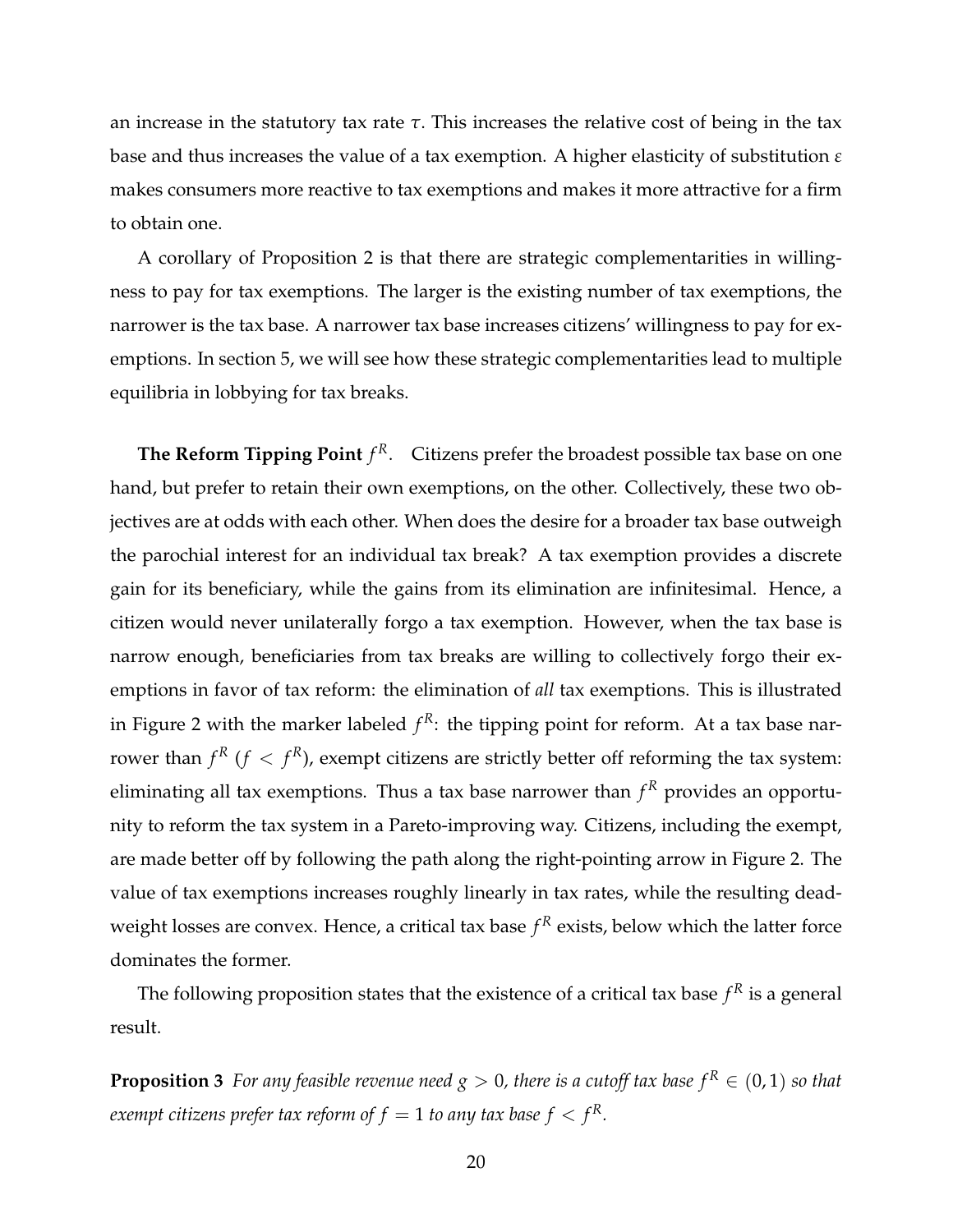an increase in the statutory tax rate *τ*. This increases the relative cost of being in the tax base and thus increases the value of a tax exemption. A higher elasticity of substitution *ε* makes consumers more reactive to tax exemptions and makes it more attractive for a firm to obtain one.

A corollary of Proposition 2 is that there are strategic complementarities in willingness to pay for tax exemptions. The larger is the existing number of tax exemptions, the narrower is the tax base. A narrower tax base increases citizens' willingness to pay for exemptions. In section 5, we will see how these strategic complementarities lead to multiple equilibria in lobbying for tax breaks.

**The Reform Tipping Point** *f <sup>R</sup>*. Citizens prefer the broadest possible tax base on one hand, but prefer to retain their own exemptions, on the other. Collectively, these two objectives are at odds with each other. When does the desire for a broader tax base outweigh the parochial interest for an individual tax break? A tax exemption provides a discrete gain for its beneficiary, while the gains from its elimination are infinitesimal. Hence, a citizen would never unilaterally forgo a tax exemption. However, when the tax base is narrow enough, beneficiaries from tax breaks are willing to collectively forgo their exemptions in favor of tax reform: the elimination of *all* tax exemptions. This is illustrated in Figure 2 with the marker labeled *f <sup>R</sup>*: the tipping point for reform. At a tax base narrower than  $f^R$  ( $f < f^R$ ), exempt citizens are strictly better off reforming the tax system: eliminating all tax exemptions. Thus a tax base narrower than  $f<sup>R</sup>$  provides an opportunity to reform the tax system in a Pareto-improving way. Citizens, including the exempt, are made better off by following the path along the right-pointing arrow in Figure 2. The value of tax exemptions increases roughly linearly in tax rates, while the resulting deadweight losses are convex. Hence, a critical tax base *f <sup>R</sup>* exists, below which the latter force dominates the former.

The following proposition states that the existence of a critical tax base  $f<sup>R</sup>$  is a general result.

**Proposition 3** *For any feasible revenue need*  $g > 0$ *, there is a cutoff tax base*  $f^R \in (0,1)$  *so that* exempt citizens prefer tax reform of  $f=1$  to any tax base  $f < f^R.$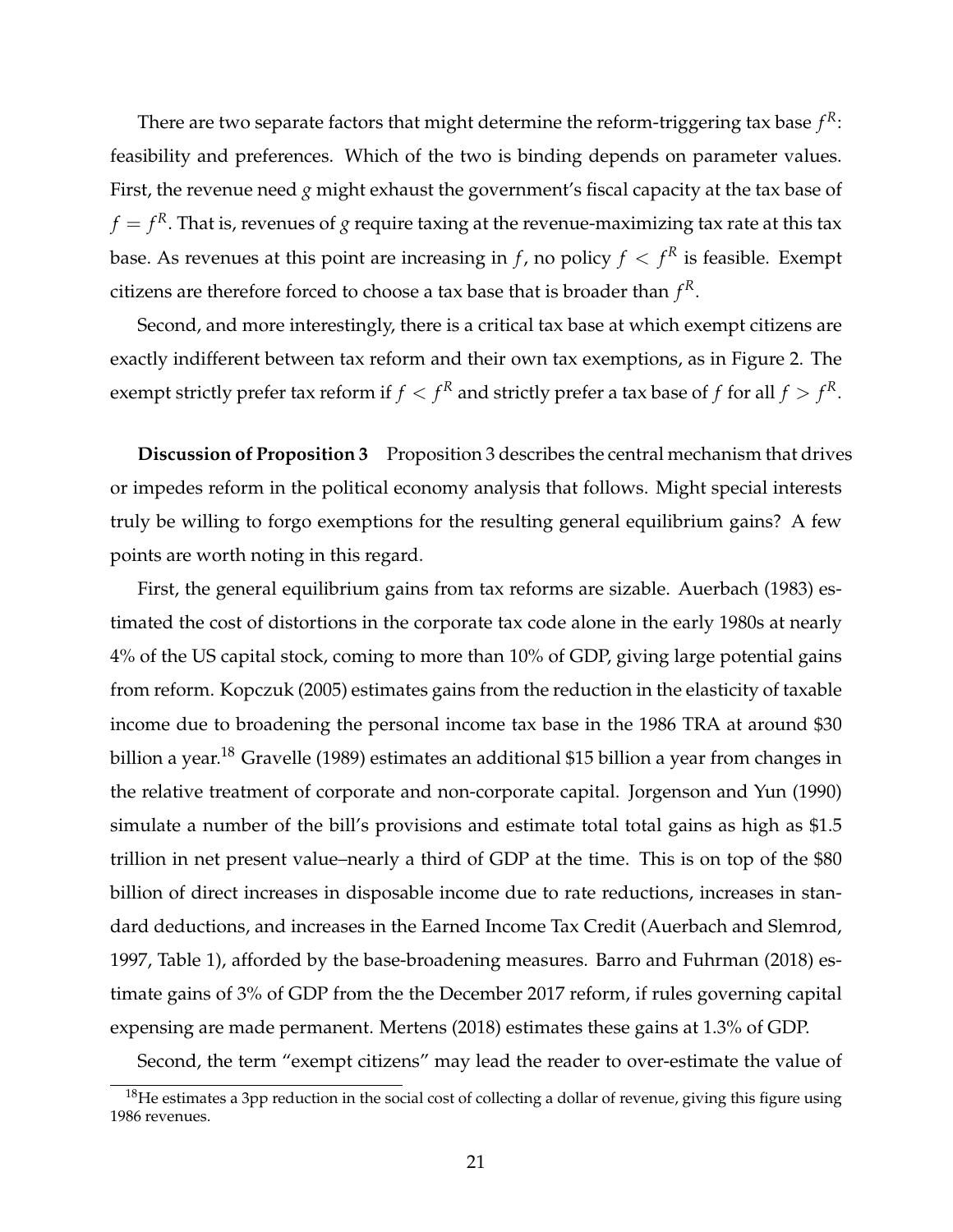There are two separate factors that might determine the reform-triggering tax base  $f^R$ : feasibility and preferences. Which of the two is binding depends on parameter values. First, the revenue need *g* might exhaust the government's fiscal capacity at the tax base of  $f=f^\mathcal{R}.$  That is, revenues of  $g$  require taxing at the revenue-maximizing tax rate at this tax base. As revenues at this point are increasing in  $f$ , no policy  $f < f^R$  is feasible. Exempt citizens are therefore forced to choose a tax base that is broader than  $f^R$ .

Second, and more interestingly, there is a critical tax base at which exempt citizens are exactly indifferent between tax reform and their own tax exemptions, as in Figure 2. The exempt strictly prefer tax reform if  $f < f^R$  and strictly prefer a tax base of  $f$  for all  $f > f^R$ .

**Discussion of Proposition 3** Proposition 3 describes the central mechanism that drives or impedes reform in the political economy analysis that follows. Might special interests truly be willing to forgo exemptions for the resulting general equilibrium gains? A few points are worth noting in this regard.

First, the general equilibrium gains from tax reforms are sizable. Auerbach (1983) estimated the cost of distortions in the corporate tax code alone in the early 1980s at nearly 4% of the US capital stock, coming to more than 10% of GDP, giving large potential gains from reform. Kopczuk (2005) estimates gains from the reduction in the elasticity of taxable income due to broadening the personal income tax base in the 1986 TRA at around \$30 billion a year.<sup>18</sup> Gravelle (1989) estimates an additional \$15 billion a year from changes in the relative treatment of corporate and non-corporate capital. Jorgenson and Yun (1990) simulate a number of the bill's provisions and estimate total total gains as high as \$1.5 trillion in net present value–nearly a third of GDP at the time. This is on top of the \$80 billion of direct increases in disposable income due to rate reductions, increases in standard deductions, and increases in the Earned Income Tax Credit (Auerbach and Slemrod, 1997, Table 1), afforded by the base-broadening measures. Barro and Fuhrman (2018) estimate gains of 3% of GDP from the the December 2017 reform, if rules governing capital expensing are made permanent. Mertens (2018) estimates these gains at 1.3% of GDP.

Second, the term "exempt citizens" may lead the reader to over-estimate the value of

 $18$ He estimates a 3pp reduction in the social cost of collecting a dollar of revenue, giving this figure using 1986 revenues.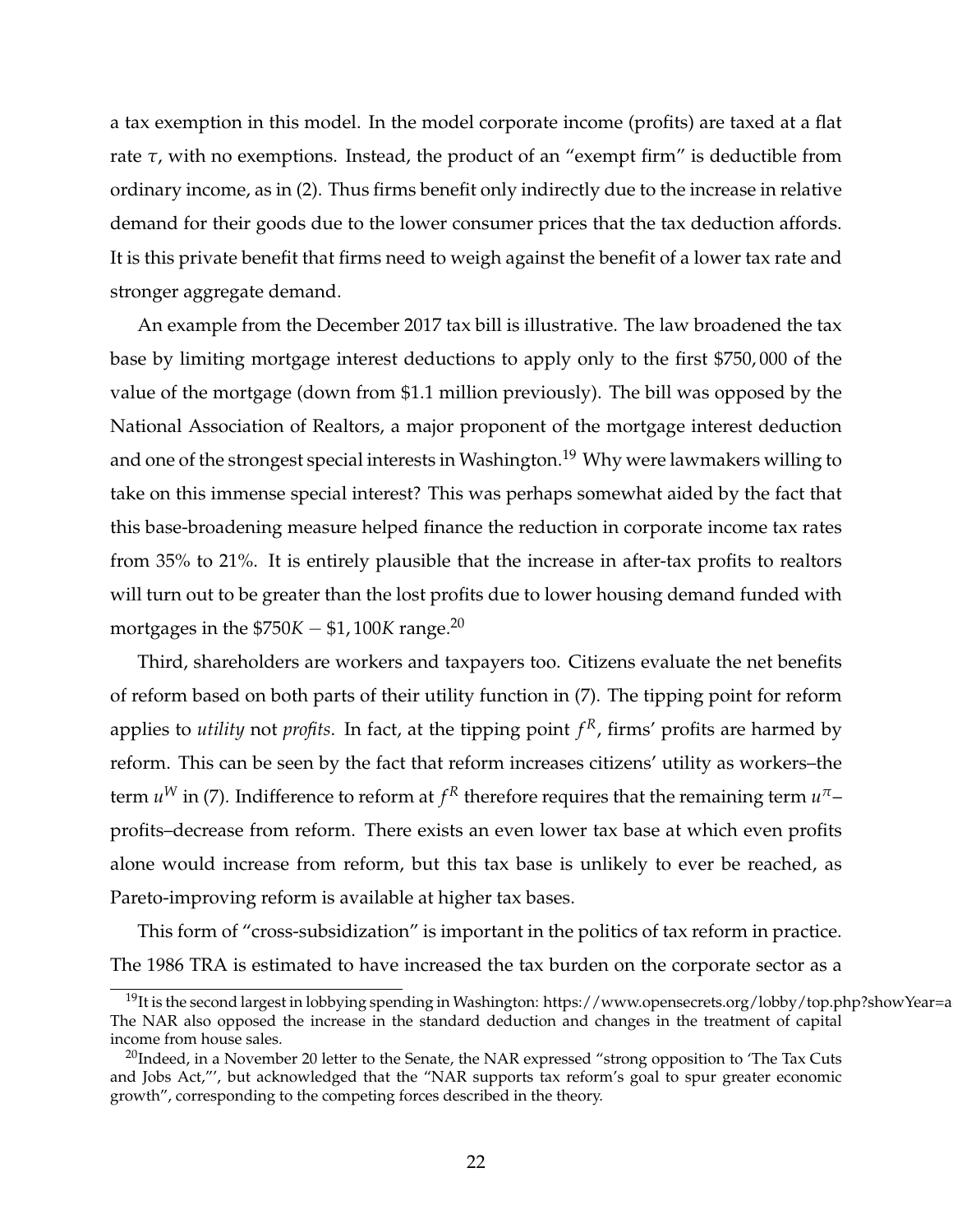a tax exemption in this model. In the model corporate income (profits) are taxed at a flat rate  $\tau$ , with no exemptions. Instead, the product of an "exempt firm" is deductible from ordinary income, as in (2). Thus firms benefit only indirectly due to the increase in relative demand for their goods due to the lower consumer prices that the tax deduction affords. It is this private benefit that firms need to weigh against the benefit of a lower tax rate and stronger aggregate demand.

An example from the December 2017 tax bill is illustrative. The law broadened the tax base by limiting mortgage interest deductions to apply only to the first \$750, 000 of the value of the mortgage (down from \$1.1 million previously). The bill was opposed by the National Association of Realtors, a major proponent of the mortgage interest deduction and one of the strongest special interests in Washington.<sup>19</sup> Why were lawmakers willing to take on this immense special interest? This was perhaps somewhat aided by the fact that this base-broadening measure helped finance the reduction in corporate income tax rates from 35% to 21%. It is entirely plausible that the increase in after-tax profits to realtors will turn out to be greater than the lost profits due to lower housing demand funded with mortgages in the \$750*K* − \$1, 100*K* range.<sup>20</sup>

Third, shareholders are workers and taxpayers too. Citizens evaluate the net benefits of reform based on both parts of their utility function in (7). The tipping point for reform applies to *utility* not *profits*. In fact, at the tipping point *f <sup>R</sup>*, firms' profits are harmed by reform. This can be seen by the fact that reform increases citizens' utility as workers–the term  $u^W$  in (7). Indifference to reform at  $f^R$  therefore requires that the remaining term  $u^\pi$ profits–decrease from reform. There exists an even lower tax base at which even profits alone would increase from reform, but this tax base is unlikely to ever be reached, as Pareto-improving reform is available at higher tax bases.

This form of "cross-subsidization" is important in the politics of tax reform in practice. The 1986 TRA is estimated to have increased the tax burden on the corporate sector as a

<sup>&</sup>lt;sup>19</sup>It is the second largest in lobbying spending in Washington: https://www.opensecrets.org/lobby/top.php?showYear=a The NAR also opposed the increase in the standard deduction and changes in the treatment of capital income from house sales.

<sup>&</sup>lt;sup>20</sup>Indeed, in a November 20 letter to the Senate, the NAR expressed "strong opposition to 'The Tax Cuts and Jobs Act,"', but acknowledged that the "NAR supports tax reform's goal to spur greater economic growth", corresponding to the competing forces described in the theory.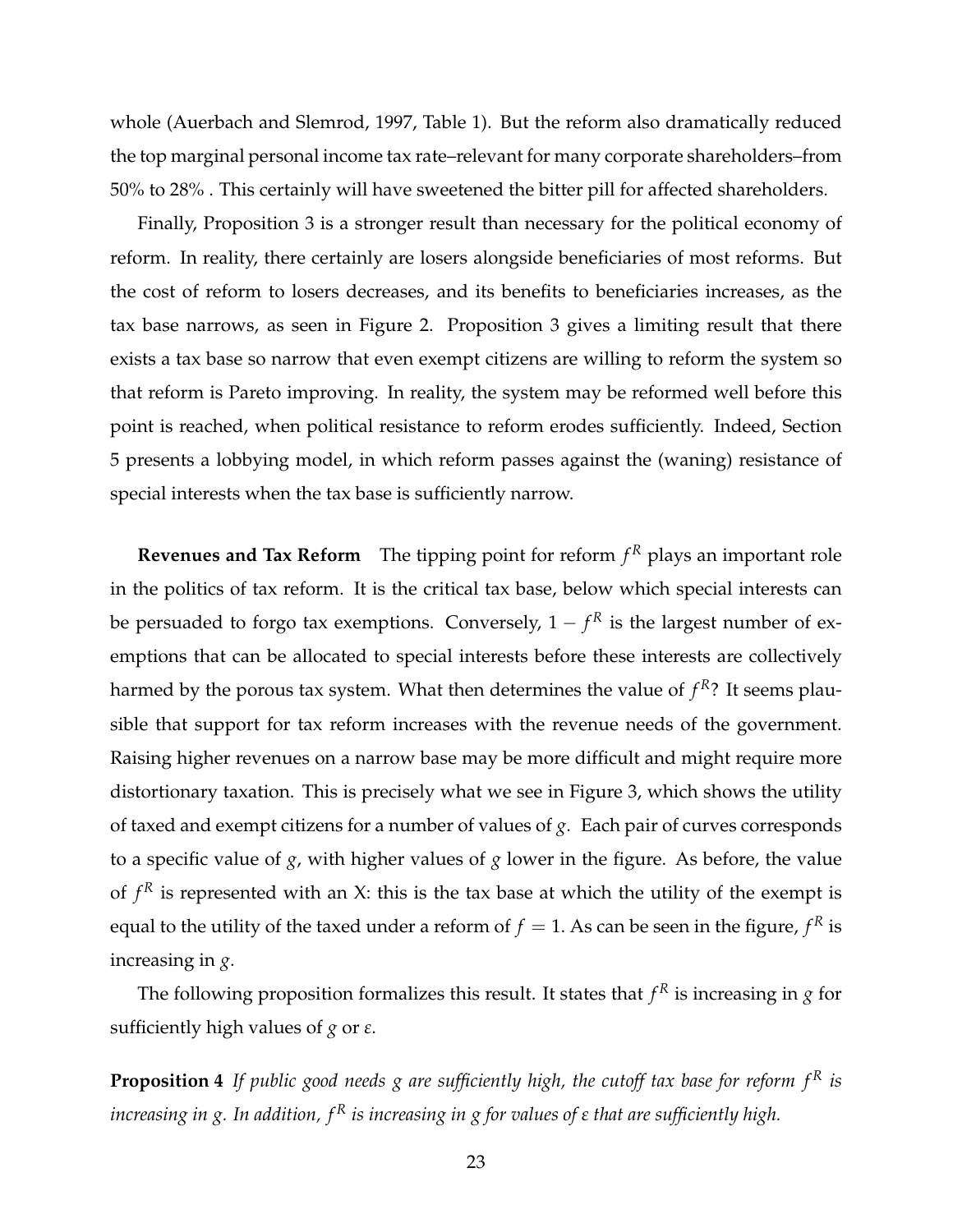whole (Auerbach and Slemrod, 1997, Table 1). But the reform also dramatically reduced the top marginal personal income tax rate–relevant for many corporate shareholders–from 50% to 28% . This certainly will have sweetened the bitter pill for affected shareholders.

Finally, Proposition 3 is a stronger result than necessary for the political economy of reform. In reality, there certainly are losers alongside beneficiaries of most reforms. But the cost of reform to losers decreases, and its benefits to beneficiaries increases, as the tax base narrows, as seen in Figure 2. Proposition 3 gives a limiting result that there exists a tax base so narrow that even exempt citizens are willing to reform the system so that reform is Pareto improving. In reality, the system may be reformed well before this point is reached, when political resistance to reform erodes sufficiently. Indeed, Section 5 presents a lobbying model, in which reform passes against the (waning) resistance of special interests when the tax base is sufficiently narrow.

**Revenues and Tax Reform** The tipping point for reform *f <sup>R</sup>* plays an important role in the politics of tax reform. It is the critical tax base, below which special interests can be persuaded to forgo tax exemptions. Conversely,  $1 - f<sup>R</sup>$  is the largest number of exemptions that can be allocated to special interests before these interests are collectively harmed by the porous tax system. What then determines the value of  $f^R$ ? It seems plausible that support for tax reform increases with the revenue needs of the government. Raising higher revenues on a narrow base may be more difficult and might require more distortionary taxation. This is precisely what we see in Figure 3, which shows the utility of taxed and exempt citizens for a number of values of *g*. Each pair of curves corresponds to a specific value of *g*, with higher values of *g* lower in the figure. As before, the value of  $f<sup>R</sup>$  is represented with an X: this is the tax base at which the utility of the exempt is equal to the utility of the taxed under a reform of  $f = 1$ . As can be seen in the figure,  $f^R$  is increasing in *g*.

The following proposition formalizes this result. It states that  $f^R$  is increasing in  $g$  for sufficiently high values of *g* or *ε*.

**Proposition 4** *If public good needs g are sufficiently high, the cutoff tax base for reform*  $f<sup>R</sup>$  *is increasing in g. In addition, f <sup>R</sup> is increasing in g for values of ε that are sufficiently high.*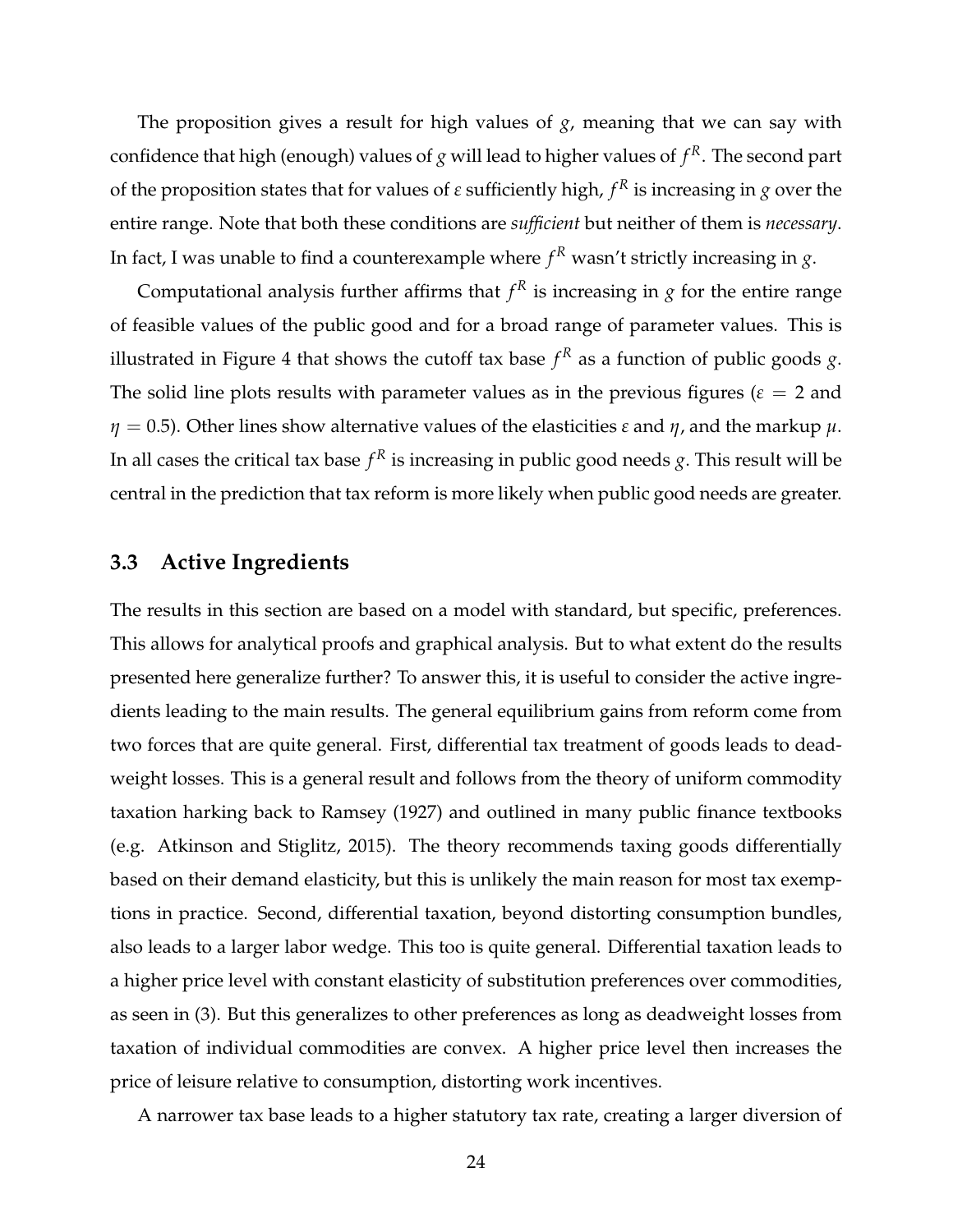The proposition gives a result for high values of *g*, meaning that we can say with confidence that high (enough) values of  $g$  will lead to higher values of  $f^R$ . The second part of the proposition states that for values of *ε* sufficiently high, *f <sup>R</sup>* is increasing in *g* over the entire range. Note that both these conditions are *sufficient* but neither of them is *necessary*. In fact, I was unable to find a counterexample where  $f^R$  wasn't strictly increasing in  $g$ .

Computational analysis further affirms that  $f<sup>R</sup>$  is increasing in  $g$  for the entire range of feasible values of the public good and for a broad range of parameter values. This is illustrated in Figure 4 that shows the cutoff tax base  $f<sup>R</sup>$  as a function of public goods  $g$ . The solid line plots results with parameter values as in the previous figures ( $\varepsilon = 2$  and *η* = 0.5). Other lines show alternative values of the elasticities *ε* and *η*, and the markup *μ*. In all cases the critical tax base  $f^R$  is increasing in public good needs  $g$ . This result will be central in the prediction that tax reform is more likely when public good needs are greater.

### **3.3 Active Ingredients**

The results in this section are based on a model with standard, but specific, preferences. This allows for analytical proofs and graphical analysis. But to what extent do the results presented here generalize further? To answer this, it is useful to consider the active ingredients leading to the main results. The general equilibrium gains from reform come from two forces that are quite general. First, differential tax treatment of goods leads to deadweight losses. This is a general result and follows from the theory of uniform commodity taxation harking back to Ramsey (1927) and outlined in many public finance textbooks (e.g. Atkinson and Stiglitz, 2015). The theory recommends taxing goods differentially based on their demand elasticity, but this is unlikely the main reason for most tax exemptions in practice. Second, differential taxation, beyond distorting consumption bundles, also leads to a larger labor wedge. This too is quite general. Differential taxation leads to a higher price level with constant elasticity of substitution preferences over commodities, as seen in (3). But this generalizes to other preferences as long as deadweight losses from taxation of individual commodities are convex. A higher price level then increases the price of leisure relative to consumption, distorting work incentives.

A narrower tax base leads to a higher statutory tax rate, creating a larger diversion of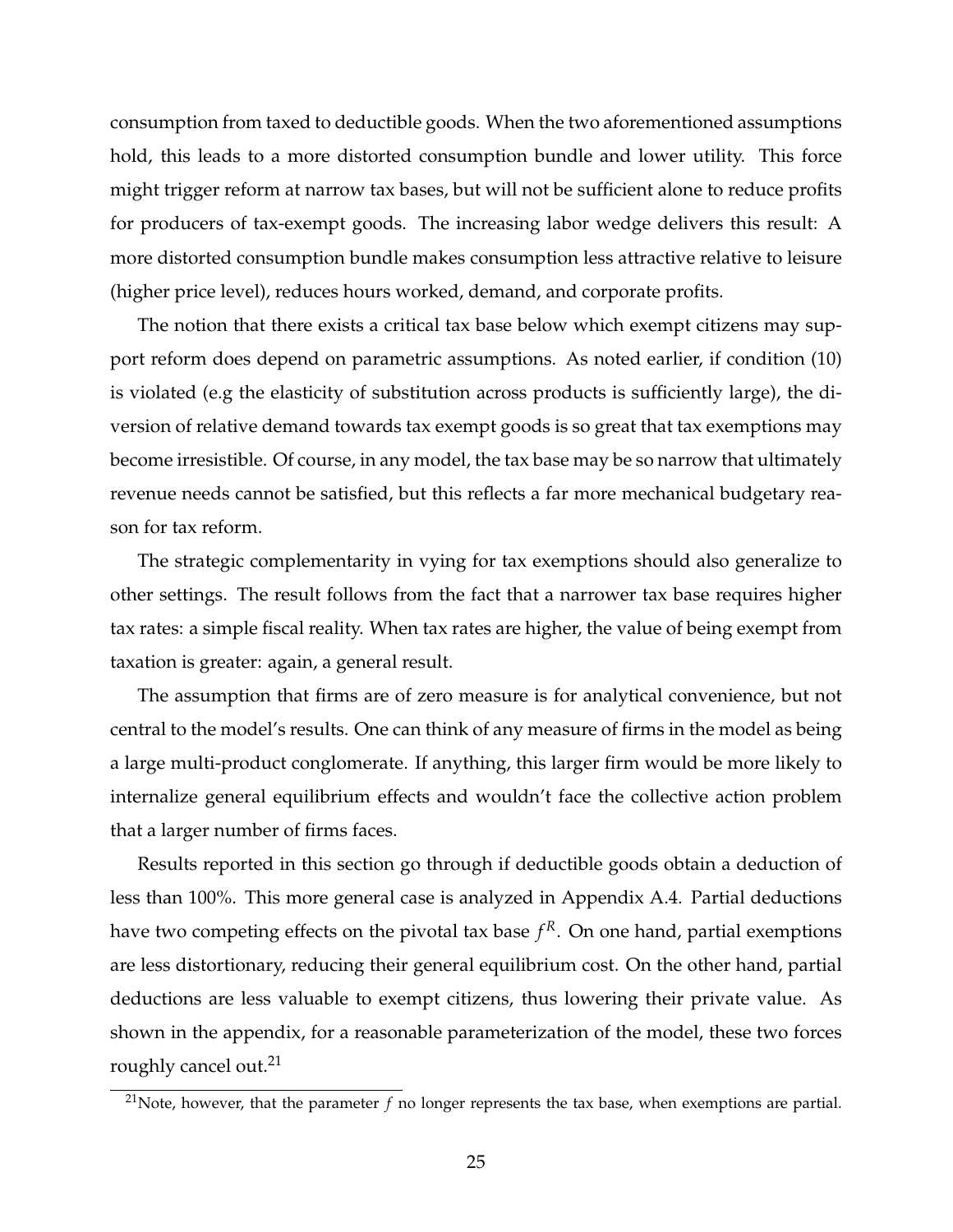consumption from taxed to deductible goods. When the two aforementioned assumptions hold, this leads to a more distorted consumption bundle and lower utility. This force might trigger reform at narrow tax bases, but will not be sufficient alone to reduce profits for producers of tax-exempt goods. The increasing labor wedge delivers this result: A more distorted consumption bundle makes consumption less attractive relative to leisure (higher price level), reduces hours worked, demand, and corporate profits.

The notion that there exists a critical tax base below which exempt citizens may support reform does depend on parametric assumptions. As noted earlier, if condition (10) is violated (e.g the elasticity of substitution across products is sufficiently large), the diversion of relative demand towards tax exempt goods is so great that tax exemptions may become irresistible. Of course, in any model, the tax base may be so narrow that ultimately revenue needs cannot be satisfied, but this reflects a far more mechanical budgetary reason for tax reform.

The strategic complementarity in vying for tax exemptions should also generalize to other settings. The result follows from the fact that a narrower tax base requires higher tax rates: a simple fiscal reality. When tax rates are higher, the value of being exempt from taxation is greater: again, a general result.

The assumption that firms are of zero measure is for analytical convenience, but not central to the model's results. One can think of any measure of firms in the model as being a large multi-product conglomerate. If anything, this larger firm would be more likely to internalize general equilibrium effects and wouldn't face the collective action problem that a larger number of firms faces.

Results reported in this section go through if deductible goods obtain a deduction of less than 100%. This more general case is analyzed in Appendix A.4. Partial deductions have two competing effects on the pivotal tax base *f <sup>R</sup>*. On one hand, partial exemptions are less distortionary, reducing their general equilibrium cost. On the other hand, partial deductions are less valuable to exempt citizens, thus lowering their private value. As shown in the appendix, for a reasonable parameterization of the model, these two forces roughly cancel out.<sup>21</sup>

<sup>&</sup>lt;sup>21</sup>Note, however, that the parameter  $f$  no longer represents the tax base, when exemptions are partial.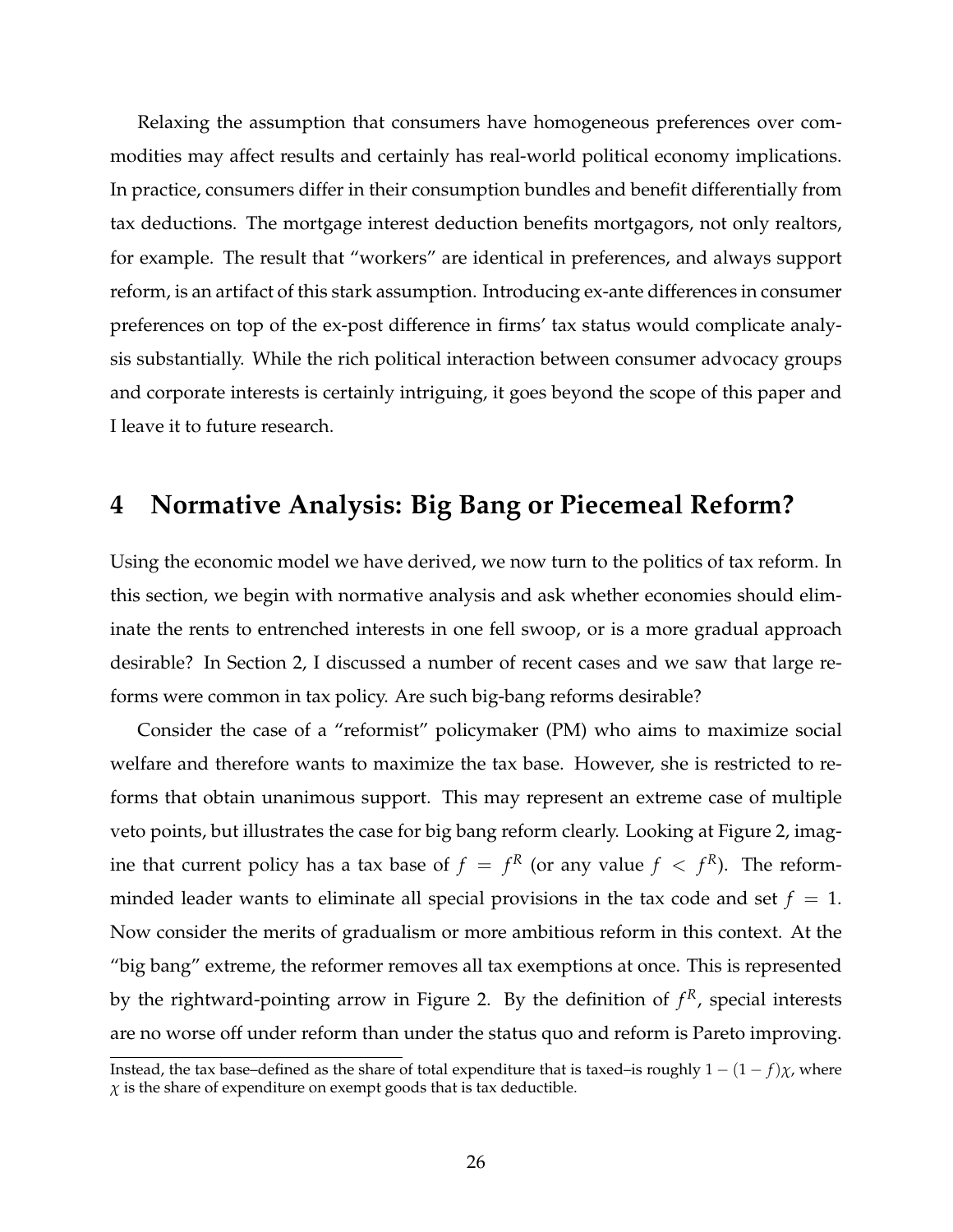Relaxing the assumption that consumers have homogeneous preferences over commodities may affect results and certainly has real-world political economy implications. In practice, consumers differ in their consumption bundles and benefit differentially from tax deductions. The mortgage interest deduction benefits mortgagors, not only realtors, for example. The result that "workers" are identical in preferences, and always support reform, is an artifact of this stark assumption. Introducing ex-ante differences in consumer preferences on top of the ex-post difference in firms' tax status would complicate analysis substantially. While the rich political interaction between consumer advocacy groups and corporate interests is certainly intriguing, it goes beyond the scope of this paper and I leave it to future research.

## **4 Normative Analysis: Big Bang or Piecemeal Reform?**

Using the economic model we have derived, we now turn to the politics of tax reform. In this section, we begin with normative analysis and ask whether economies should eliminate the rents to entrenched interests in one fell swoop, or is a more gradual approach desirable? In Section 2, I discussed a number of recent cases and we saw that large reforms were common in tax policy. Are such big-bang reforms desirable?

Consider the case of a "reformist" policymaker (PM) who aims to maximize social welfare and therefore wants to maximize the tax base. However, she is restricted to reforms that obtain unanimous support. This may represent an extreme case of multiple veto points, but illustrates the case for big bang reform clearly. Looking at Figure 2, imagine that current policy has a tax base of  $f = f<sup>R</sup>$  (or any value  $f < f<sup>R</sup>$ ). The reformminded leader wants to eliminate all special provisions in the tax code and set  $f = 1$ . Now consider the merits of gradualism or more ambitious reform in this context. At the "big bang" extreme, the reformer removes all tax exemptions at once. This is represented by the rightward-pointing arrow in Figure 2. By the definition of  $f<sup>R</sup>$ , special interests are no worse off under reform than under the status quo and reform is Pareto improving.

Instead, the tax base–defined as the share of total expenditure that is taxed–is roughly  $1 - (1 - f)\chi$ , where  $\chi$  is the share of expenditure on exempt goods that is tax deductible.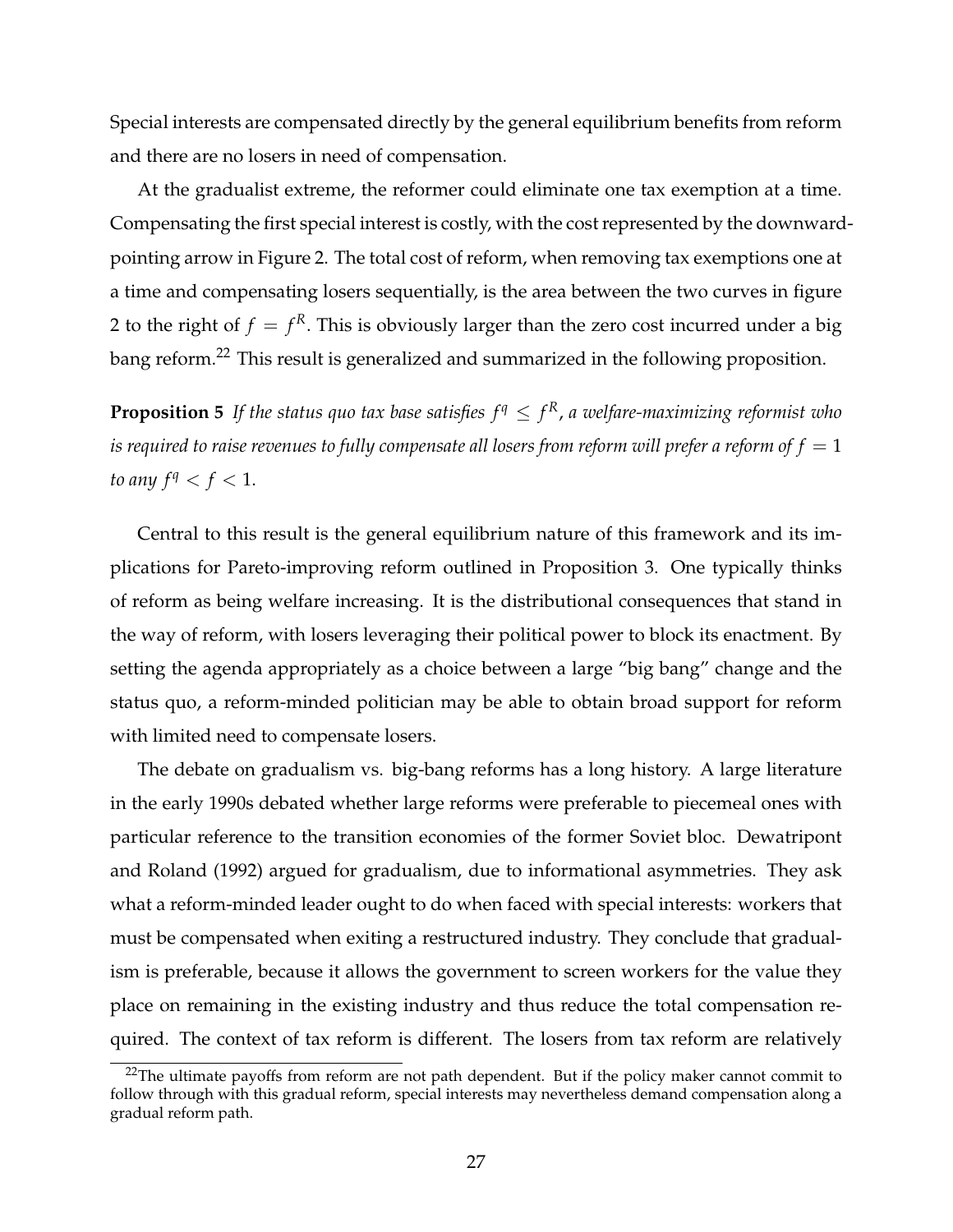Special interests are compensated directly by the general equilibrium benefits from reform and there are no losers in need of compensation.

At the gradualist extreme, the reformer could eliminate one tax exemption at a time. Compensating the first special interest is costly, with the cost represented by the downwardpointing arrow in Figure 2. The total cost of reform, when removing tax exemptions one at a time and compensating losers sequentially, is the area between the two curves in figure 2 to the right of  $f = f<sup>R</sup>$ . This is obviously larger than the zero cost incurred under a big bang reform.<sup>22</sup> This result is generalized and summarized in the following proposition.

**Proposition 5** If the status quo tax base satisfies  $f^q \leq f^R$ , a welfare-maximizing reformist who *is required to raise revenues to fully compensate all losers from reform will prefer a reform of*  $f = 1$ *to any*  $f^q < f < 1$ .

Central to this result is the general equilibrium nature of this framework and its implications for Pareto-improving reform outlined in Proposition 3. One typically thinks of reform as being welfare increasing. It is the distributional consequences that stand in the way of reform, with losers leveraging their political power to block its enactment. By setting the agenda appropriately as a choice between a large "big bang" change and the status quo, a reform-minded politician may be able to obtain broad support for reform with limited need to compensate losers.

The debate on gradualism vs. big-bang reforms has a long history. A large literature in the early 1990s debated whether large reforms were preferable to piecemeal ones with particular reference to the transition economies of the former Soviet bloc. Dewatripont and Roland (1992) argued for gradualism, due to informational asymmetries. They ask what a reform-minded leader ought to do when faced with special interests: workers that must be compensated when exiting a restructured industry. They conclude that gradualism is preferable, because it allows the government to screen workers for the value they place on remaining in the existing industry and thus reduce the total compensation required. The context of tax reform is different. The losers from tax reform are relatively

<sup>&</sup>lt;sup>22</sup>The ultimate payoffs from reform are not path dependent. But if the policy maker cannot commit to follow through with this gradual reform, special interests may nevertheless demand compensation along a gradual reform path.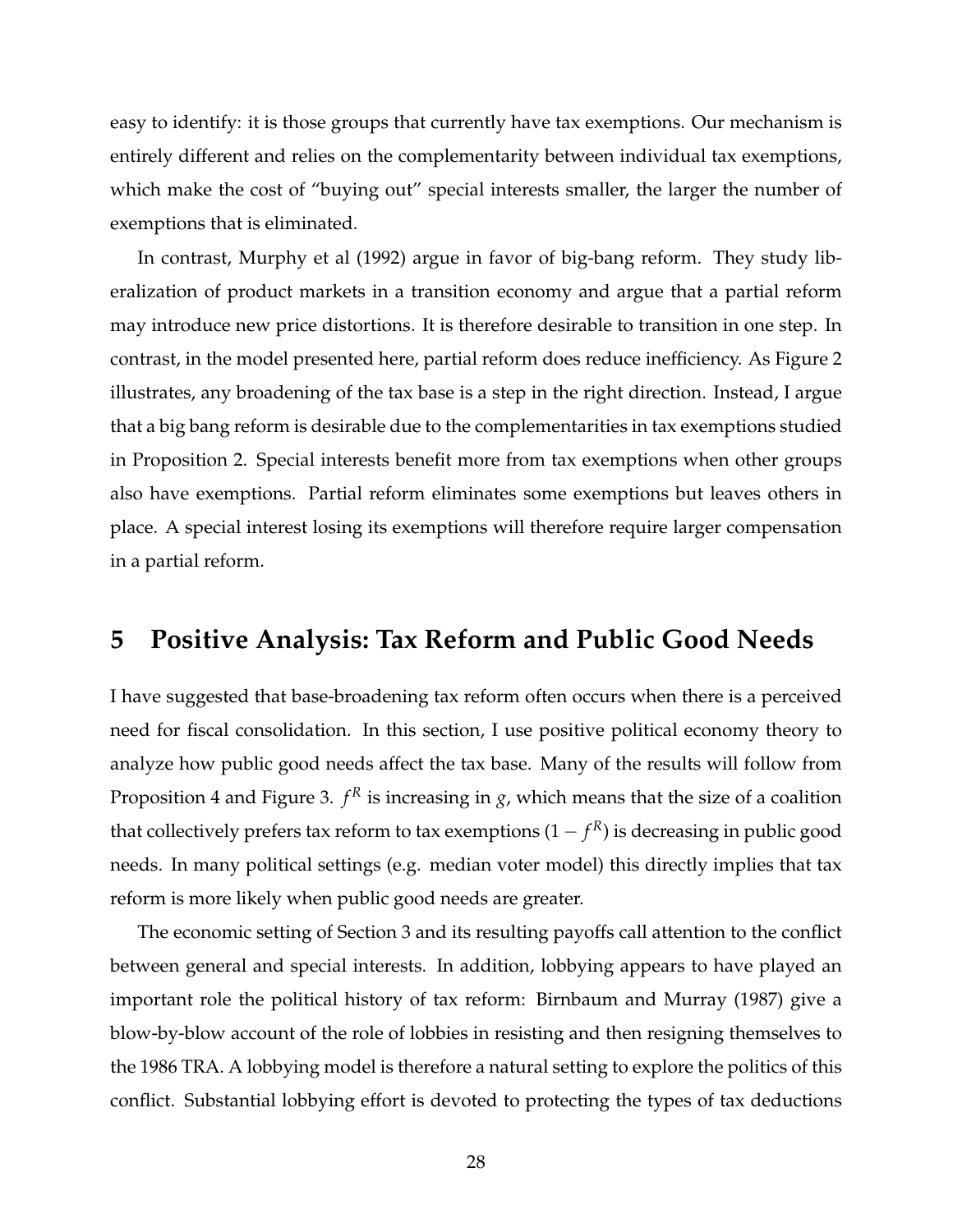easy to identify: it is those groups that currently have tax exemptions. Our mechanism is entirely different and relies on the complementarity between individual tax exemptions, which make the cost of "buying out" special interests smaller, the larger the number of exemptions that is eliminated.

In contrast, Murphy et al (1992) argue in favor of big-bang reform. They study liberalization of product markets in a transition economy and argue that a partial reform may introduce new price distortions. It is therefore desirable to transition in one step. In contrast, in the model presented here, partial reform does reduce inefficiency. As Figure 2 illustrates, any broadening of the tax base is a step in the right direction. Instead, I argue that a big bang reform is desirable due to the complementarities in tax exemptions studied in Proposition 2. Special interests benefit more from tax exemptions when other groups also have exemptions. Partial reform eliminates some exemptions but leaves others in place. A special interest losing its exemptions will therefore require larger compensation in a partial reform.

## **5 Positive Analysis: Tax Reform and Public Good Needs**

I have suggested that base-broadening tax reform often occurs when there is a perceived need for fiscal consolidation. In this section, I use positive political economy theory to analyze how public good needs affect the tax base. Many of the results will follow from Proposition 4 and Figure 3.  $f<sup>R</sup>$  is increasing in *g*, which means that the size of a coalition that collectively prefers tax reform to tax exemptions ( $1 - f<sup>R</sup>$ ) is decreasing in public good needs. In many political settings (e.g. median voter model) this directly implies that tax reform is more likely when public good needs are greater.

The economic setting of Section 3 and its resulting payoffs call attention to the conflict between general and special interests. In addition, lobbying appears to have played an important role the political history of tax reform: Birnbaum and Murray (1987) give a blow-by-blow account of the role of lobbies in resisting and then resigning themselves to the 1986 TRA. A lobbying model is therefore a natural setting to explore the politics of this conflict. Substantial lobbying effort is devoted to protecting the types of tax deductions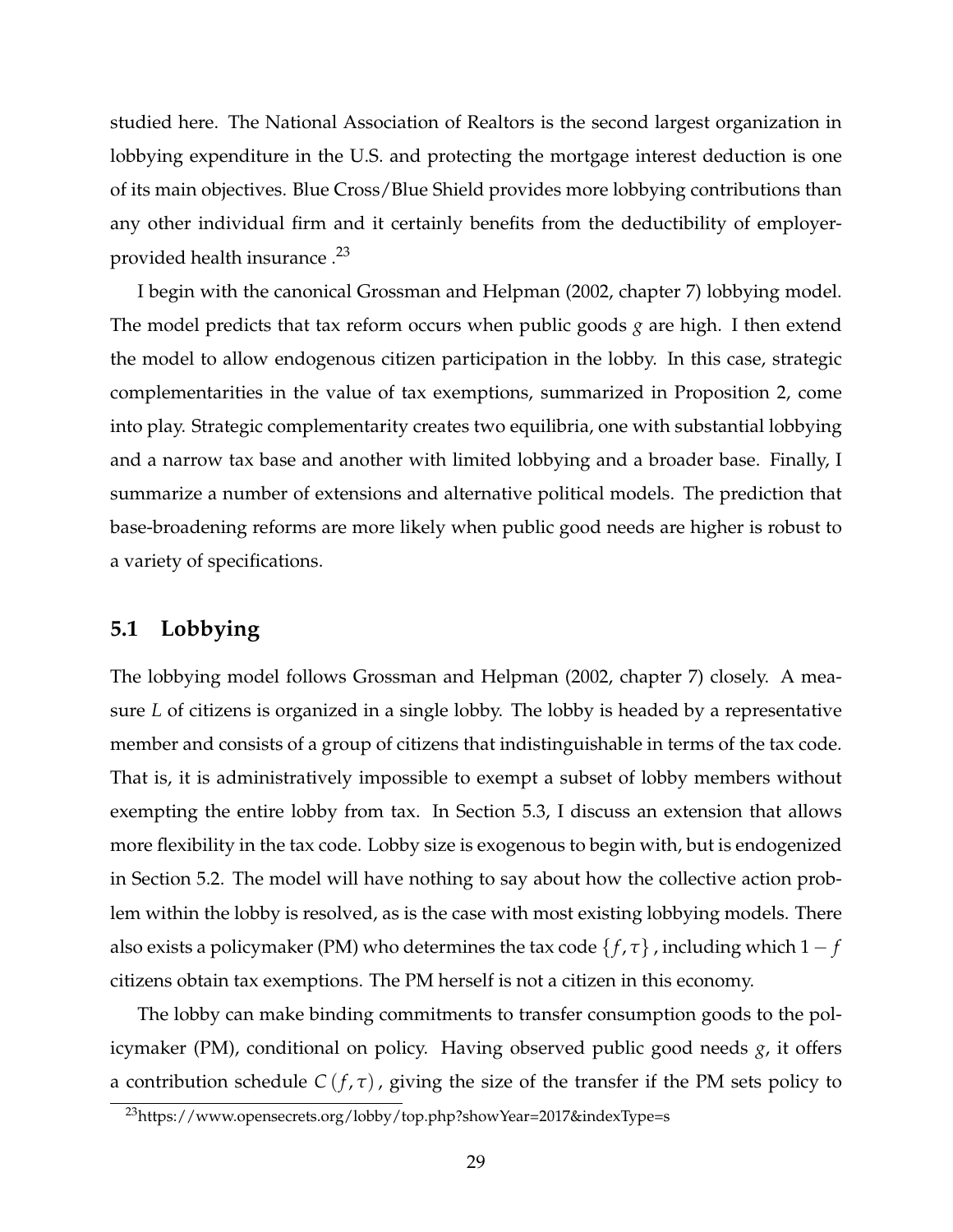studied here. The National Association of Realtors is the second largest organization in lobbying expenditure in the U.S. and protecting the mortgage interest deduction is one of its main objectives. Blue Cross/Blue Shield provides more lobbying contributions than any other individual firm and it certainly benefits from the deductibility of employerprovided health insurance .<sup>23</sup>

I begin with the canonical Grossman and Helpman (2002, chapter 7) lobbying model. The model predicts that tax reform occurs when public goods *g* are high. I then extend the model to allow endogenous citizen participation in the lobby. In this case, strategic complementarities in the value of tax exemptions, summarized in Proposition 2, come into play. Strategic complementarity creates two equilibria, one with substantial lobbying and a narrow tax base and another with limited lobbying and a broader base. Finally, I summarize a number of extensions and alternative political models. The prediction that base-broadening reforms are more likely when public good needs are higher is robust to a variety of specifications.

### **5.1 Lobbying**

The lobbying model follows Grossman and Helpman (2002, chapter 7) closely. A measure *L* of citizens is organized in a single lobby. The lobby is headed by a representative member and consists of a group of citizens that indistinguishable in terms of the tax code. That is, it is administratively impossible to exempt a subset of lobby members without exempting the entire lobby from tax. In Section 5.3, I discuss an extension that allows more flexibility in the tax code. Lobby size is exogenous to begin with, but is endogenized in Section 5.2. The model will have nothing to say about how the collective action problem within the lobby is resolved, as is the case with most existing lobbying models. There also exists a policymaker (PM) who determines the tax code  $\{f, \tau\}$ , including which  $1 - f$ citizens obtain tax exemptions. The PM herself is not a citizen in this economy.

The lobby can make binding commitments to transfer consumption goods to the policymaker (PM), conditional on policy. Having observed public good needs *g*, it offers a contribution schedule  $C(f, \tau)$ , giving the size of the transfer if the PM sets policy to

<sup>&</sup>lt;sup>23</sup>https://www.opensecrets.org/lobby/top.php?showYear=2017&indexType=s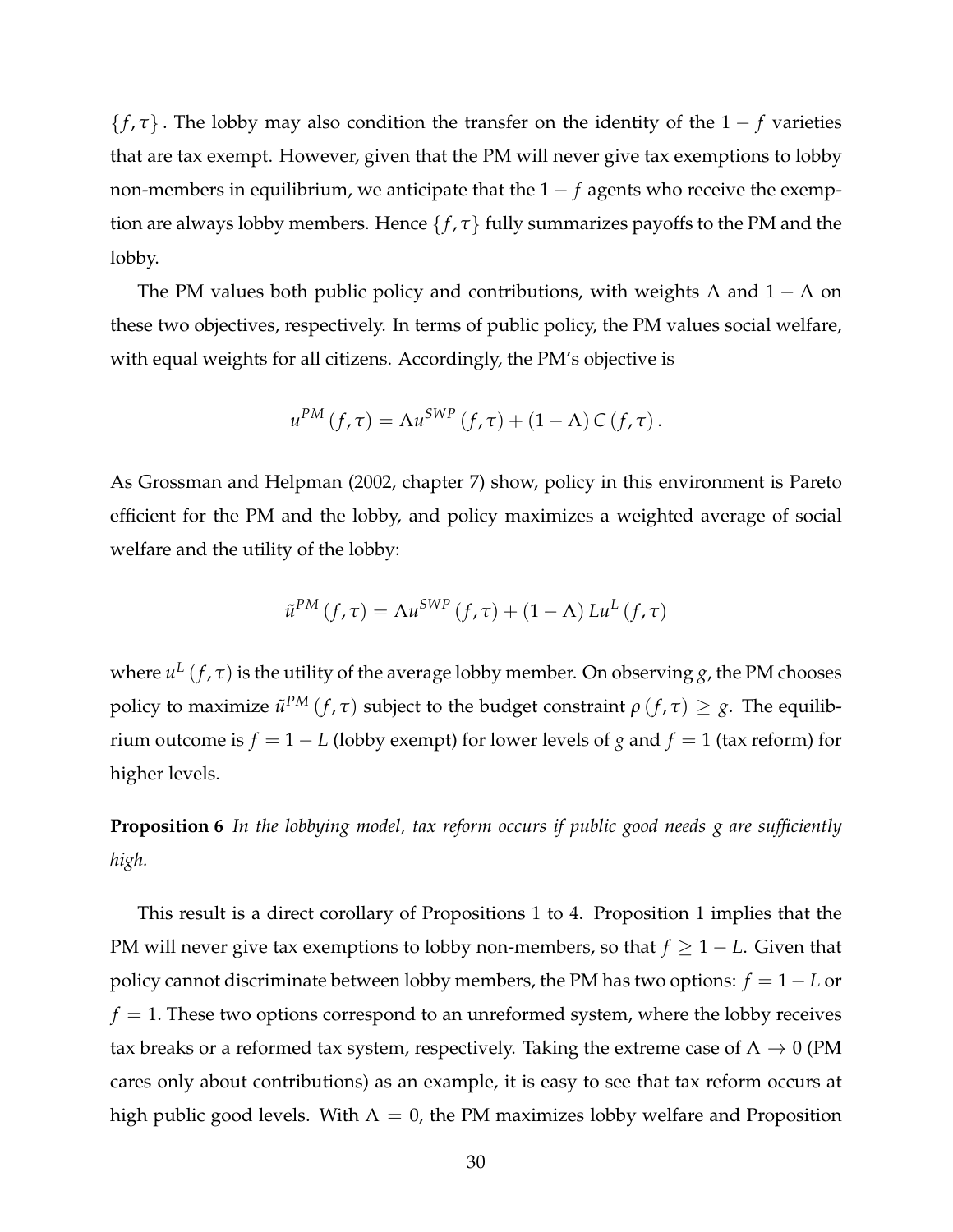${f, \tau}$ . The lobby may also condition the transfer on the identity of the  $1 - f$  varieties that are tax exempt. However, given that the PM will never give tax exemptions to lobby non-members in equilibrium, we anticipate that the  $1 - f$  agents who receive the exemption are always lobby members. Hence  $\{f, \tau\}$  fully summarizes payoffs to the PM and the lobby.

The PM values both public policy and contributions, with weights  $\Lambda$  and  $1 - \Lambda$  on these two objectives, respectively. In terms of public policy, the PM values social welfare, with equal weights for all citizens. Accordingly, the PM's objective is

$$
u^{PM}(f,\tau) = \Lambda u^{SWP}(f,\tau) + (1-\Lambda) C(f,\tau).
$$

As Grossman and Helpman (2002, chapter 7) show, policy in this environment is Pareto efficient for the PM and the lobby, and policy maximizes a weighted average of social welfare and the utility of the lobby:

$$
\tilde{u}^{PM}(f,\tau) = \Lambda u^{SWP}(f,\tau) + (1-\Lambda) \, Lu^{L}(f,\tau)
$$

where  $u^L\left(f,\tau\right)$  is the utility of the average lobby member. On observing  $g$ , the PM chooses policy to maximize  $\tilde{u}^{PM}(f,\tau)$  subject to the budget constraint  $\rho\left(f,\tau\right)\geq g.$  The equilibrium outcome is  $f = 1 - L$  (lobby exempt) for lower levels of *g* and  $f = 1$  (tax reform) for higher levels.

**Proposition 6** *In the lobbying model, tax reform occurs if public good needs g are sufficiently high.*

This result is a direct corollary of Propositions 1 to 4. Proposition 1 implies that the PM will never give tax exemptions to lobby non-members, so that  $f \geq 1 - L$ . Given that policy cannot discriminate between lobby members, the PM has two options: *f* = 1 − *L* or  $f = 1$ . These two options correspond to an unreformed system, where the lobby receives tax breaks or a reformed tax system, respectively. Taking the extreme case of  $\Lambda \to 0$  (PM cares only about contributions) as an example, it is easy to see that tax reform occurs at high public good levels. With  $\Lambda = 0$ , the PM maximizes lobby welfare and Proposition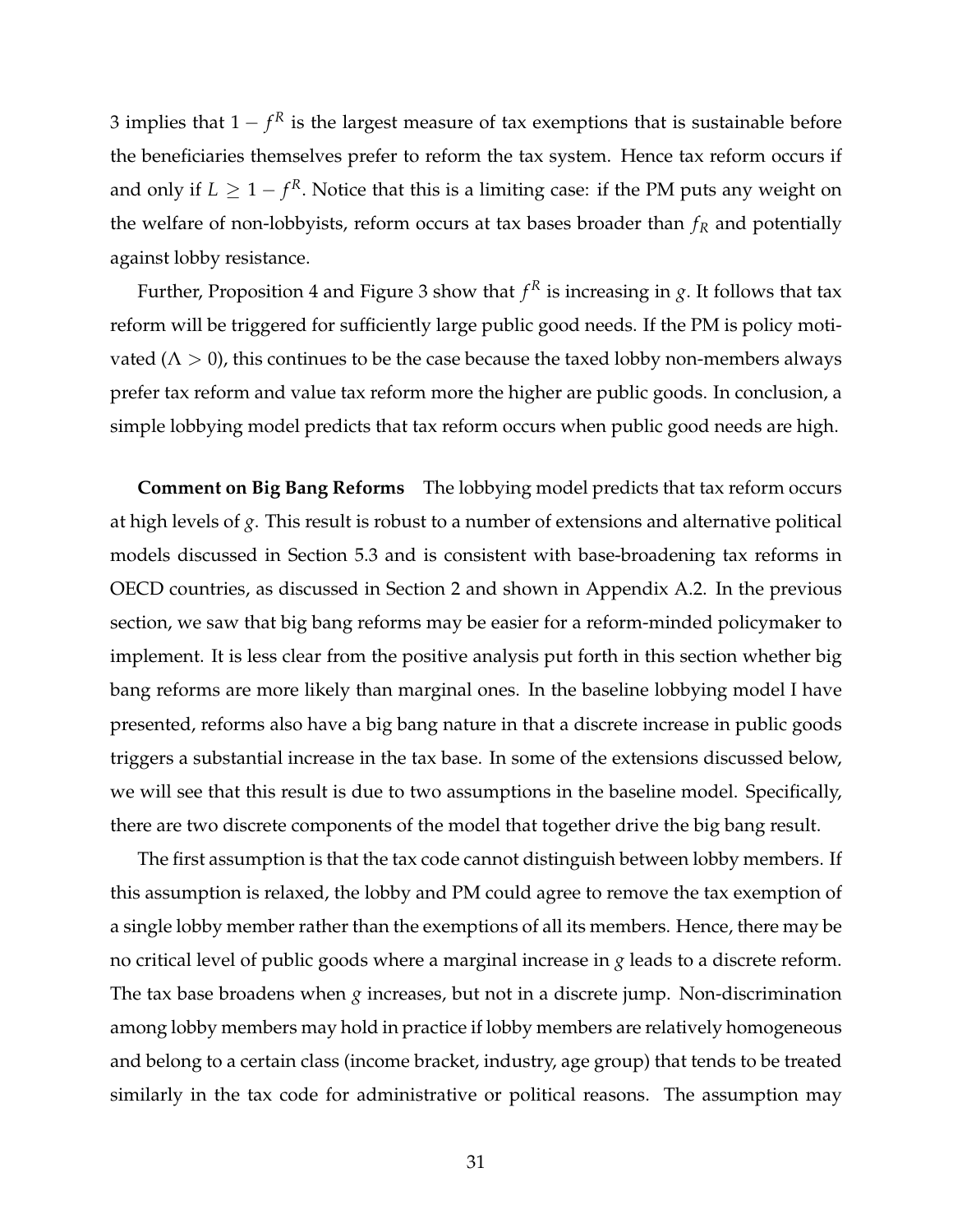3 implies that 1 −  $f<sup>R</sup>$  is the largest measure of tax exemptions that is sustainable before the beneficiaries themselves prefer to reform the tax system. Hence tax reform occurs if and only if  $L \geq 1 - f^R$ . Notice that this is a limiting case: if the PM puts any weight on the welfare of non-lobbyists, reform occurs at tax bases broader than *f<sup>R</sup>* and potentially against lobby resistance.

Further, Proposition 4 and Figure 3 show that  $f<sup>R</sup>$  is increasing in g. It follows that tax reform will be triggered for sufficiently large public good needs. If the PM is policy motivated ( $\Lambda > 0$ ), this continues to be the case because the taxed lobby non-members always prefer tax reform and value tax reform more the higher are public goods. In conclusion, a simple lobbying model predicts that tax reform occurs when public good needs are high.

**Comment on Big Bang Reforms** The lobbying model predicts that tax reform occurs at high levels of *g*. This result is robust to a number of extensions and alternative political models discussed in Section 5.3 and is consistent with base-broadening tax reforms in OECD countries, as discussed in Section 2 and shown in Appendix A.2. In the previous section, we saw that big bang reforms may be easier for a reform-minded policymaker to implement. It is less clear from the positive analysis put forth in this section whether big bang reforms are more likely than marginal ones. In the baseline lobbying model I have presented, reforms also have a big bang nature in that a discrete increase in public goods triggers a substantial increase in the tax base. In some of the extensions discussed below, we will see that this result is due to two assumptions in the baseline model. Specifically, there are two discrete components of the model that together drive the big bang result.

The first assumption is that the tax code cannot distinguish between lobby members. If this assumption is relaxed, the lobby and PM could agree to remove the tax exemption of a single lobby member rather than the exemptions of all its members. Hence, there may be no critical level of public goods where a marginal increase in *g* leads to a discrete reform. The tax base broadens when *g* increases, but not in a discrete jump. Non-discrimination among lobby members may hold in practice if lobby members are relatively homogeneous and belong to a certain class (income bracket, industry, age group) that tends to be treated similarly in the tax code for administrative or political reasons. The assumption may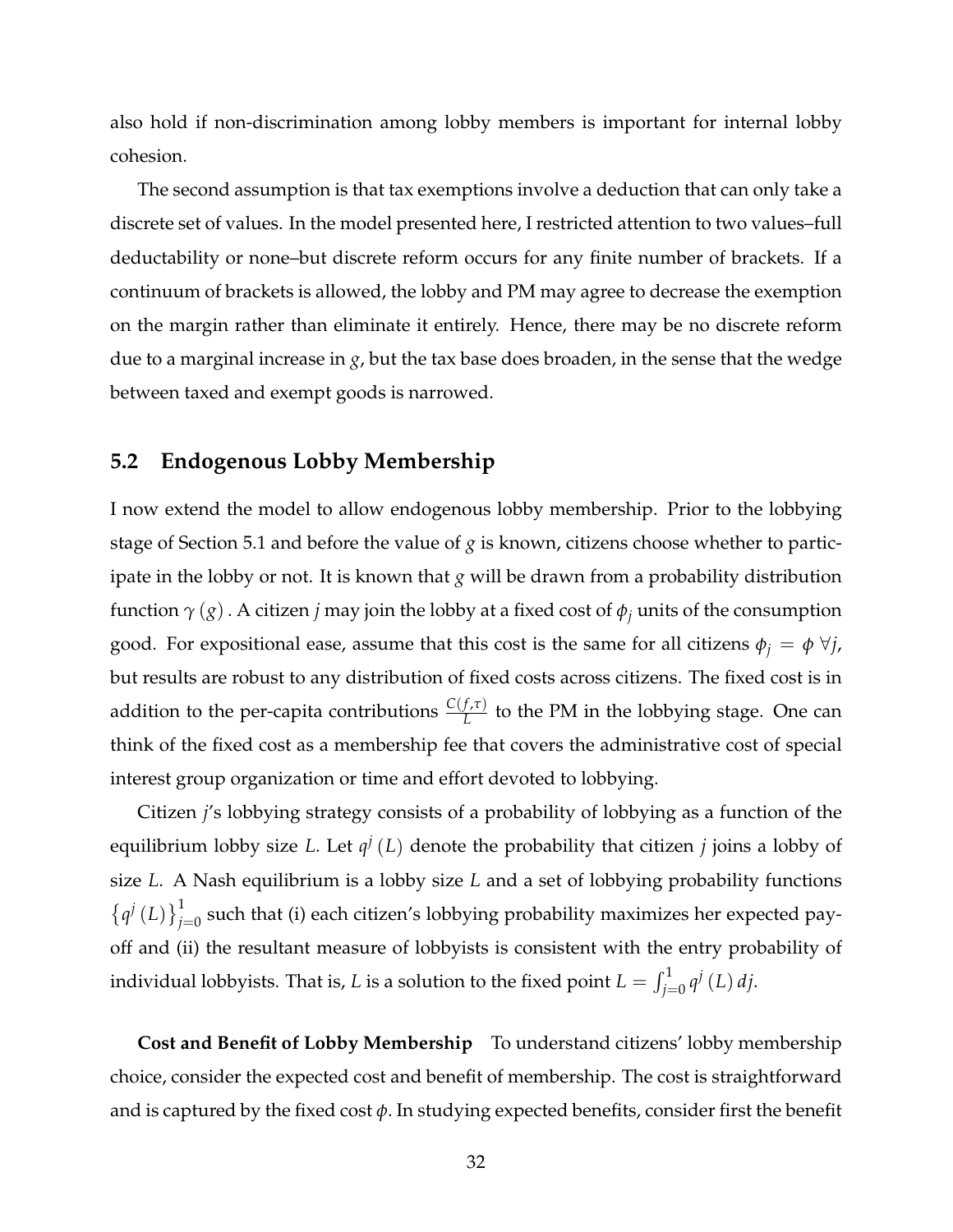also hold if non-discrimination among lobby members is important for internal lobby cohesion.

The second assumption is that tax exemptions involve a deduction that can only take a discrete set of values. In the model presented here, I restricted attention to two values–full deductability or none–but discrete reform occurs for any finite number of brackets. If a continuum of brackets is allowed, the lobby and PM may agree to decrease the exemption on the margin rather than eliminate it entirely. Hence, there may be no discrete reform due to a marginal increase in *g*, but the tax base does broaden, in the sense that the wedge between taxed and exempt goods is narrowed.

### **5.2 Endogenous Lobby Membership**

I now extend the model to allow endogenous lobby membership. Prior to the lobbying stage of Section 5.1 and before the value of *g* is known, citizens choose whether to participate in the lobby or not. It is known that *g* will be drawn from a probability distribution function *γ* (*g*). A citizen *j* may join the lobby at a fixed cost of *φ<sup>j</sup>* units of the consumption good. For expositional ease, assume that this cost is the same for all citizens  $\phi_j = \phi \ \forall j$ , but results are robust to any distribution of fixed costs across citizens. The fixed cost is in addition to the per-capita contributions  $\frac{C(f,\tau)}{L}$  to the PM in the lobbying stage. One can think of the fixed cost as a membership fee that covers the administrative cost of special interest group organization or time and effort devoted to lobbying.

Citizen *j*'s lobbying strategy consists of a probability of lobbying as a function of the equilibrium lobby size *L*. Let *q j* (*L*) denote the probability that citizen *j* joins a lobby of size *L*. A Nash equilibrium is a lobby size *L* and a set of lobbying probability functions  $\left\{q^j\left(L\right)\right\}_{j=0}^1$  such that (i) each citizen's lobbying probability maximizes her expected payoff and (ii) the resultant measure of lobbyists is consistent with the entry probability of individual lobbyists. That is, *L* is a solution to the fixed point  $L = \int_{j=0}^1 q^j \, (L) \, dj.$ 

**Cost and Benefit of Lobby Membership** To understand citizens' lobby membership choice, consider the expected cost and benefit of membership. The cost is straightforward and is captured by the fixed cost *φ*. In studying expected benefits, consider first the benefit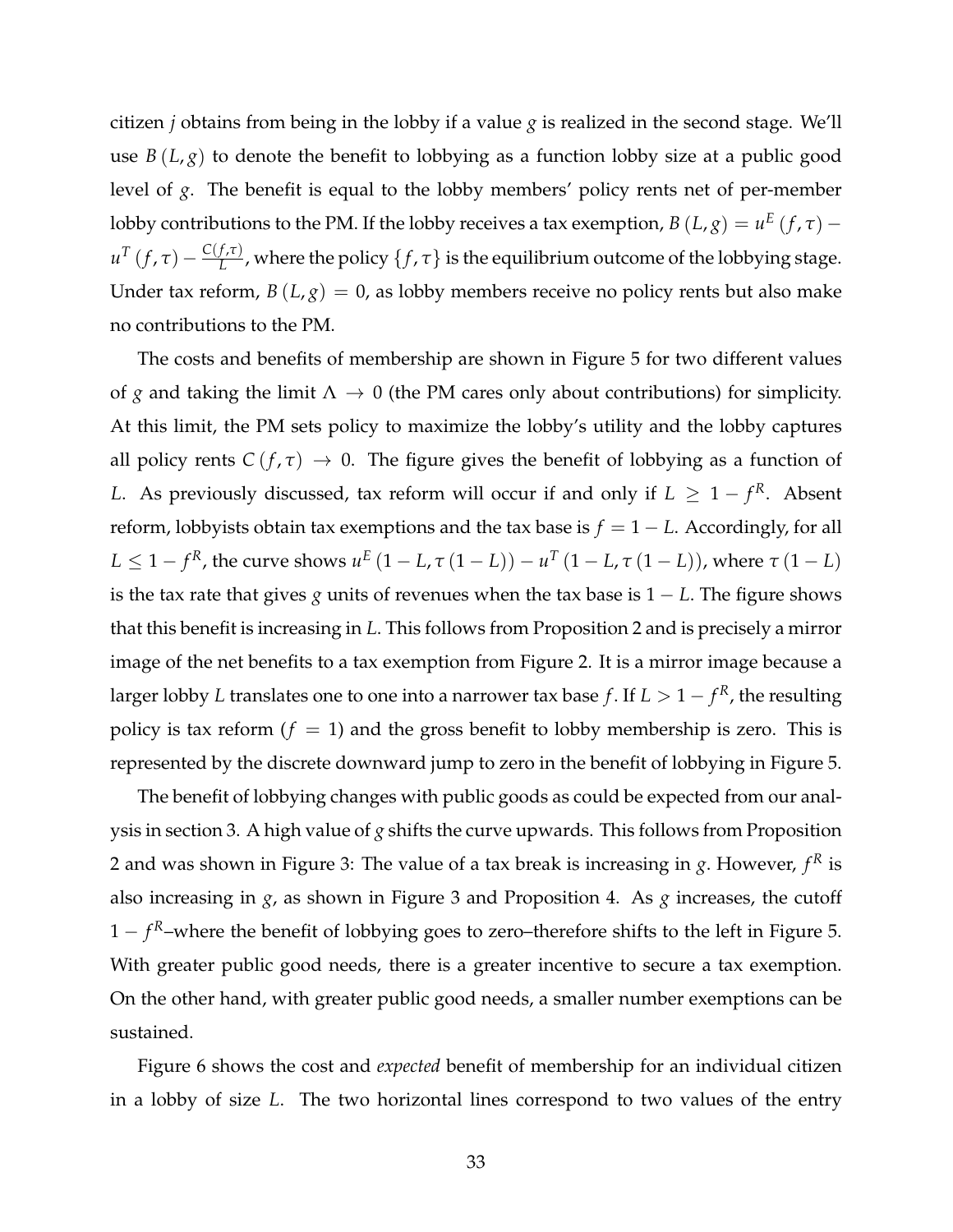citizen *j* obtains from being in the lobby if a value *g* is realized in the second stage. We'll use  $B(L, g)$  to denote the benefit to lobbying as a function lobby size at a public good level of *g*. The benefit is equal to the lobby members' policy rents net of per-member lobby contributions to the PM. If the lobby receives a tax exemption,  $B\left(L,\overline{g}\right)=u^{E}\left(f,\tau\right)$  $u^T(f, \tau) - \frac{C(f, \tau)}{L}$  $L^{(1)}$ , where the policy  $\{f, \tau\}$  is the equilibrium outcome of the lobbying stage. Under tax reform,  $B(L, g) = 0$ , as lobby members receive no policy rents but also make no contributions to the PM.

The costs and benefits of membership are shown in Figure 5 for two different values of *g* and taking the limit  $\Lambda \to 0$  (the PM cares only about contributions) for simplicity. At this limit, the PM sets policy to maximize the lobby's utility and the lobby captures all policy rents  $C(f, \tau) \to 0$ . The figure gives the benefit of lobbying as a function of *L*. As previously discussed, tax reform will occur if and only if  $L \geq 1 - f<sup>R</sup>$ . Absent reform, lobbyists obtain tax exemptions and the tax base is *f* = 1 − *L*. Accordingly, for all *L* ≤ 1 − *f*<sup>R</sup>, the curve shows  $u^E(1 - L, \tau(1 - L)) - u^T(1 - L, \tau(1 - L))$ , where  $\tau(1 - L)$ is the tax rate that gives *g* units of revenues when the tax base is 1 − *L*. The figure shows that this benefit is increasing in *L*. This follows from Proposition 2 and is precisely a mirror image of the net benefits to a tax exemption from Figure 2. It is a mirror image because a larger lobby  $L$  translates one to one into a narrower tax base  $f$ . If  $L > 1-f^R$ , the resulting policy is tax reform  $(f = 1)$  and the gross benefit to lobby membership is zero. This is represented by the discrete downward jump to zero in the benefit of lobbying in Figure 5.

The benefit of lobbying changes with public goods as could be expected from our analysis in section 3. A high value of *g* shifts the curve upwards. This follows from Proposition 2 and was shown in Figure 3: The value of a tax break is increasing in *g*. However, *f <sup>R</sup>* is also increasing in *g*, as shown in Figure 3 and Proposition 4. As *g* increases, the cutoff 1 − *f <sup>R</sup>*–where the benefit of lobbying goes to zero–therefore shifts to the left in Figure 5. With greater public good needs, there is a greater incentive to secure a tax exemption. On the other hand, with greater public good needs, a smaller number exemptions can be sustained.

Figure 6 shows the cost and *expected* benefit of membership for an individual citizen in a lobby of size *L*. The two horizontal lines correspond to two values of the entry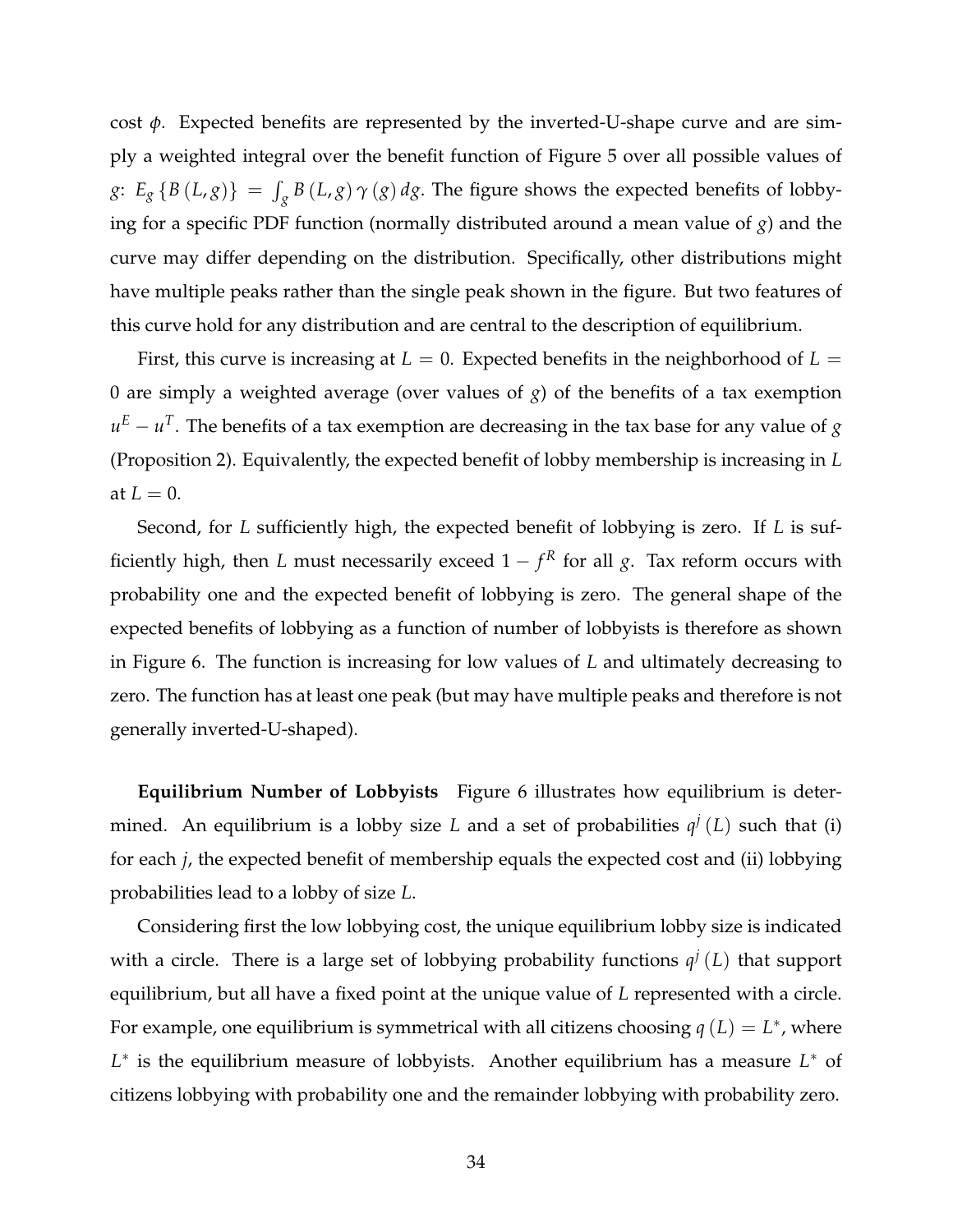cost  $φ$ . Expected benefits are represented by the inverted-U-shape curve and are simply a weighted integral over the benefit function of Figure 5 over all possible values of *g*:  $E_g \{B(L, g)\} = \int_g B(L, g) \gamma(g) dg$ . The figure shows the expected benefits of lobbying for a specific PDF function (normally distributed around a mean value of *g*) and the curve may differ depending on the distribution. Specifically, other distributions might have multiple peaks rather than the single peak shown in the figure. But two features of this curve hold for any distribution and are central to the description of equilibrium.

First, this curve is increasing at  $L = 0$ . Expected benefits in the neighborhood of  $L =$ 0 are simply a weighted average (over values of *g*) of the benefits of a tax exemption  $u^E - u^T$ . The benefits of a tax exemption are decreasing in the tax base for any value of  $g$ (Proposition 2). Equivalently, the expected benefit of lobby membership is increasing in *L* at  $L = 0$ .

Second, for *L* sufficiently high, the expected benefit of lobbying is zero. If *L* is sufficiently high, then *L* must necessarily exceed  $1 - f<sup>R</sup>$  for all *g*. Tax reform occurs with probability one and the expected benefit of lobbying is zero. The general shape of the expected benefits of lobbying as a function of number of lobbyists is therefore as shown in Figure 6. The function is increasing for low values of *L* and ultimately decreasing to zero. The function has at least one peak (but may have multiple peaks and therefore is not generally inverted-U-shaped).

**Equilibrium Number of Lobbyists** Figure 6 illustrates how equilibrium is determined. An equilibrium is a lobby size *L* and a set of probabilities  $q^{j}(L)$  such that (i) for each *j*, the expected benefit of membership equals the expected cost and (ii) lobbying probabilities lead to a lobby of size *L*.

Considering first the low lobbying cost, the unique equilibrium lobby size is indicated with a circle. There is a large set of lobbying probability functions  $q^{j}(L)$  that support equilibrium, but all have a fixed point at the unique value of *L* represented with a circle. For example, one equilibrium is symmetrical with all citizens choosing  $q(L) = L^*$ , where *L* ∗ is the equilibrium measure of lobbyists. Another equilibrium has a measure *L* <sup>∗</sup> of citizens lobbying with probability one and the remainder lobbying with probability zero.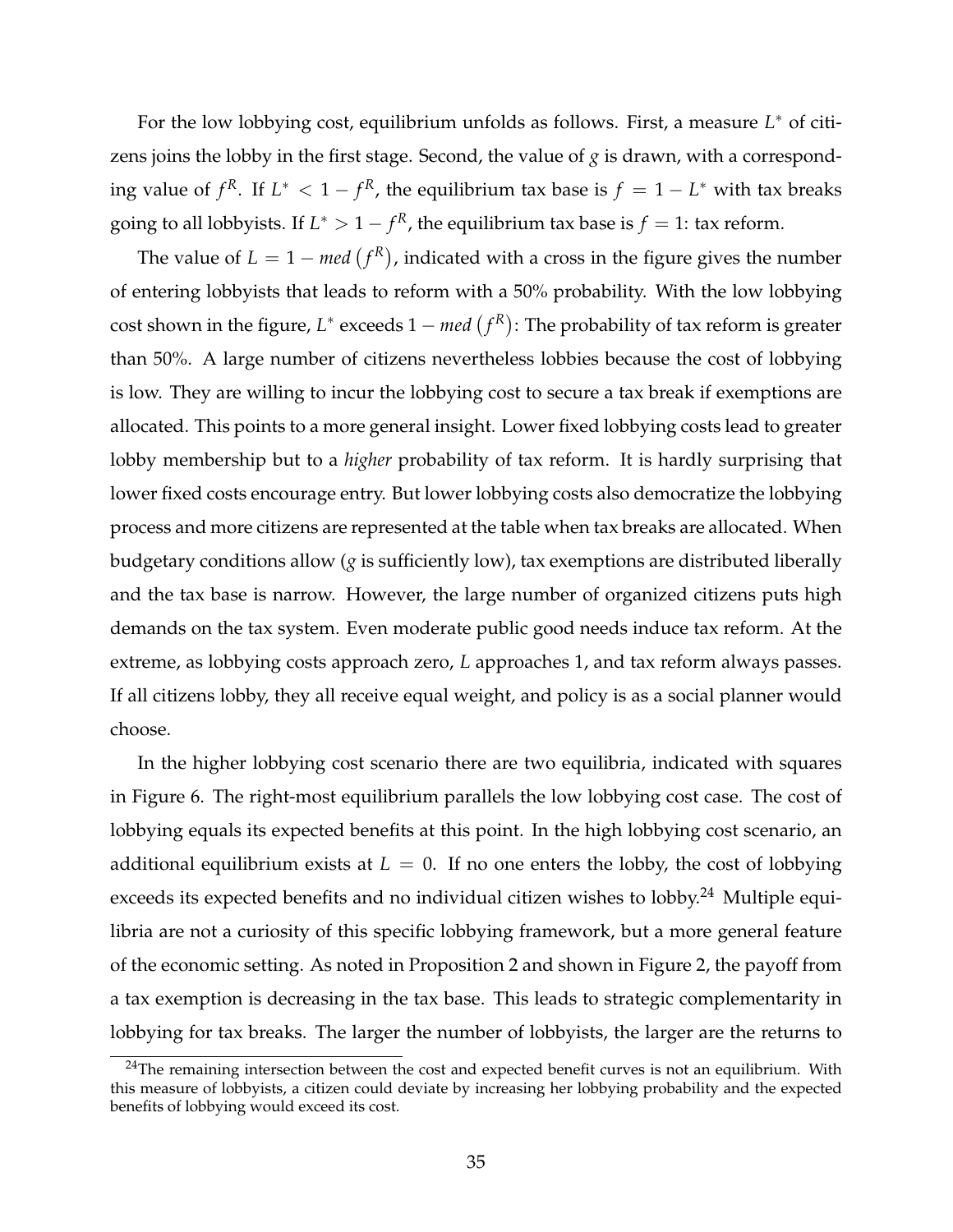For the low lobbying cost, equilibrium unfolds as follows. First, a measure  $L^*$  of citizens joins the lobby in the first stage. Second, the value of *g* is drawn, with a corresponding value of  $f^R$ . If  $L^* < 1 - f^R$ , the equilibrium tax base is  $f = 1 - L^*$  with tax breaks going to all lobbyists. If  $L^* > 1 - f^R$ , the equilibrium tax base is  $f = 1$ : tax reform.

The value of  $L = 1 - \text{med}(f^R)$ , indicated with a cross in the figure gives the number of entering lobbyists that leads to reform with a 50% probability. With the low lobbying cost shown in the figure,  $L^*$  exceeds  $1 - med(f^R)$ : The probability of tax reform is greater than 50%. A large number of citizens nevertheless lobbies because the cost of lobbying is low. They are willing to incur the lobbying cost to secure a tax break if exemptions are allocated. This points to a more general insight. Lower fixed lobbying costs lead to greater lobby membership but to a *higher* probability of tax reform. It is hardly surprising that lower fixed costs encourage entry. But lower lobbying costs also democratize the lobbying process and more citizens are represented at the table when tax breaks are allocated. When budgetary conditions allow (*g* is sufficiently low), tax exemptions are distributed liberally and the tax base is narrow. However, the large number of organized citizens puts high demands on the tax system. Even moderate public good needs induce tax reform. At the extreme, as lobbying costs approach zero, *L* approaches 1, and tax reform always passes. If all citizens lobby, they all receive equal weight, and policy is as a social planner would choose.

In the higher lobbying cost scenario there are two equilibria, indicated with squares in Figure 6. The right-most equilibrium parallels the low lobbying cost case. The cost of lobbying equals its expected benefits at this point. In the high lobbying cost scenario, an additional equilibrium exists at  $L = 0$ . If no one enters the lobby, the cost of lobbying exceeds its expected benefits and no individual citizen wishes to lobby.<sup>24</sup> Multiple equilibria are not a curiosity of this specific lobbying framework, but a more general feature of the economic setting. As noted in Proposition 2 and shown in Figure 2, the payoff from a tax exemption is decreasing in the tax base. This leads to strategic complementarity in lobbying for tax breaks. The larger the number of lobbyists, the larger are the returns to

 $24$ The remaining intersection between the cost and expected benefit curves is not an equilibrium. With this measure of lobbyists, a citizen could deviate by increasing her lobbying probability and the expected benefits of lobbying would exceed its cost.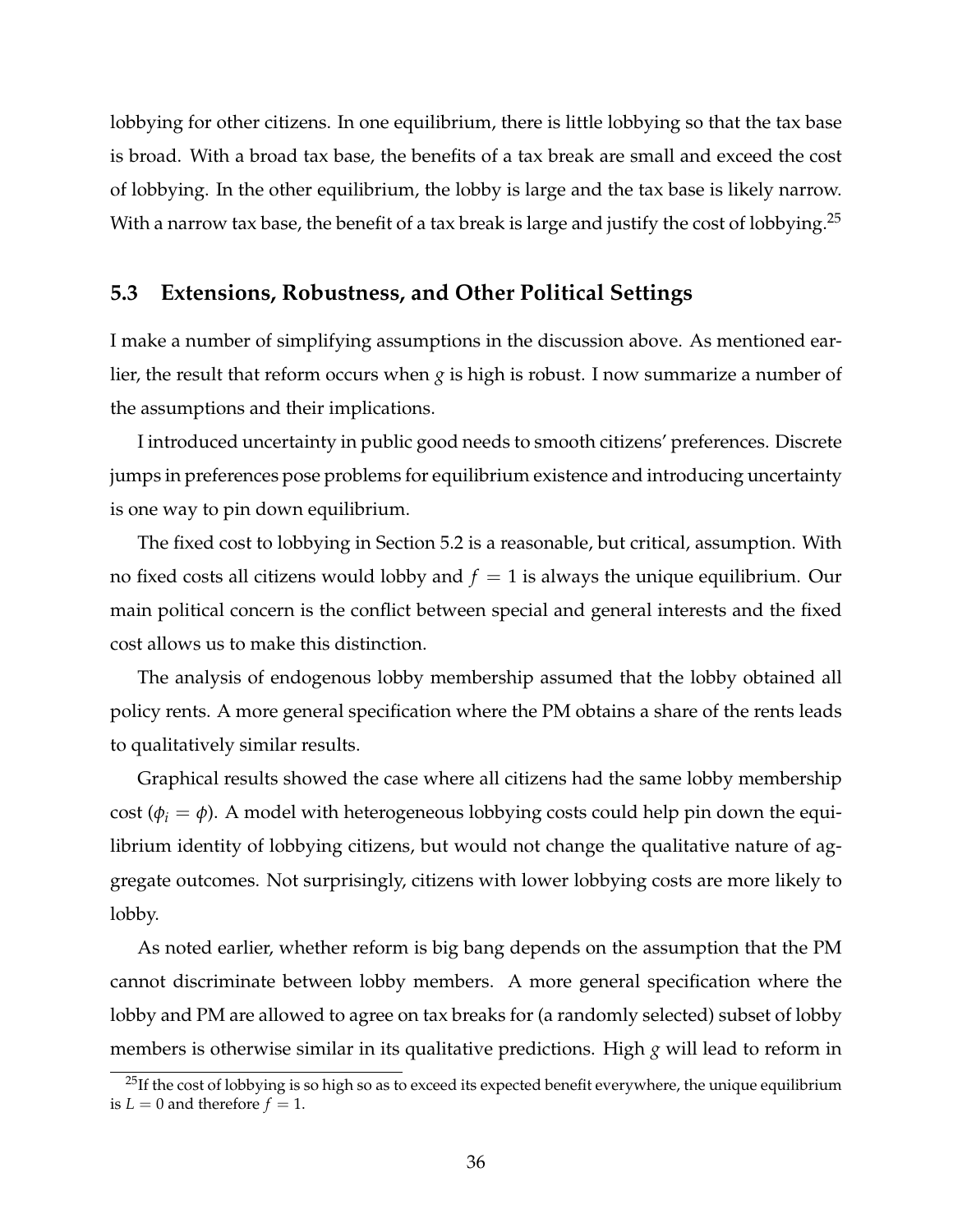lobbying for other citizens. In one equilibrium, there is little lobbying so that the tax base is broad. With a broad tax base, the benefits of a tax break are small and exceed the cost of lobbying. In the other equilibrium, the lobby is large and the tax base is likely narrow. With a narrow tax base, the benefit of a tax break is large and justify the cost of lobbying.<sup>25</sup>

#### **5.3 Extensions, Robustness, and Other Political Settings**

I make a number of simplifying assumptions in the discussion above. As mentioned earlier, the result that reform occurs when *g* is high is robust. I now summarize a number of the assumptions and their implications.

I introduced uncertainty in public good needs to smooth citizens' preferences. Discrete jumps in preferences pose problems for equilibrium existence and introducing uncertainty is one way to pin down equilibrium.

The fixed cost to lobbying in Section 5.2 is a reasonable, but critical, assumption. With no fixed costs all citizens would lobby and  $f = 1$  is always the unique equilibrium. Our main political concern is the conflict between special and general interests and the fixed cost allows us to make this distinction.

The analysis of endogenous lobby membership assumed that the lobby obtained all policy rents. A more general specification where the PM obtains a share of the rents leads to qualitatively similar results.

Graphical results showed the case where all citizens had the same lobby membership cost ( $\phi$ *i* =  $\phi$ ). A model with heterogeneous lobbying costs could help pin down the equilibrium identity of lobbying citizens, but would not change the qualitative nature of aggregate outcomes. Not surprisingly, citizens with lower lobbying costs are more likely to lobby.

As noted earlier, whether reform is big bang depends on the assumption that the PM cannot discriminate between lobby members. A more general specification where the lobby and PM are allowed to agree on tax breaks for (a randomly selected) subset of lobby members is otherwise similar in its qualitative predictions. High *g* will lead to reform in

 $25$ If the cost of lobbying is so high so as to exceed its expected benefit everywhere, the unique equilibrium is  $L = 0$  and therefore  $f = 1$ .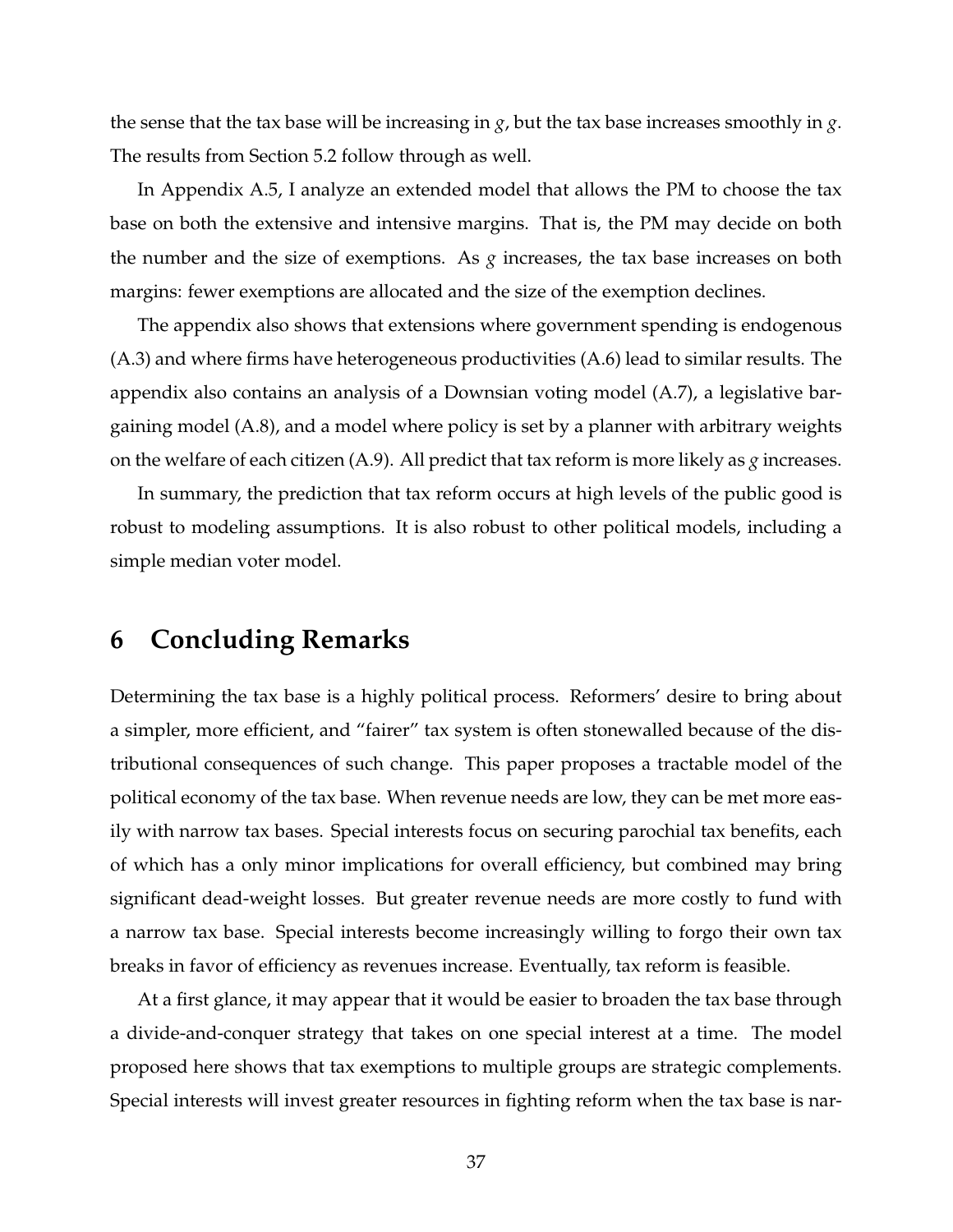the sense that the tax base will be increasing in *g*, but the tax base increases smoothly in *g*. The results from Section 5.2 follow through as well.

In Appendix A.5, I analyze an extended model that allows the PM to choose the tax base on both the extensive and intensive margins. That is, the PM may decide on both the number and the size of exemptions. As *g* increases, the tax base increases on both margins: fewer exemptions are allocated and the size of the exemption declines.

The appendix also shows that extensions where government spending is endogenous (A.3) and where firms have heterogeneous productivities (A.6) lead to similar results. The appendix also contains an analysis of a Downsian voting model (A.7), a legislative bargaining model (A.8), and a model where policy is set by a planner with arbitrary weights on the welfare of each citizen (A.9). All predict that tax reform is more likely as *g* increases.

In summary, the prediction that tax reform occurs at high levels of the public good is robust to modeling assumptions. It is also robust to other political models, including a simple median voter model.

## **6 Concluding Remarks**

Determining the tax base is a highly political process. Reformers' desire to bring about a simpler, more efficient, and "fairer" tax system is often stonewalled because of the distributional consequences of such change. This paper proposes a tractable model of the political economy of the tax base. When revenue needs are low, they can be met more easily with narrow tax bases. Special interests focus on securing parochial tax benefits, each of which has a only minor implications for overall efficiency, but combined may bring significant dead-weight losses. But greater revenue needs are more costly to fund with a narrow tax base. Special interests become increasingly willing to forgo their own tax breaks in favor of efficiency as revenues increase. Eventually, tax reform is feasible.

At a first glance, it may appear that it would be easier to broaden the tax base through a divide-and-conquer strategy that takes on one special interest at a time. The model proposed here shows that tax exemptions to multiple groups are strategic complements. Special interests will invest greater resources in fighting reform when the tax base is nar-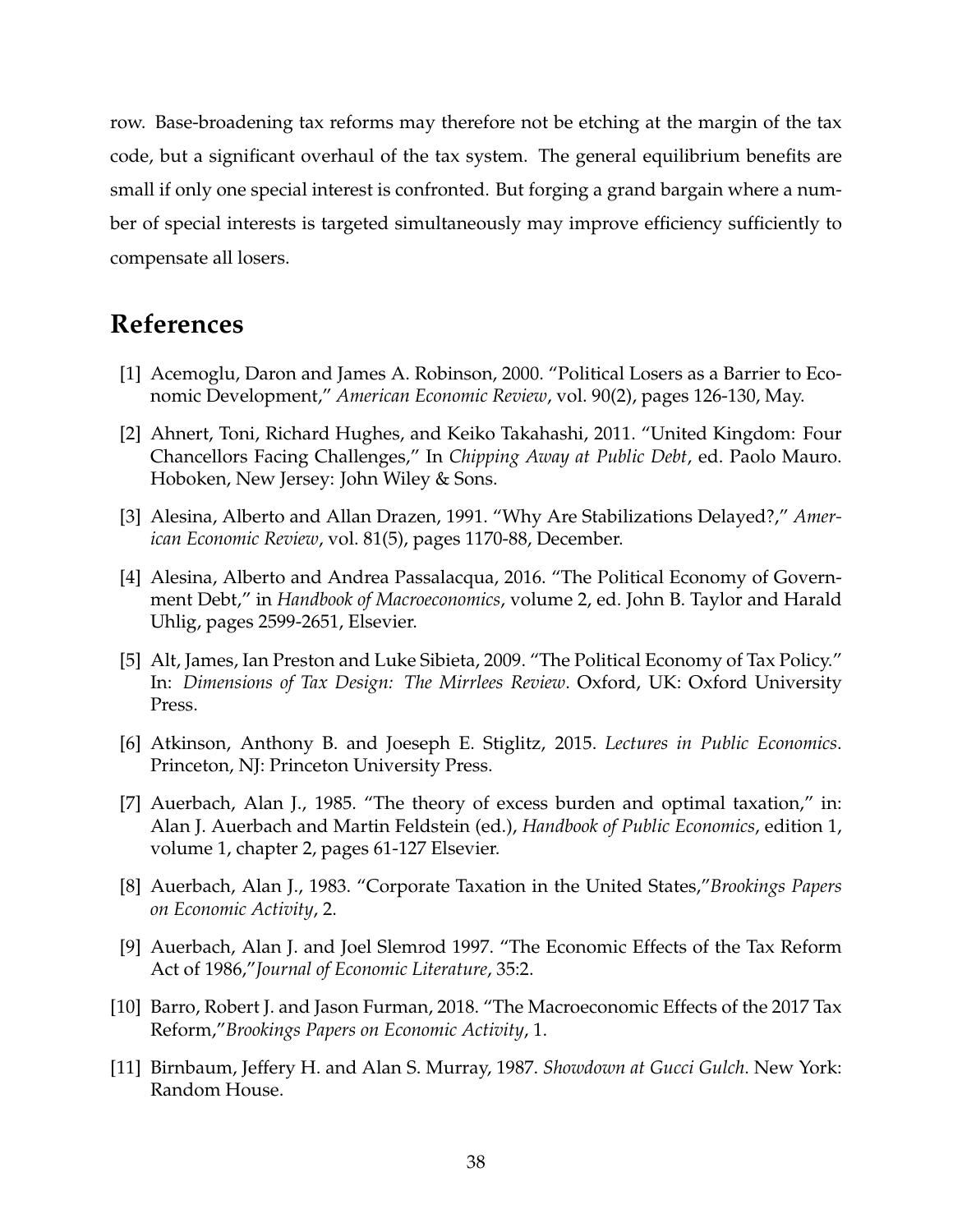row. Base-broadening tax reforms may therefore not be etching at the margin of the tax code, but a significant overhaul of the tax system. The general equilibrium benefits are small if only one special interest is confronted. But forging a grand bargain where a number of special interests is targeted simultaneously may improve efficiency sufficiently to compensate all losers.

# **References**

- [1] Acemoglu, Daron and James A. Robinson, 2000. "Political Losers as a Barrier to Economic Development," *American Economic Review*, vol. 90(2), pages 126-130, May.
- [2] Ahnert, Toni, Richard Hughes, and Keiko Takahashi, 2011. "United Kingdom: Four Chancellors Facing Challenges," In *Chipping Away at Public Debt*, ed. Paolo Mauro. Hoboken, New Jersey: John Wiley & Sons.
- [3] Alesina, Alberto and Allan Drazen, 1991. "Why Are Stabilizations Delayed?," *American Economic Review*, vol. 81(5), pages 1170-88, December.
- [4] Alesina, Alberto and Andrea Passalacqua, 2016. "The Political Economy of Government Debt," in *Handbook of Macroeconomics*, volume 2, ed. John B. Taylor and Harald Uhlig, pages 2599-2651, Elsevier.
- [5] Alt, James, Ian Preston and Luke Sibieta, 2009. "The Political Economy of Tax Policy." In: *Dimensions of Tax Design: The Mirrlees Review*. Oxford, UK: Oxford University Press.
- [6] Atkinson, Anthony B. and Joeseph E. Stiglitz, 2015. *Lectures in Public Economics*. Princeton, NJ: Princeton University Press.
- [7] Auerbach, Alan J., 1985. "The theory of excess burden and optimal taxation," in: Alan J. Auerbach and Martin Feldstein (ed.), *Handbook of Public Economics*, edition 1, volume 1, chapter 2, pages 61-127 Elsevier.
- [8] Auerbach, Alan J., 1983. "Corporate Taxation in the United States,"*Brookings Papers on Economic Activity*, 2.
- [9] Auerbach, Alan J. and Joel Slemrod 1997. "The Economic Effects of the Tax Reform Act of 1986,"*Journal of Economic Literature*, 35:2.
- [10] Barro, Robert J. and Jason Furman, 2018. "The Macroeconomic Effects of the 2017 Tax Reform,"*Brookings Papers on Economic Activity*, 1.
- [11] Birnbaum, Jeffery H. and Alan S. Murray, 1987. *Showdown at Gucci Gulch*. New York: Random House.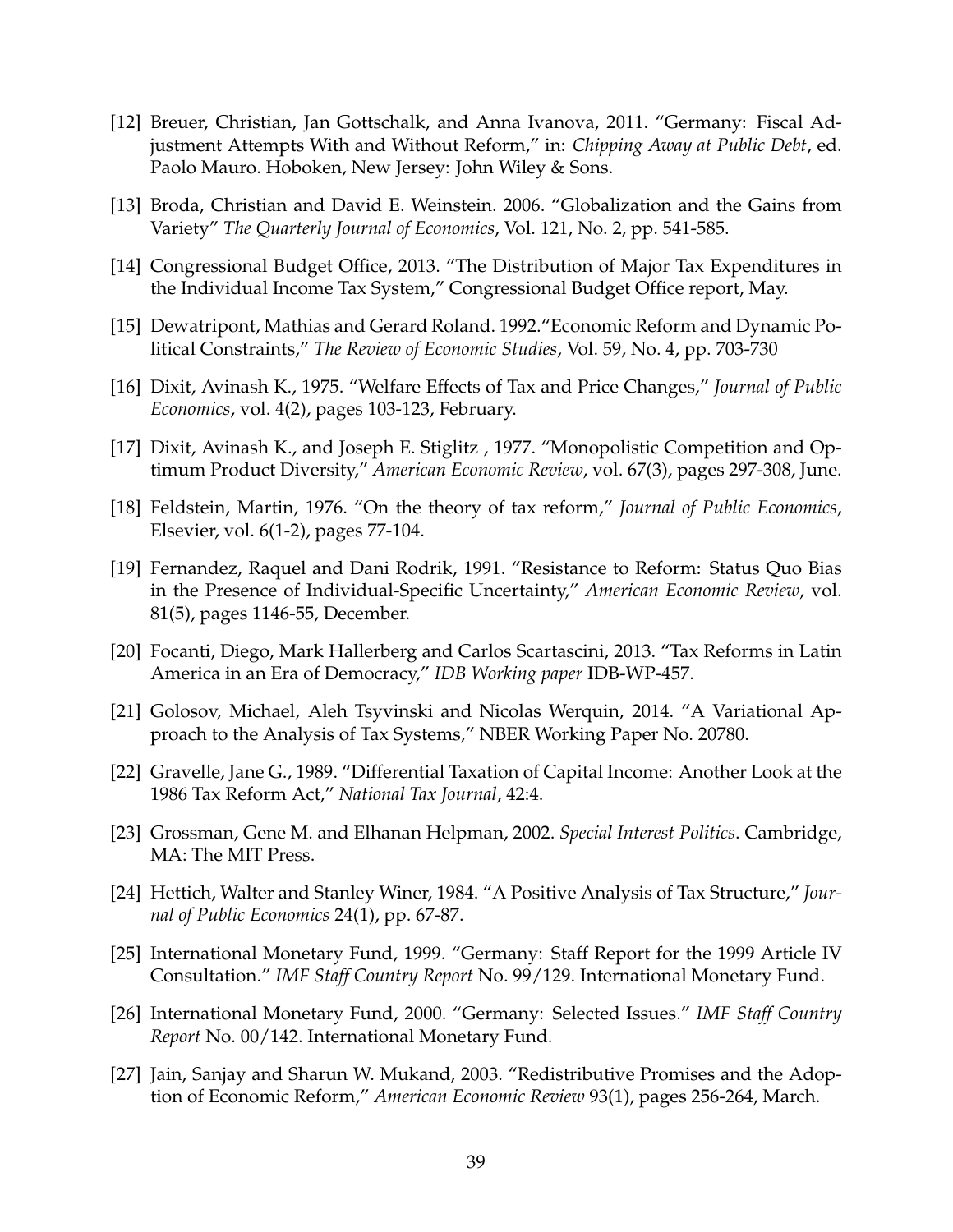- [12] Breuer, Christian, Jan Gottschalk, and Anna Ivanova, 2011. "Germany: Fiscal Adjustment Attempts With and Without Reform," in: *Chipping Away at Public Debt*, ed. Paolo Mauro. Hoboken, New Jersey: John Wiley & Sons.
- [13] Broda, Christian and David E. Weinstein. 2006. "Globalization and the Gains from Variety" *The Quarterly Journal of Economics*, Vol. 121, No. 2, pp. 541-585.
- [14] Congressional Budget Office, 2013. "The Distribution of Major Tax Expenditures in the Individual Income Tax System," Congressional Budget Office report, May.
- [15] Dewatripont, Mathias and Gerard Roland. 1992."Economic Reform and Dynamic Political Constraints," *The Review of Economic Studies*, Vol. 59, No. 4, pp. 703-730
- [16] Dixit, Avinash K., 1975. "Welfare Effects of Tax and Price Changes," *Journal of Public Economics*, vol. 4(2), pages 103-123, February.
- [17] Dixit, Avinash K., and Joseph E. Stiglitz , 1977. "Monopolistic Competition and Optimum Product Diversity," *American Economic Review*, vol. 67(3), pages 297-308, June.
- [18] Feldstein, Martin, 1976. "On the theory of tax reform," *Journal of Public Economics*, Elsevier, vol. 6(1-2), pages 77-104.
- [19] Fernandez, Raquel and Dani Rodrik, 1991. "Resistance to Reform: Status Quo Bias in the Presence of Individual-Specific Uncertainty," *American Economic Review*, vol. 81(5), pages 1146-55, December.
- [20] Focanti, Diego, Mark Hallerberg and Carlos Scartascini, 2013. "Tax Reforms in Latin America in an Era of Democracy," *IDB Working paper* IDB-WP-457.
- [21] Golosov, Michael, Aleh Tsyvinski and Nicolas Werquin, 2014. "A Variational Approach to the Analysis of Tax Systems," NBER Working Paper No. 20780.
- [22] Gravelle, Jane G., 1989. "Differential Taxation of Capital Income: Another Look at the 1986 Tax Reform Act," *National Tax Journal*, 42:4.
- [23] Grossman, Gene M. and Elhanan Helpman, 2002. *Special Interest Politics*. Cambridge, MA: The MIT Press.
- [24] Hettich, Walter and Stanley Winer, 1984. "A Positive Analysis of Tax Structure," *Journal of Public Economics* 24(1), pp. 67-87.
- [25] International Monetary Fund, 1999. "Germany: Staff Report for the 1999 Article IV Consultation." *IMF Staff Country Report* No. 99/129. International Monetary Fund.
- [26] International Monetary Fund, 2000. "Germany: Selected Issues." *IMF Staff Country Report* No. 00/142. International Monetary Fund.
- [27] Jain, Sanjay and Sharun W. Mukand, 2003. "Redistributive Promises and the Adoption of Economic Reform," *American Economic Review* 93(1), pages 256-264, March.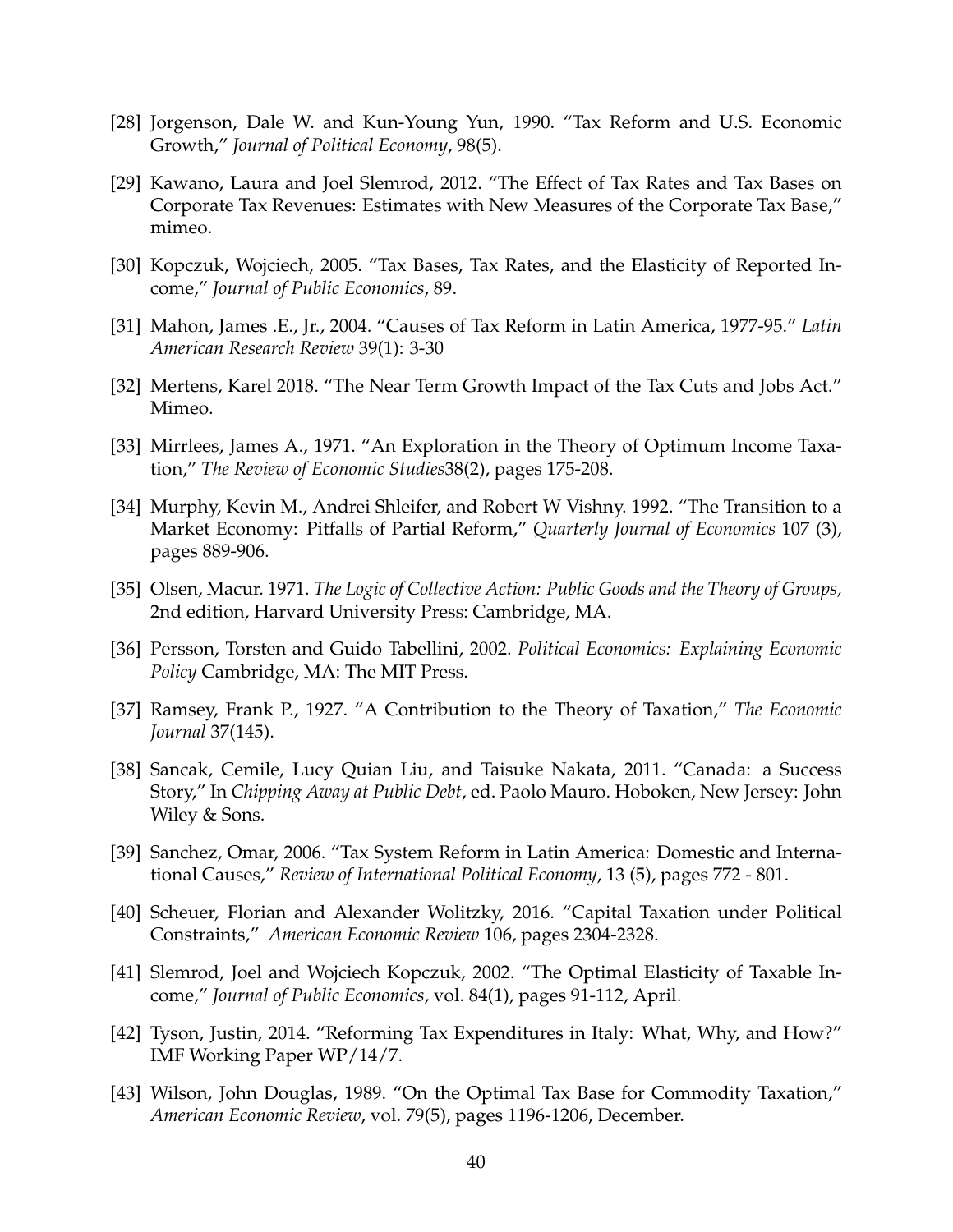- [28] Jorgenson, Dale W. and Kun-Young Yun, 1990. "Tax Reform and U.S. Economic Growth," *Journal of Political Economy*, 98(5).
- [29] Kawano, Laura and Joel Slemrod, 2012. "The Effect of Tax Rates and Tax Bases on Corporate Tax Revenues: Estimates with New Measures of the Corporate Tax Base," mimeo.
- [30] Kopczuk, Wojciech, 2005. "Tax Bases, Tax Rates, and the Elasticity of Reported Income," *Journal of Public Economics*, 89.
- [31] Mahon, James .E., Jr., 2004. "Causes of Tax Reform in Latin America, 1977-95." *Latin American Research Review* 39(1): 3-30
- [32] Mertens, Karel 2018. "The Near Term Growth Impact of the Tax Cuts and Jobs Act." Mimeo.
- [33] Mirrlees, James A., 1971. "An Exploration in the Theory of Optimum Income Taxation," *The Review of Economic Studies*38(2), pages 175-208.
- [34] Murphy, Kevin M., Andrei Shleifer, and Robert W Vishny. 1992. "The Transition to a Market Economy: Pitfalls of Partial Reform," *Quarterly Journal of Economics* 107 (3), pages 889-906.
- [35] Olsen, Macur. 1971. *The Logic of Collective Action: Public Goods and the Theory of Groups,* 2nd edition, Harvard University Press: Cambridge, MA.
- [36] Persson, Torsten and Guido Tabellini, 2002. *Political Economics: Explaining Economic Policy* Cambridge, MA: The MIT Press.
- [37] Ramsey, Frank P., 1927. "A Contribution to the Theory of Taxation," *The Economic Journal* 37(145).
- [38] Sancak, Cemile, Lucy Quian Liu, and Taisuke Nakata, 2011. "Canada: a Success Story," In *Chipping Away at Public Debt*, ed. Paolo Mauro. Hoboken, New Jersey: John Wiley & Sons.
- [39] Sanchez, Omar, 2006. "Tax System Reform in Latin America: Domestic and International Causes," *Review of International Political Economy*, 13 (5), pages 772 - 801.
- [40] Scheuer, Florian and Alexander Wolitzky, 2016. "Capital Taxation under Political Constraints," *American Economic Review* 106, pages 2304-2328.
- [41] Slemrod, Joel and Wojciech Kopczuk, 2002. "The Optimal Elasticity of Taxable Income," *Journal of Public Economics*, vol. 84(1), pages 91-112, April.
- [42] Tyson, Justin, 2014. "Reforming Tax Expenditures in Italy: What, Why, and How?" IMF Working Paper WP/14/7.
- [43] Wilson, John Douglas, 1989. "On the Optimal Tax Base for Commodity Taxation," *American Economic Review*, vol. 79(5), pages 1196-1206, December.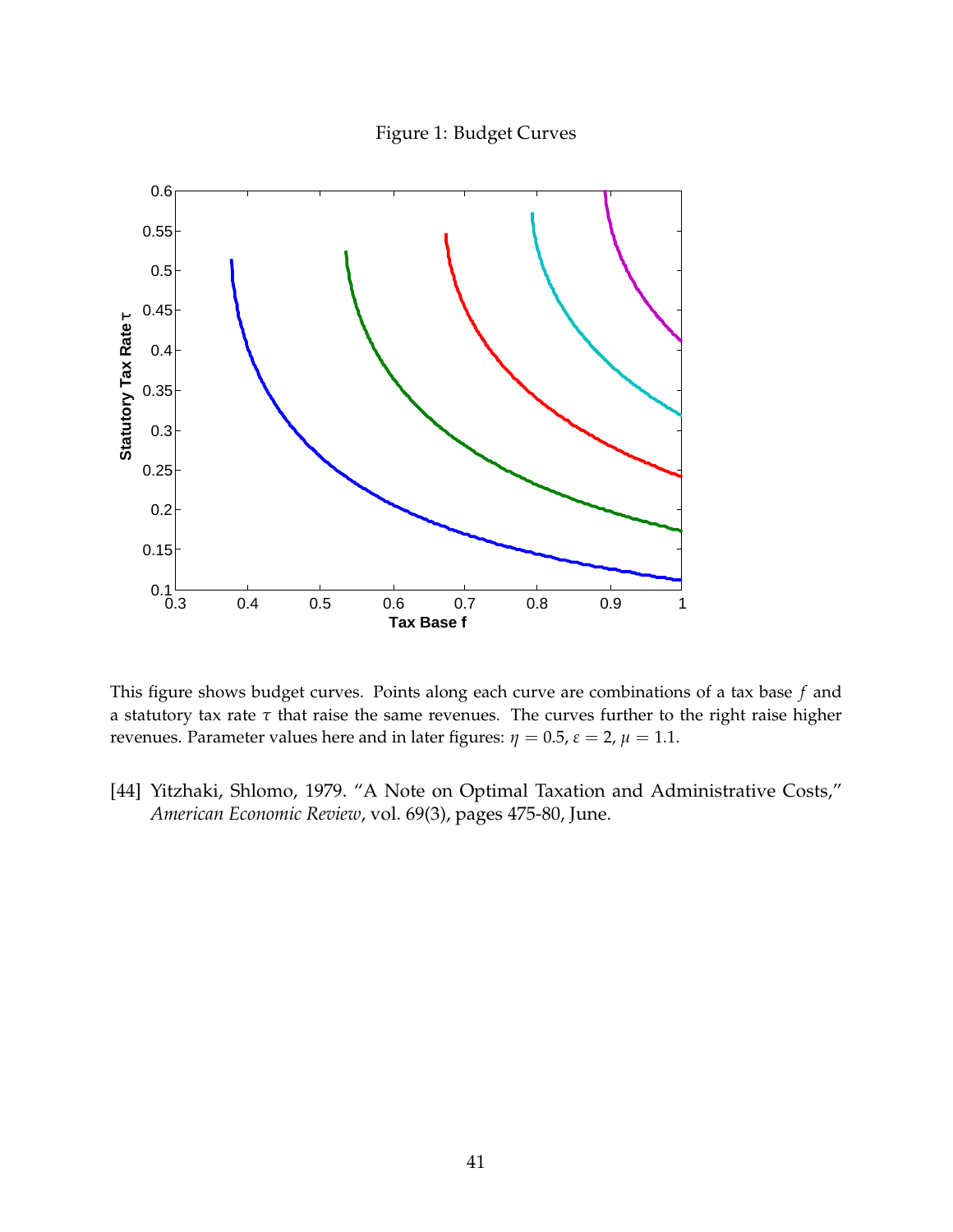



This figure shows budget curves. Points along each curve are combinations of a tax base *f* and a statutory tax rate *τ* that raise the same revenues. The curves further to the right raise higher revenues. Parameter values here and in later figures:  $η = 0.5$ ,  $ε = 2$ ,  $μ = 1.1$ .

[44] Yitzhaki, Shlomo, 1979. "A Note on Optimal Taxation and Administrative Costs," *American Economic Review*, vol. 69(3), pages 475-80, June.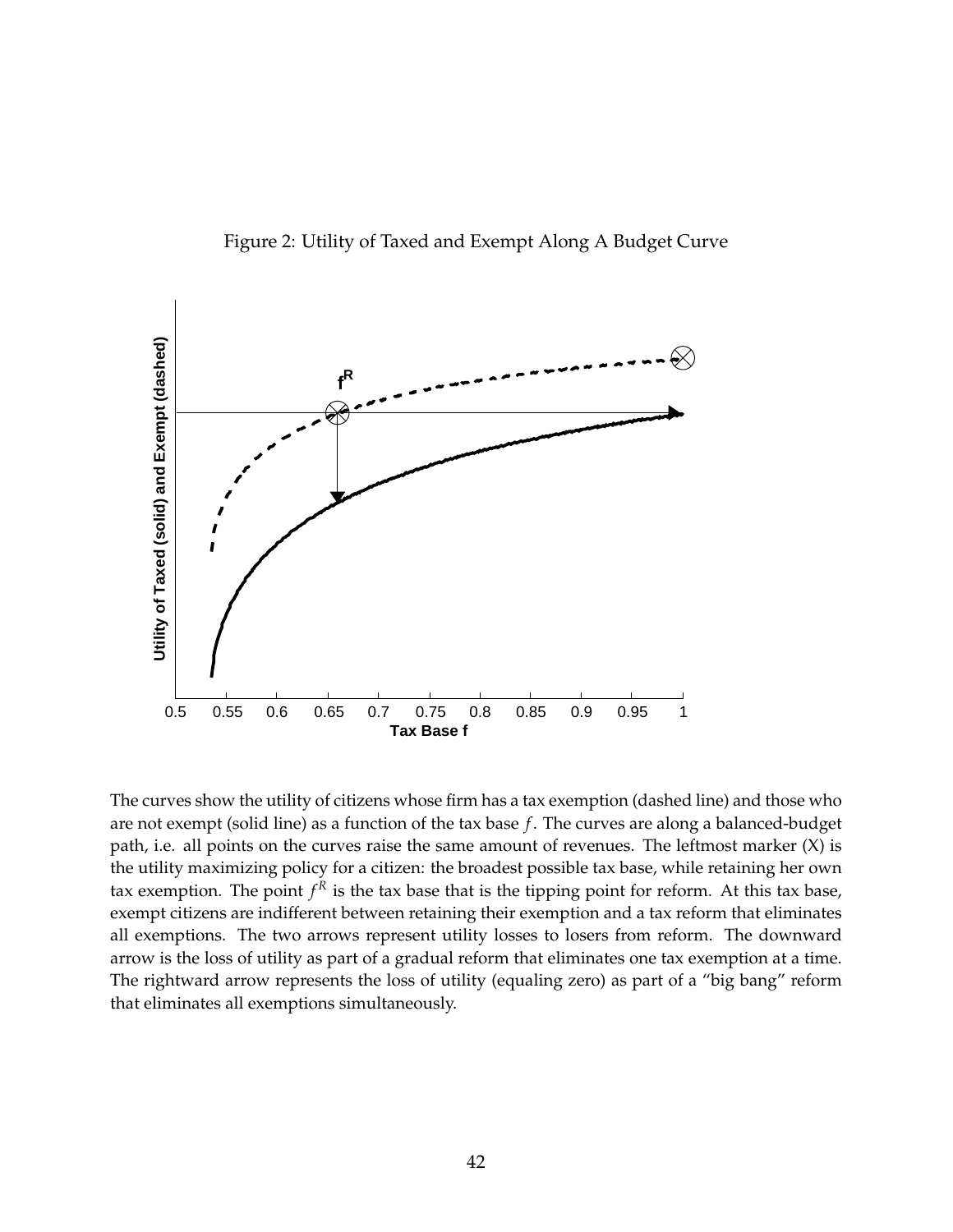

Figure 2: Utility of Taxed and Exempt Along A Budget Curve

The curves show the utility of citizens whose firm has a tax exemption (dashed line) and those who are not exempt (solid line) as a function of the tax base *f*. The curves are along a balanced-budget path, i.e. all points on the curves raise the same amount of revenues. The leftmost marker (X) is the utility maximizing policy for a citizen: the broadest possible tax base, while retaining her own tax exemption. The point  $f<sup>R</sup>$  is the tax base that is the tipping point for reform. At this tax base, exempt citizens are indifferent between retaining their exemption and a tax reform that eliminates all exemptions. The two arrows represent utility losses to losers from reform. The downward arrow is the loss of utility as part of a gradual reform that eliminates one tax exemption at a time. The rightward arrow represents the loss of utility (equaling zero) as part of a "big bang" reform that eliminates all exemptions simultaneously.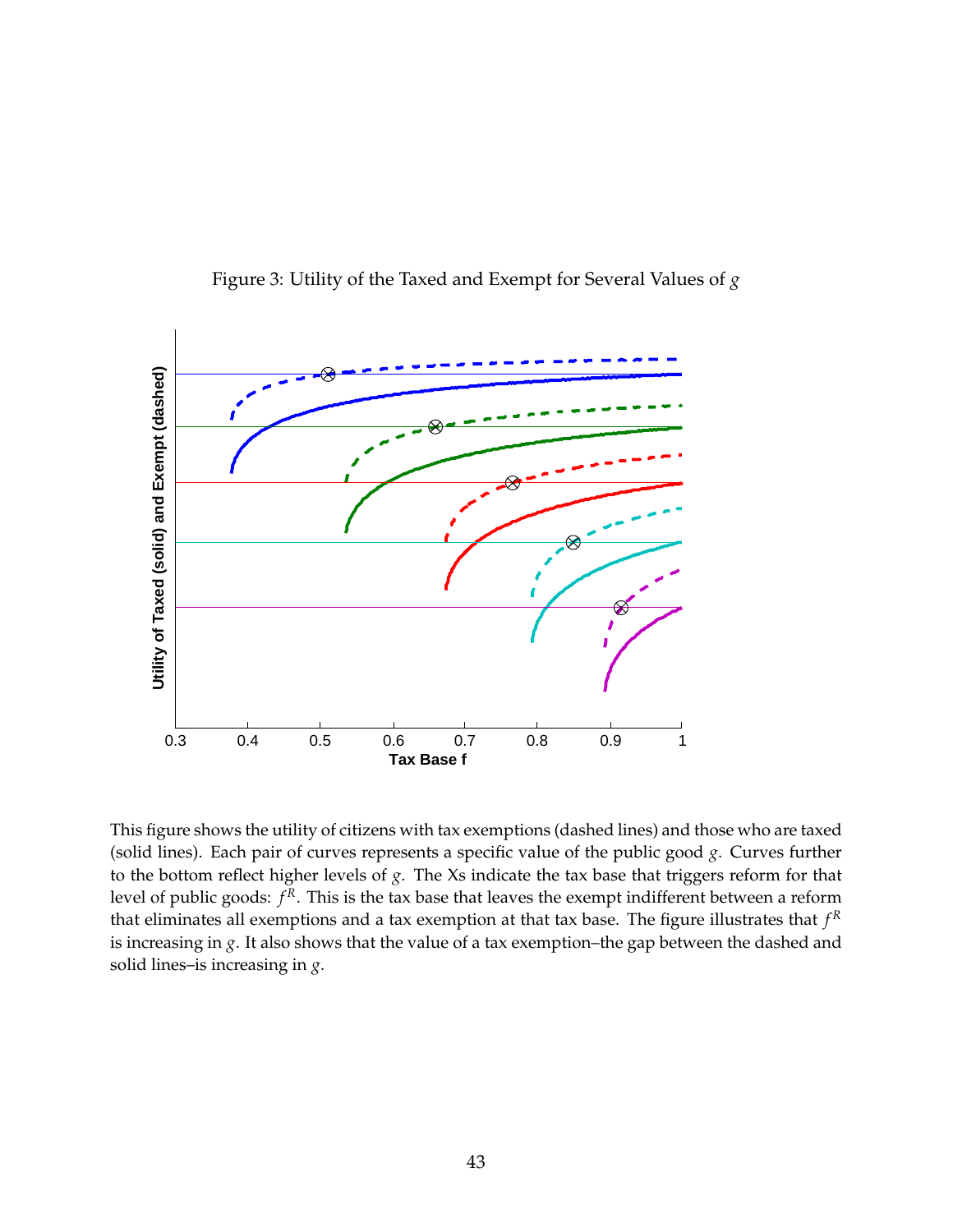

Figure 3: Utility of the Taxed and Exempt for Several Values of *g*

This figure shows the utility of citizens with tax exemptions (dashed lines) and those who are taxed (solid lines). Each pair of curves represents a specific value of the public good *g*. Curves further to the bottom reflect higher levels of *g*. The Xs indicate the tax base that triggers reform for that level of public goods:  $f^R$ . This is the tax base that leaves the exempt indifferent between a reform that eliminates all exemptions and a tax exemption at that tax base. The figure illustrates that  $f<sup>R</sup>$ is increasing in *g*. It also shows that the value of a tax exemption–the gap between the dashed and solid lines–is increasing in *g*.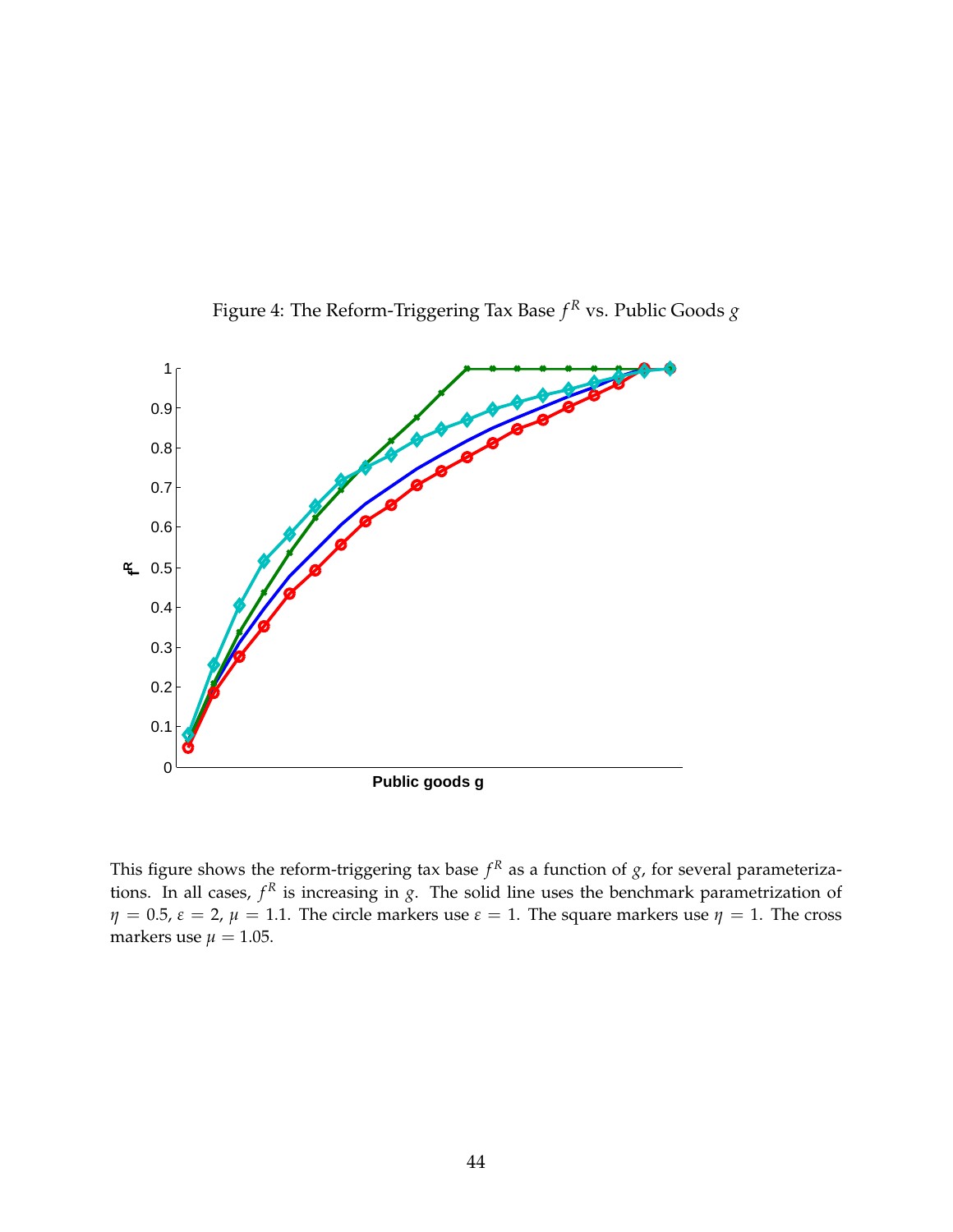



This figure shows the reform-triggering tax base  $f<sup>R</sup>$  as a function of  $g$ , for several parameterizations. In all cases,  $f<sup>R</sup>$  is increasing in *g*. The solid line uses the benchmark parametrization of  $\eta = 0.5$ ,  $\varepsilon = 2$ ,  $\mu = 1.1$ . The circle markers use  $\varepsilon = 1$ . The square markers use  $\eta = 1$ . The cross markers use  $\mu = 1.05$ .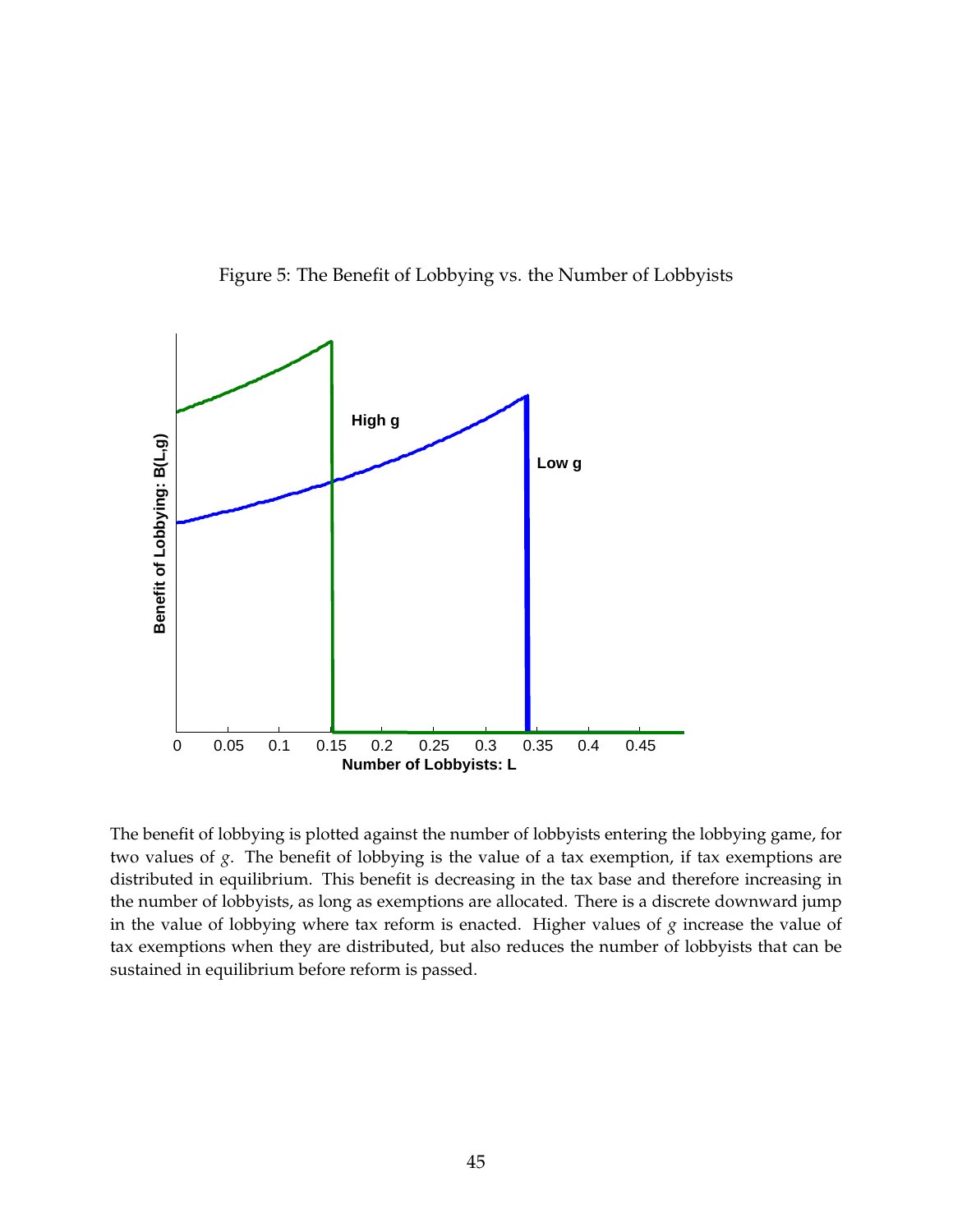

Figure 5: The Benefit of Lobbying vs. the Number of Lobbyists

The benefit of lobbying is plotted against the number of lobbyists entering the lobbying game, for two values of *g*. The benefit of lobbying is the value of a tax exemption, if tax exemptions are distributed in equilibrium. This benefit is decreasing in the tax base and therefore increasing in the number of lobbyists, as long as exemptions are allocated. There is a discrete downward jump in the value of lobbying where tax reform is enacted. Higher values of *g* increase the value of tax exemptions when they are distributed, but also reduces the number of lobbyists that can be sustained in equilibrium before reform is passed.